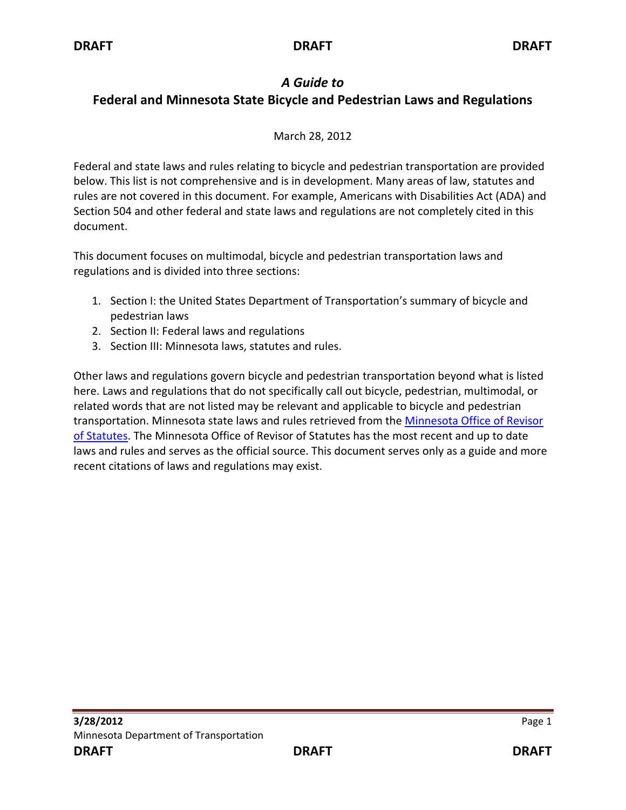# *A Guide to*

# **Federal and Minnesota State Bicycle and Pedestrian Laws and Regulations**

## March 28, 2012

Federal and state laws and rules relating to bicycle and pedestrian transportation are provided below. This list is not comprehensive and is in development. Many areas of law, statutes and rules are not covered in this document. For example, Americans with Disabilities Act (ADA) and Section 504 and other federal and state laws and regulations are not completely cited in this document.

This document focuses on multimodal, bicycle and pedestrian transportation laws and regulations and is divided into three sections:

- 1. Section I: the United States Department of Transportation's summary of bicycle and pedestrian laws
- 2. Section II: Federal laws and regulations
- 3. Section III: Minnesota laws, statutes and rules.

Other laws and regulations govern bicycle and pedestrian transportation beyond what is listed here. Laws and regulations that do not specifically call out bicycle, pedestrian, multimodal, or related words that are not listed may be relevant and applicable to bicycle and pedestrian transportation. Minnesota state laws and rules retrieved from the Minnesota Office of Revisor [of Statutes.](https://www.revisor.mn.gov/pubs/) The Minnesota Office of Revisor of Statutes has the most recent and up to date laws and rules and serves as the official source. This document serves only as a guide and more recent citations of laws and regulations may exist.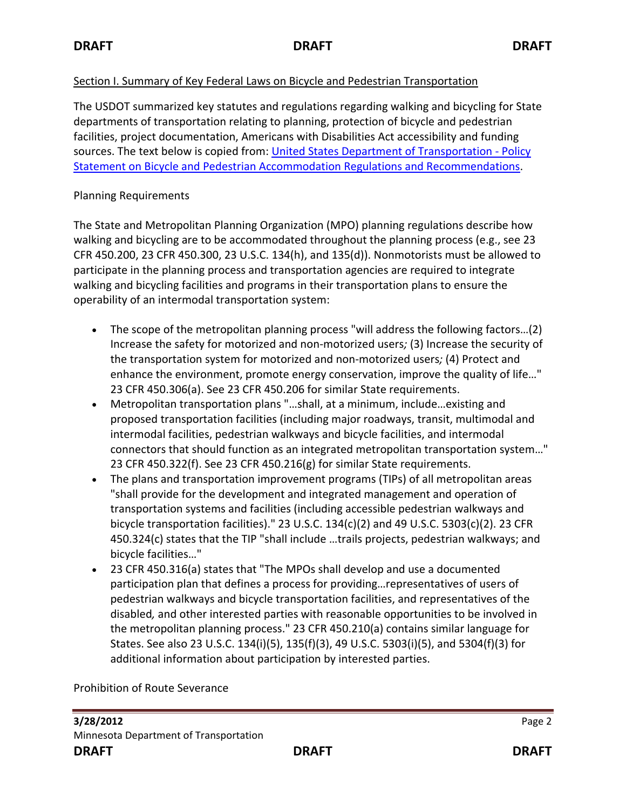## Section I. Summary of Key Federal Laws on Bicycle and Pedestrian Transportation

The USDOT summarized key statutes and regulations regarding walking and bicycling for State departments of transportation relating to planning, protection of bicycle and pedestrian facilities, project documentation, Americans with Disabilities Act accessibility and funding sources. The text below is copied from[: United States Department of Transportation -](http://www.dot.gov/affairs/2010/bicycle-ped.html) Policy [Statement on Bicycle and Pedestrian Accommodation Regulations and Recommendations.](http://www.dot.gov/affairs/2010/bicycle-ped.html)

#### Planning Requirements

The State and Metropolitan Planning Organization (MPO) planning regulations describe how walking and bicycling are to be accommodated throughout the planning process (e.g., see 23 CFR 450.200, 23 CFR 450.300, 23 U.S.C. 134(h), and 135(d)). Nonmotorists must be allowed to participate in the planning process and transportation agencies are required to integrate walking and bicycling facilities and programs in their transportation plans to ensure the operability of an intermodal transportation system:

- The scope of the metropolitan planning process "will address the following factors...(2) Increase the safety for motorized and non-motorized users*;* (3) Increase the security of the transportation system for motorized and non-motorized users*;* (4) Protect and enhance the environment, promote energy conservation, improve the quality of life…" 23 CFR 450.306(a). See 23 CFR 450.206 for similar State requirements.
- Metropolitan transportation plans "…shall, at a minimum, include…existing and proposed transportation facilities (including major roadways, transit, multimodal and intermodal facilities, pedestrian walkways and bicycle facilities, and intermodal connectors that should function as an integrated metropolitan transportation system…" 23 CFR 450.322(f). See 23 CFR 450.216(g) for similar State requirements.
- The plans and transportation improvement programs (TIPs) of all metropolitan areas "shall provide for the development and integrated management and operation of transportation systems and facilities (including accessible pedestrian walkways and bicycle transportation facilities)." 23 U.S.C. 134(c)(2) and 49 U.S.C. 5303(c)(2). 23 CFR 450.324(c) states that the TIP "shall include …trails projects, pedestrian walkways; and bicycle facilities…"
- 23 CFR 450.316(a) states that "The MPOs shall develop and use a documented participation plan that defines a process for providing…representatives of users of pedestrian walkways and bicycle transportation facilities, and representatives of the disabled*,* and other interested parties with reasonable opportunities to be involved in the metropolitan planning process." 23 CFR 450.210(a) contains similar language for States. See also 23 U.S.C. 134(i)(5), 135(f)(3), 49 U.S.C. 5303(i)(5), and 5304(f)(3) for additional information about participation by interested parties.

Prohibition of Route Severance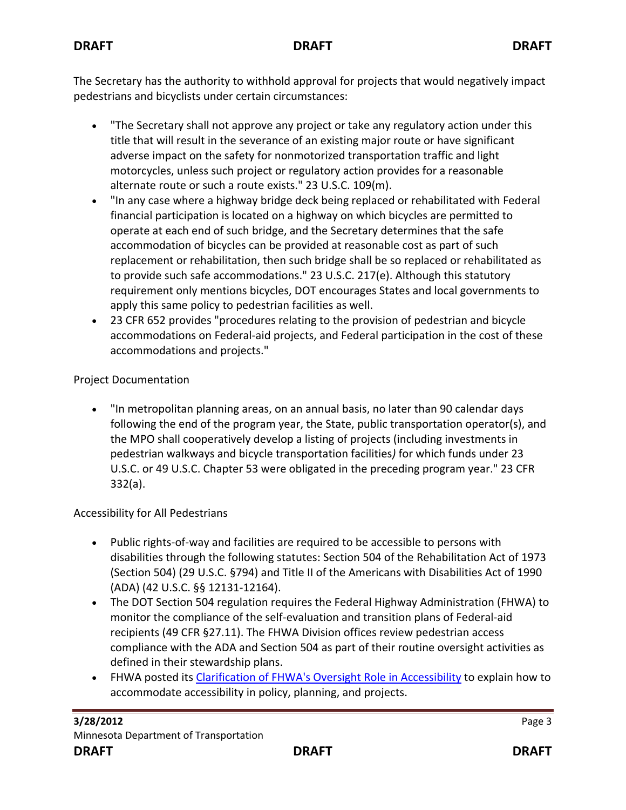The Secretary has the authority to withhold approval for projects that would negatively impact pedestrians and bicyclists under certain circumstances:

- "The Secretary shall not approve any project or take any regulatory action under this title that will result in the severance of an existing major route or have significant adverse impact on the safety for nonmotorized transportation traffic and light motorcycles, unless such project or regulatory action provides for a reasonable alternate route or such a route exists." 23 U.S.C. 109(m).
- "In any case where a highway bridge deck being replaced or rehabilitated with Federal financial participation is located on a highway on which bicycles are permitted to operate at each end of such bridge, and the Secretary determines that the safe accommodation of bicycles can be provided at reasonable cost as part of such replacement or rehabilitation, then such bridge shall be so replaced or rehabilitated as to provide such safe accommodations." 23 U.S.C. 217(e). Although this statutory requirement only mentions bicycles, DOT encourages States and local governments to apply this same policy to pedestrian facilities as well.
- 23 CFR 652 provides "procedures relating to the provision of pedestrian and bicycle accommodations on Federal-aid projects, and Federal participation in the cost of these accommodations and projects."

## Project Documentation

• "In metropolitan planning areas, on an annual basis, no later than 90 calendar days following the end of the program year, the State, public transportation operator(s), and the MPO shall cooperatively develop a listing of projects (including investments in pedestrian walkways and bicycle transportation facilities*)* for which funds under 23 U.S.C. or 49 U.S.C. Chapter 53 were obligated in the preceding program year." 23 CFR 332(a).

## Accessibility for All Pedestrians

- Public rights-of-way and facilities are required to be accessible to persons with disabilities through the following statutes: Section 504 of the Rehabilitation Act of 1973 (Section 504) (29 U.S.C. §794) and Title II of the Americans with Disabilities Act of 1990 (ADA) (42 U.S.C. §§ 12131-12164).
- The DOT Section 504 regulation requires the Federal Highway Administration (FHWA) to monitor the compliance of the self-evaluation and transition plans of Federal-aid recipients (49 CFR §27.11). The FHWA Division offices review pedestrian access compliance with the ADA and Section 504 as part of their routine oversight activities as defined in their stewardship plans.
- FHWA posted its [Clarification of FHWA's Oversight Role in Accessibility](http://www.fhwa.dot.gov/civilrights/ada_memo_clarificationa.htm) to explain how to accommodate accessibility in policy, planning, and projects.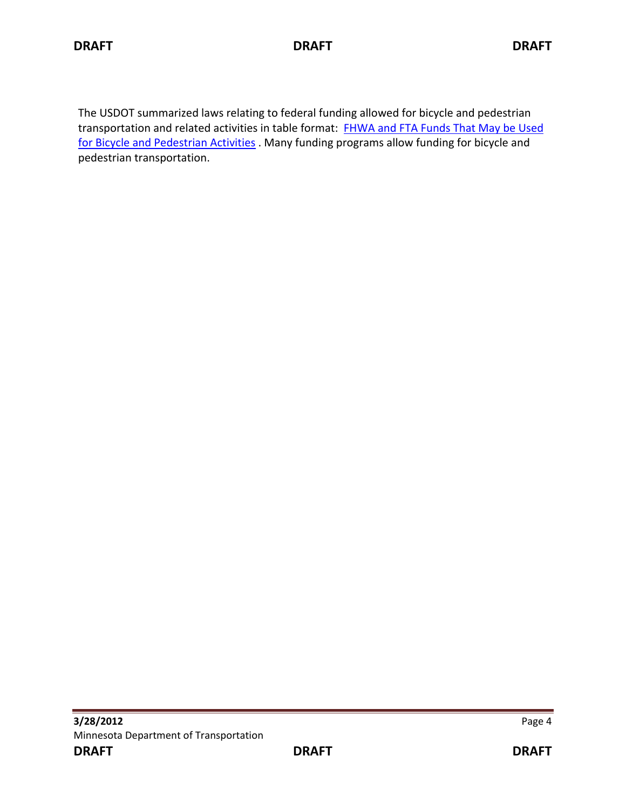The USDOT summarized laws relating to federal funding allowed for bicycle and pedestrian transportation and related activities in table format: FHWA and FTA Funds That May be Used [for Bicycle and Pedestrian Activities](http://www.fhwa.dot.gov/hep/bkepedtble.htm) . Many funding programs allow funding for bicycle and pedestrian transportation.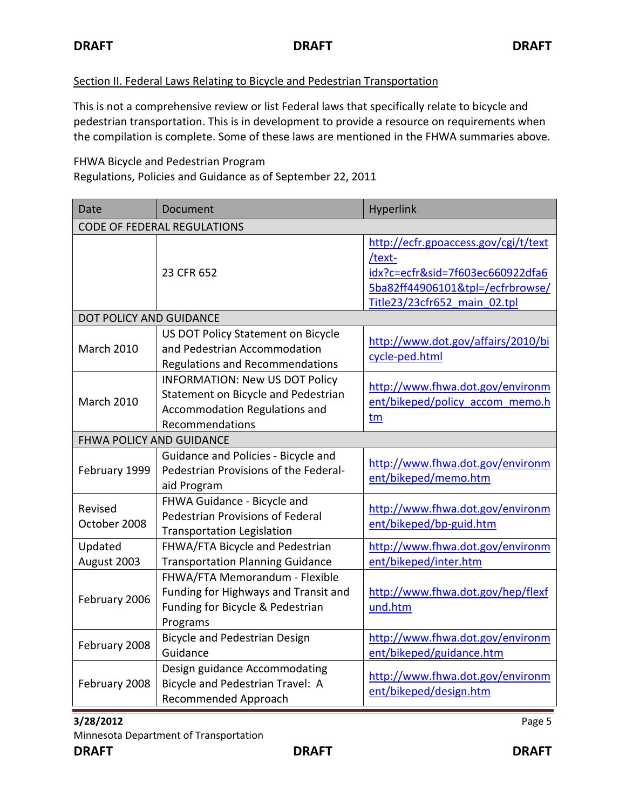#### Section II. Federal Laws Relating to Bicycle and Pedestrian Transportation

This is not a comprehensive review or list Federal laws that specifically relate to bicycle and pedestrian transportation. This is in development to provide a resource on requirements when the compilation is complete. Some of these laws are mentioned in the FHWA summaries above.

FHWA Bicycle and Pedestrian Program Regulations, Policies and Guidance as of September 22, 2011

| <b>Date</b>                        | Document                                                                                                                                | Hyperlink                                                                                                                                              |  |
|------------------------------------|-----------------------------------------------------------------------------------------------------------------------------------------|--------------------------------------------------------------------------------------------------------------------------------------------------------|--|
| <b>CODE OF FEDERAL REGULATIONS</b> |                                                                                                                                         |                                                                                                                                                        |  |
|                                    | 23 CFR 652                                                                                                                              | http://ecfr.gpoaccess.gov/cgi/t/text<br>/text-<br>idx?c=ecfr&sid=7f603ec660922dfa6<br>5ba82ff44906101&tpl=/ecfrbrowse/<br>Title23/23cfr652 main 02.tpl |  |
| DOT POLICY AND GUIDANCE            |                                                                                                                                         |                                                                                                                                                        |  |
| <b>March 2010</b>                  | US DOT Policy Statement on Bicycle<br>and Pedestrian Accommodation<br><b>Regulations and Recommendations</b>                            | http://www.dot.gov/affairs/2010/bi<br>cycle-ped.html                                                                                                   |  |
| <b>March 2010</b>                  | <b>INFORMATION: New US DOT Policy</b><br>Statement on Bicycle and Pedestrian<br><b>Accommodation Regulations and</b><br>Recommendations | http://www.fhwa.dot.gov/environm<br>ent/bikeped/policy accom memo.h<br>tm                                                                              |  |
| FHWA POLICY AND GUIDANCE           |                                                                                                                                         |                                                                                                                                                        |  |
| February 1999                      | Guidance and Policies - Bicycle and<br>Pedestrian Provisions of the Federal-<br>aid Program                                             | http://www.fhwa.dot.gov/environm<br>ent/bikeped/memo.htm                                                                                               |  |
| Revised<br>October 2008            | FHWA Guidance - Bicycle and<br>Pedestrian Provisions of Federal<br><b>Transportation Legislation</b>                                    | http://www.fhwa.dot.gov/environm<br>ent/bikeped/bp-guid.htm                                                                                            |  |
| Updated<br>August 2003             | FHWA/FTA Bicycle and Pedestrian<br><b>Transportation Planning Guidance</b>                                                              | http://www.fhwa.dot.gov/environm<br>ent/bikeped/inter.htm                                                                                              |  |
| February 2006                      | FHWA/FTA Memorandum - Flexible<br>Funding for Highways and Transit and<br>Funding for Bicycle & Pedestrian<br>Programs                  | http://www.fhwa.dot.gov/hep/flexf<br>und.htm                                                                                                           |  |
| February 2008                      | <b>Bicycle and Pedestrian Design</b><br>Guidance                                                                                        | http://www.fhwa.dot.gov/environm<br>ent/bikeped/guidance.htm                                                                                           |  |
| February 2008                      | Design guidance Accommodating<br>Bicycle and Pedestrian Travel: A<br>Recommended Approach                                               | http://www.fhwa.dot.gov/environm<br>ent/bikeped/design.htm                                                                                             |  |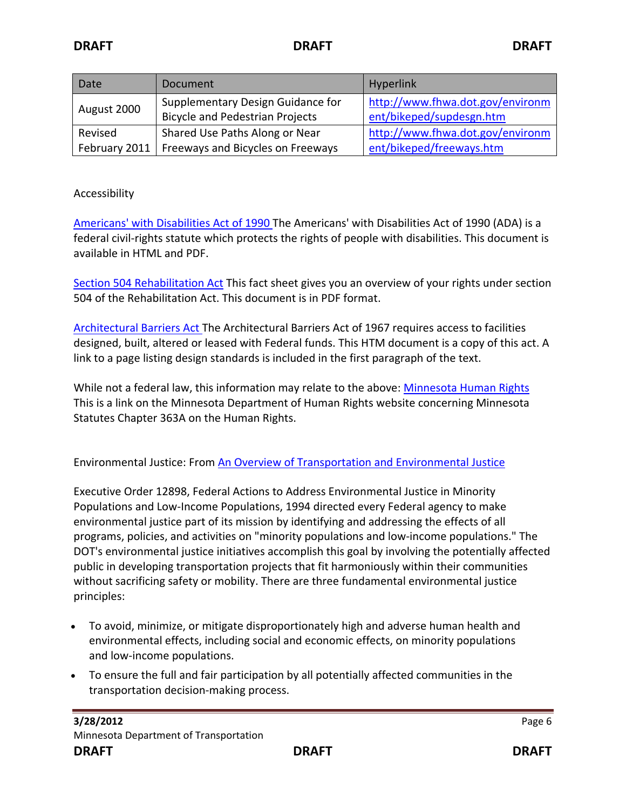| Date          | Document                               | Hyperlink                        |
|---------------|----------------------------------------|----------------------------------|
| August 2000   | Supplementary Design Guidance for      | http://www.fhwa.dot.gov/environm |
|               | <b>Bicycle and Pedestrian Projects</b> | ent/bikeped/supdesgn.htm         |
| Revised       | Shared Use Paths Along or Near         | http://www.fhwa.dot.gov/environm |
| February 2011 | Freeways and Bicycles on Freeways      | ent/bikeped/freeways.htm         |

#### Accessibility

[Americans' with Disabilities Act of 1990 T](http://www.ada.gov/pubs/ada.htm)he Americans' with Disabilities Act of 1990 (ADA) is a federal civil-rights statute which protects the rights of people with disabilities. This document is available in HTML and PDF.

[Section 504 Rehabilitation Act](http://www.hhs.gov/ocr/civilrights/resources/factsheets/504.pdf) This fact sheet gives you an overview of your rights under section 504 of the Rehabilitation Act. This document is in PDF format.

[Architectural Barriers Act T](http://www.access-board.gov/about/laws/ABA.htm)he Architectural Barriers Act of 1967 requires access to facilities designed, built, altered or leased with Federal funds. This HTM document is a copy of this act. A link to a page listing design standards is included in the first paragraph of the text.

While not a federal law, this information may relate to the above: [Minnesota Human Rights](http://www.humanrights.state.mn.us/yourrights/mhra.html) This is a link on the Minnesota Department of Human Rights website concerning Minnesota Statutes Chapter 363A on the Human Rights.

Environmental Justice: From [An Overview of Transportation and Environmental Justice](http://www.fhwa.dot.gov/environment/environmental_justice/overview/)

Executive Order 12898, Federal Actions to Address Environmental Justice in Minority Populations and Low-Income Populations, 1994 directed every Federal agency to make environmental justice part of its mission by identifying and addressing the effects of all programs, policies, and activities on "minority populations and low-income populations." The DOT's environmental justice initiatives accomplish this goal by involving the potentially affected public in developing transportation projects that fit harmoniously within their communities without sacrificing safety or mobility. There are three fundamental environmental justice principles:

- To avoid, minimize, or mitigate disproportionately high and adverse human health and environmental effects, including social and economic effects, on minority populations and low-income populations.
- To ensure the full and fair participation by all potentially affected communities in the transportation decision-making process.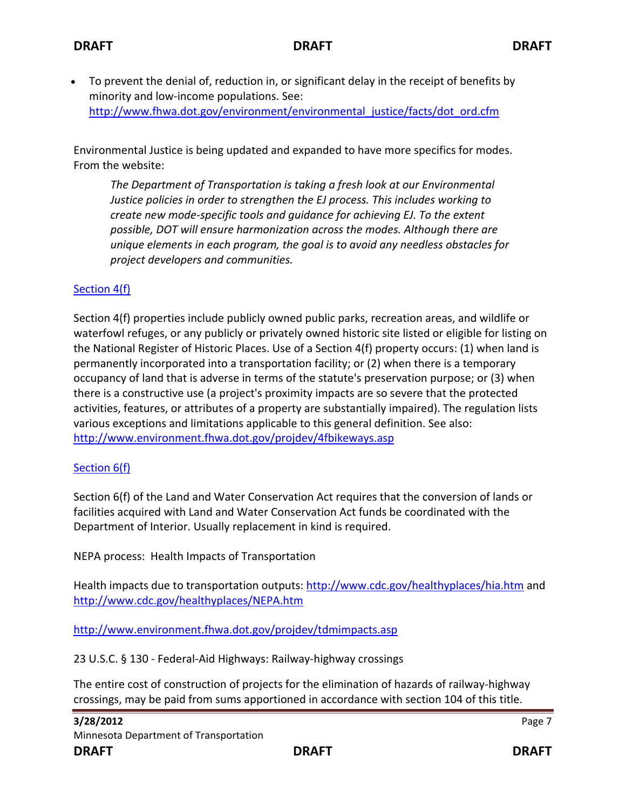• To prevent the denial of, reduction in, or significant delay in the receipt of benefits by minority and low-income populations. See: [http://www.fhwa.dot.gov/environment/environmental\\_justice/facts/dot\\_ord.cfm](http://www.fhwa.dot.gov/environment/environmental_justice/facts/dot_ord.cfm)

Environmental Justice is being updated and expanded to have more specifics for modes. From the website:

*The Department of Transportation is taking a fresh look at our Environmental Justice policies in order to strengthen the EJ process. This includes working to create new mode-specific tools and guidance for achieving EJ. To the extent possible, DOT will ensure harmonization across the modes. Although there are unique elements in each program, the goal is to avoid any needless obstacles for project developers and communities.*

## [Section 4\(f\)](http://www.environment.fhwa.dot.gov/4f/4fAtGlance.asp)

Section 4(f) properties include publicly owned public parks, recreation areas, and wildlife or waterfowl refuges, or any publicly or privately owned historic site listed or eligible for listing on the National Register of Historic Places. Use of a Section 4(f) property occurs: (1) when land is permanently incorporated into a transportation facility; or (2) when there is a temporary occupancy of land that is adverse in terms of the statute's preservation purpose; or (3) when there is a constructive use (a project's proximity impacts are so severe that the protected activities, features, or attributes of a property are substantially impaired). The regulation lists various exceptions and limitations applicable to this general definition. See also: <http://www.environment.fhwa.dot.gov/projdev/4fbikeways.asp>

## [Section 6\(f\)](http://www.law.cornell.edu/uscode/usc_sup_01_16_10_1_20_LXIX_30_B.html)

Section 6(f) of the Land and Water Conservation Act requires that the conversion of lands or facilities acquired with Land and Water Conservation Act funds be coordinated with the Department of Interior. Usually replacement in kind is required.

NEPA process: Health Impacts of Transportation

Health impacts due to transportation outputs: <http://www.cdc.gov/healthyplaces/hia.htm> and <http://www.cdc.gov/healthyplaces/NEPA.htm>

<http://www.environment.fhwa.dot.gov/projdev/tdmimpacts.asp>

23 U.S.C. § 130 - Federal-Aid Highways: Railway-highway crossings

The entire cost of construction of projects for the elimination of hazards of railway-highway crossings, may be paid from sums apportioned in accordance with section 104 of this title.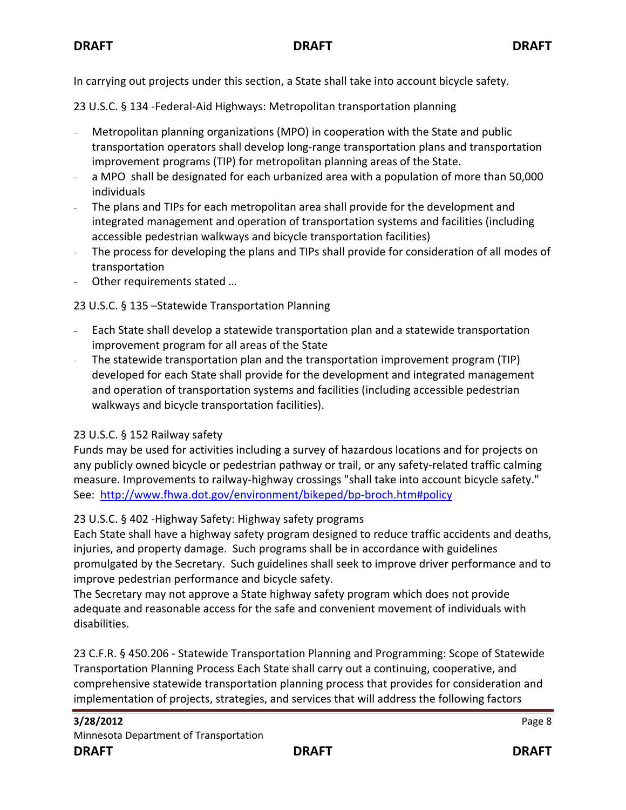In carrying out projects under this section, a State shall take into account bicycle safety.

23 U.S.C. § 134 -Federal-Aid Highways: Metropolitan transportation planning

- Metropolitan planning organizations (MPO) in cooperation with the State and public transportation operators shall develop long-range transportation plans and transportation improvement programs (TIP) for metropolitan planning areas of the State.
- a MPO shall be designated for each urbanized area with a population of more than 50,000 individuals
- The plans and TIPs for each metropolitan area shall provide for the development and integrated management and operation of transportation systems and facilities (including accessible pedestrian walkways and bicycle transportation facilities)
- The process for developing the plans and TIPs shall provide for consideration of all modes of transportation
- Other requirements stated …

23 U.S.C. § 135 –Statewide Transportation Planning

- Each State shall develop a statewide transportation plan and a statewide transportation improvement program for all areas of the State
- The statewide transportation plan and the transportation improvement program (TIP) developed for each State shall provide for the development and integrated management and operation of transportation systems and facilities (including accessible pedestrian walkways and bicycle transportation facilities).

## 23 U.S.C. § 152 Railway safety

Funds may be used for activities including a survey of hazardous locations and for projects on any publicly owned bicycle or pedestrian pathway or trail, or any safety-related traffic calming measure. Improvements to railway-highway crossings "shall take into account bicycle safety." See: <http://www.fhwa.dot.gov/environment/bikeped/bp-broch.htm#policy>

## 23 U.S.C. § 402 -Highway Safety: Highway safety programs

Each State shall have a highway safety program designed to reduce traffic accidents and deaths, injuries, and property damage. Such programs shall be in accordance with guidelines promulgated by the Secretary. Such guidelines shall seek to improve driver performance and to improve pedestrian performance and bicycle safety.

The Secretary may not approve a State highway safety program which does not provide adequate and reasonable access for the safe and convenient movement of individuals with disabilities.

23 C.F.R. § 450.206 - Statewide Transportation Planning and Programming: Scope of Statewide Transportation Planning Process Each State shall carry out a continuing, cooperative, and comprehensive statewide transportation planning process that provides for consideration and implementation of projects, strategies, and services that will address the following factors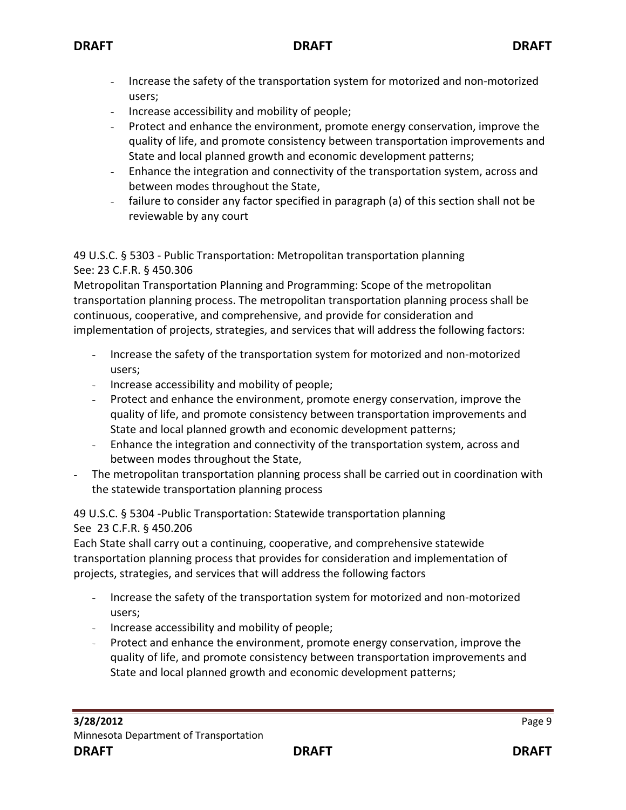- Increase the safety of the transportation system for motorized and non-motorized users;
- Increase accessibility and mobility of people;
- Protect and enhance the environment, promote energy conservation, improve the quality of life, and promote consistency between transportation improvements and State and local planned growth and economic development patterns;
- Enhance the integration and connectivity of the transportation system, across and between modes throughout the State,
- failure to consider any factor specified in paragraph (a) of this section shall not be reviewable by any court

49 U.S.C. § 5303 - Public Transportation: Metropolitan transportation planning See: 23 C.F.R. § 450.306

Metropolitan Transportation Planning and Programming: Scope of the metropolitan transportation planning process. The metropolitan transportation planning process shall be continuous, cooperative, and comprehensive, and provide for consideration and implementation of projects, strategies, and services that will address the following factors:

- Increase the safety of the transportation system for motorized and non-motorized users;
- Increase accessibility and mobility of people;
- Protect and enhance the environment, promote energy conservation, improve the quality of life, and promote consistency between transportation improvements and State and local planned growth and economic development patterns;
- Enhance the integration and connectivity of the transportation system, across and between modes throughout the State,
- The metropolitan transportation planning process shall be carried out in coordination with the statewide transportation planning process

49 U.S.C. § 5304 -Public Transportation: Statewide transportation planning See 23 C.F.R. § 450.206

Each State shall carry out a continuing, cooperative, and comprehensive statewide transportation planning process that provides for consideration and implementation of projects, strategies, and services that will address the following factors

- Increase the safety of the transportation system for motorized and non-motorized users;
- Increase accessibility and mobility of people;
- Protect and enhance the environment, promote energy conservation, improve the quality of life, and promote consistency between transportation improvements and State and local planned growth and economic development patterns;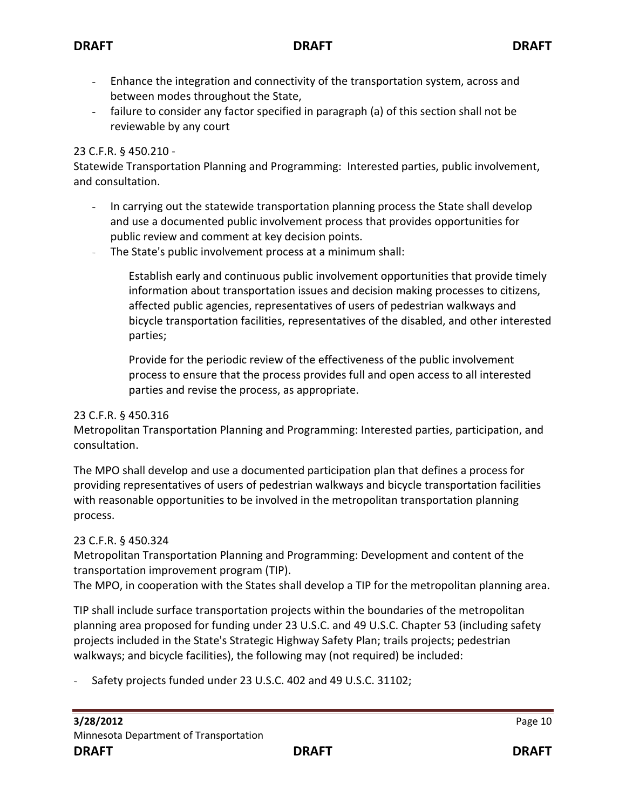- Enhance the integration and connectivity of the transportation system, across and between modes throughout the State,
- failure to consider any factor specified in paragraph (a) of this section shall not be reviewable by any court

## 23 C.F.R. § 450.210 -

Statewide Transportation Planning and Programming: Interested parties, public involvement, and consultation.

- In carrying out the statewide transportation planning process the State shall develop and use a documented public involvement process that provides opportunities for public review and comment at key decision points.
- The State's public involvement process at a minimum shall:

Establish early and continuous public involvement opportunities that provide timely information about transportation issues and decision making processes to citizens, affected public agencies, representatives of users of pedestrian walkways and bicycle transportation facilities, representatives of the disabled, and other interested parties;

Provide for the periodic review of the effectiveness of the public involvement process to ensure that the process provides full and open access to all interested parties and revise the process, as appropriate.

## 23 C.F.R. § 450.316

Metropolitan Transportation Planning and Programming: Interested parties, participation, and consultation.

The MPO shall develop and use a documented participation plan that defines a process for providing representatives of users of pedestrian walkways and bicycle transportation facilities with reasonable opportunities to be involved in the metropolitan transportation planning process.

## 23 C.F.R. § 450.324

Metropolitan Transportation Planning and Programming: Development and content of the transportation improvement program (TIP).

The MPO, in cooperation with the States shall develop a TIP for the metropolitan planning area.

TIP shall include surface transportation projects within the boundaries of the metropolitan planning area proposed for funding under 23 U.S.C. and 49 U.S.C. Chapter 53 (including safety projects included in the State's Strategic Highway Safety Plan; trails projects; pedestrian walkways; and bicycle facilities), the following may (not required) be included:

Safety projects funded under 23 U.S.C. 402 and 49 U.S.C. 31102;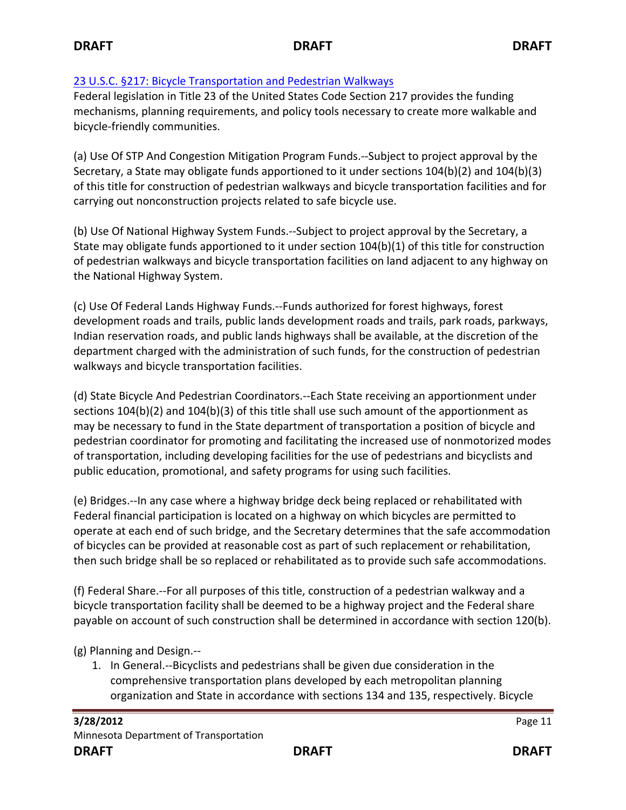## [23 U.S.C. §217: Bicycle Transportation and Pedestrian Walkways](http://frwebgate.access.gpo.gov/cgi-bin/getdoc.cgi?dbname=browse_usc&docid=Cite:+23USC217)

Federal legislation in Title 23 of the United States Code Section 217 provides the funding mechanisms, planning requirements, and policy tools necessary to create more walkable and bicycle-friendly communities.

(a) Use Of STP And Congestion Mitigation Program Funds.--Subject to project approval by the Secretary, a State may obligate funds apportioned to it under sections 104(b)(2) and 104(b)(3) of this title for construction of pedestrian walkways and bicycle transportation facilities and for carrying out nonconstruction projects related to safe bicycle use.

(b) Use Of National Highway System Funds.--Subject to project approval by the Secretary, a State may obligate funds apportioned to it under section 104(b)(1) of this title for construction of pedestrian walkways and bicycle transportation facilities on land adjacent to any highway on the National Highway System.

(c) Use Of Federal Lands Highway Funds.--Funds authorized for forest highways, forest development roads and trails, public lands development roads and trails, park roads, parkways, Indian reservation roads, and public lands highways shall be available, at the discretion of the department charged with the administration of such funds, for the construction of pedestrian walkways and bicycle transportation facilities.

(d) State Bicycle And Pedestrian Coordinators.--Each State receiving an apportionment under sections 104(b)(2) and 104(b)(3) of this title shall use such amount of the apportionment as may be necessary to fund in the State department of transportation a position of bicycle and pedestrian coordinator for promoting and facilitating the increased use of nonmotorized modes of transportation, including developing facilities for the use of pedestrians and bicyclists and public education, promotional, and safety programs for using such facilities.

(e) Bridges.--In any case where a highway bridge deck being replaced or rehabilitated with Federal financial participation is located on a highway on which bicycles are permitted to operate at each end of such bridge, and the Secretary determines that the safe accommodation of bicycles can be provided at reasonable cost as part of such replacement or rehabilitation, then such bridge shall be so replaced or rehabilitated as to provide such safe accommodations.

(f) Federal Share.--For all purposes of this title, construction of a pedestrian walkway and a bicycle transportation facility shall be deemed to be a highway project and the Federal share payable on account of such construction shall be determined in accordance with section 120(b).

(g) Planning and Design.--

1. In General.--Bicyclists and pedestrians shall be given due consideration in the comprehensive transportation plans developed by each metropolitan planning organization and State in accordance with sections 134 and 135, respectively. Bicycle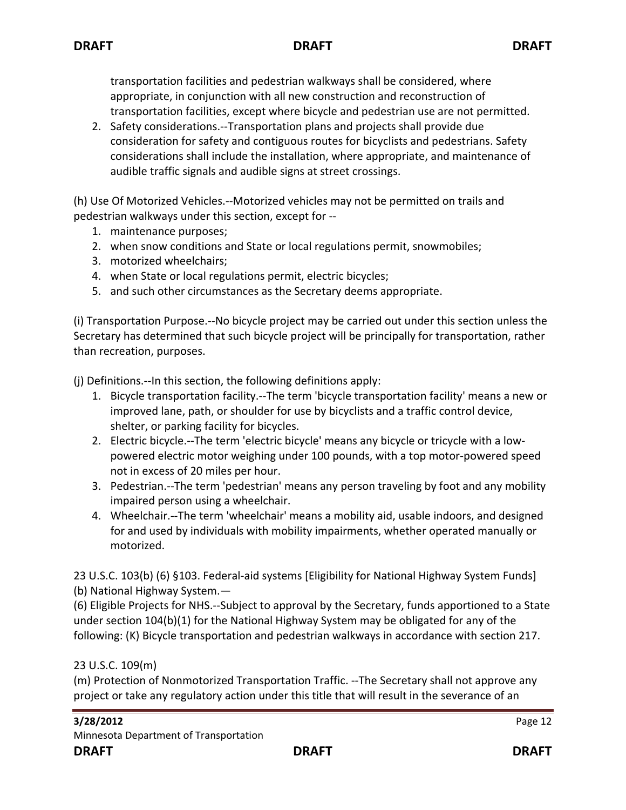transportation facilities and pedestrian walkways shall be considered, where appropriate, in conjunction with all new construction and reconstruction of transportation facilities, except where bicycle and pedestrian use are not permitted.

2. Safety considerations.--Transportation plans and projects shall provide due consideration for safety and contiguous routes for bicyclists and pedestrians. Safety considerations shall include the installation, where appropriate, and maintenance of audible traffic signals and audible signs at street crossings.

(h) Use Of Motorized Vehicles.--Motorized vehicles may not be permitted on trails and pedestrian walkways under this section, except for --

- 1. maintenance purposes;
- 2. when snow conditions and State or local regulations permit, snowmobiles;
- 3. motorized wheelchairs;
- 4. when State or local regulations permit, electric bicycles;
- 5. and such other circumstances as the Secretary deems appropriate.

(i) Transportation Purpose.--No bicycle project may be carried out under this section unless the Secretary has determined that such bicycle project will be principally for transportation, rather than recreation, purposes.

(j) Definitions.--In this section, the following definitions apply:

- 1. Bicycle transportation facility.--The term 'bicycle transportation facility' means a new or improved lane, path, or shoulder for use by bicyclists and a traffic control device, shelter, or parking facility for bicycles.
- 2. Electric bicycle.--The term 'electric bicycle' means any bicycle or tricycle with a lowpowered electric motor weighing under 100 pounds, with a top motor-powered speed not in excess of 20 miles per hour.
- 3. Pedestrian.--The term 'pedestrian' means any person traveling by foot and any mobility impaired person using a wheelchair.
- 4. Wheelchair.--The term 'wheelchair' means a mobility aid, usable indoors, and designed for and used by individuals with mobility impairments, whether operated manually or motorized.

23 U.S.C. 103(b) (6) §103. Federal-aid systems [Eligibility for National Highway System Funds] (b) National Highway System.—

(6) Eligible Projects for NHS.--Subject to approval by the Secretary, funds apportioned to a State under section 104(b)(1) for the National Highway System may be obligated for any of the following: (K) Bicycle transportation and pedestrian walkways in accordance with section 217.

## 23 U.S.C. 109(m)

(m) Protection of Nonmotorized Transportation Traffic. --The Secretary shall not approve any project or take any regulatory action under this title that will result in the severance of an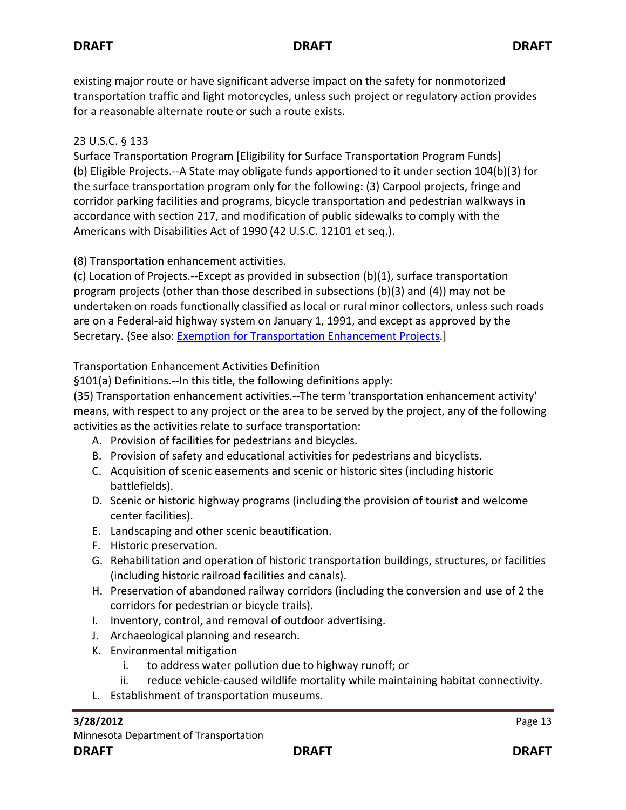existing major route or have significant adverse impact on the safety for nonmotorized transportation traffic and light motorcycles, unless such project or regulatory action provides for a reasonable alternate route or such a route exists.

## 23 U.S.C. § 133

Surface Transportation Program [Eligibility for Surface Transportation Program Funds] (b) Eligible Projects.--A State may obligate funds apportioned to it under section 104(b)(3) for the surface transportation program only for the following: (3) Carpool projects, fringe and corridor parking facilities and programs, bicycle transportation and pedestrian walkways in accordance with section 217, and modification of public sidewalks to comply with the Americans with Disabilities Act of 1990 (42 U.S.C. 12101 et seq.).

(8) Transportation enhancement activities.

(c) Location of Projects.--Except as provided in subsection (b)(1), surface transportation program projects (other than those described in subsections (b)(3) and (4)) may not be undertaken on roads functionally classified as local or rural minor collectors, unless such roads are on a Federal-aid highway system on January 1, 1991, and except as approved by the Secretary. {See also: [Exemption for Transportation Enhancement Projects.](http://www.fhwa.dot.gov/environment/te/gmemo_request.htm)]

Transportation Enhancement Activities Definition

§101(a) Definitions.--In this title, the following definitions apply:

(35) Transportation enhancement activities.--The term 'transportation enhancement activity' means, with respect to any project or the area to be served by the project, any of the following activities as the activities relate to surface transportation:

- A. Provision of facilities for pedestrians and bicycles.
- B. Provision of safety and educational activities for pedestrians and bicyclists.
- C. Acquisition of scenic easements and scenic or historic sites (including historic battlefields).
- D. Scenic or historic highway programs (including the provision of tourist and welcome center facilities).
- E. Landscaping and other scenic beautification.
- F. Historic preservation.
- G. Rehabilitation and operation of historic transportation buildings, structures, or facilities (including historic railroad facilities and canals).
- H. Preservation of abandoned railway corridors (including the conversion and use of 2 the corridors for pedestrian or bicycle trails).
- I. Inventory, control, and removal of outdoor advertising.
- J. Archaeological planning and research.
- K. Environmental mitigation
	- i. to address water pollution due to highway runoff; or
	- ii. reduce vehicle-caused wildlife mortality while maintaining habitat connectivity.
- L. Establishment of transportation museums.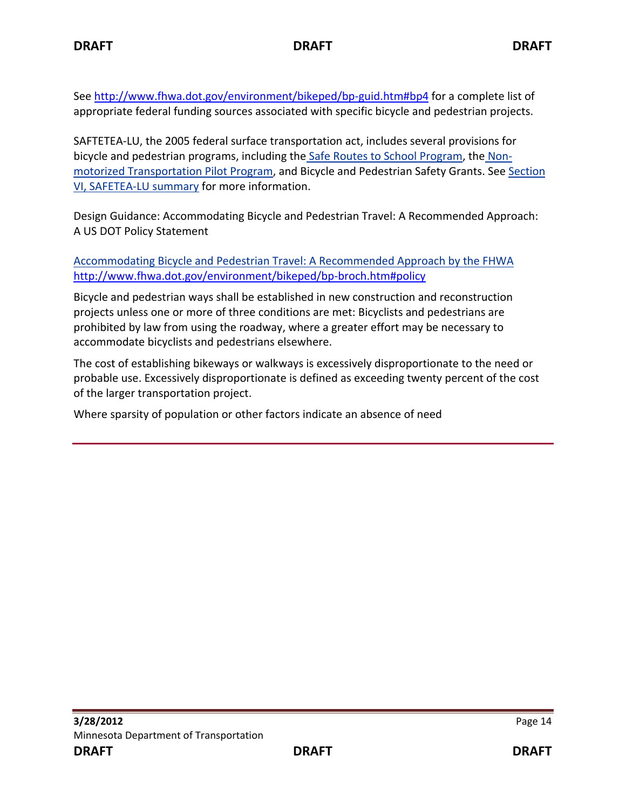See<http://www.fhwa.dot.gov/environment/bikeped/bp-guid.htm#bp4> for a complete list of appropriate federal funding sources associated with specific bicycle and pedestrian projects.

SAFTETEA-LU, the 2005 federal surface transportation act, includes several provisions for bicycle and pedestrian programs, including the [Safe Routes to School Program,](http://www.dot.state.mn.us/saferoutes/index.html) the [Non](http://www.fhwa.dot.gov/environment/bikeped/legtealu.htm#sec1807)[motorized Transportation Pilot Program,](http://www.fhwa.dot.gov/environment/bikeped/legtealu.htm#sec1807) and Bicycle and Pedestrian Safety Grants. See [Section](http://www.dot.state.mn.us/safetea-lu/docs/executivesummary.pdf)  [VI, SAFETEA-LU summary](http://www.dot.state.mn.us/safetea-lu/docs/executivesummary.pdf) for more information.

Design Guidance: Accommodating Bicycle and Pedestrian Travel: A Recommended Approach: A US DOT Policy Statement

[Accommodating Bicycle and Pedestrian Travel: A Recommended Approach by the FHWA](http://www.fhwa.dot.gov/environment/bikeped/design.htm#d4) <http://www.fhwa.dot.gov/environment/bikeped/bp-broch.htm#policy>

Bicycle and pedestrian ways shall be established in new construction and reconstruction projects unless one or more of three conditions are met: Bicyclists and pedestrians are prohibited by law from using the roadway, where a greater effort may be necessary to accommodate bicyclists and pedestrians elsewhere.

The cost of establishing bikeways or walkways is excessively disproportionate to the need or probable use. Excessively disproportionate is defined as exceeding twenty percent of the cost of the larger transportation project.

Where sparsity of population or other factors indicate an absence of need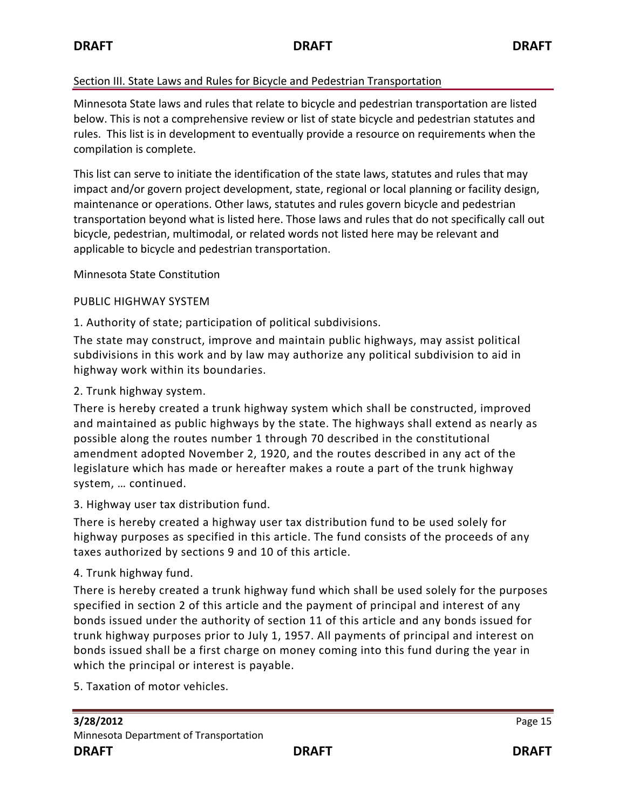## Section III. State Laws and Rules for Bicycle and Pedestrian Transportation

Minnesota State laws and rules that relate to bicycle and pedestrian transportation are listed below. This is not a comprehensive review or list of state bicycle and pedestrian statutes and rules. This list is in development to eventually provide a resource on requirements when the compilation is complete.

This list can serve to initiate the identification of the state laws, statutes and rules that may impact and/or govern project development, state, regional or local planning or facility design, maintenance or operations. Other laws, statutes and rules govern bicycle and pedestrian transportation beyond what is listed here. Those laws and rules that do not specifically call out bicycle, pedestrian, multimodal, or related words not listed here may be relevant and applicable to bicycle and pedestrian transportation.

Minnesota State Constitution

## PUBLIC HIGHWAY SYSTEM

1. Authority of state; participation of political subdivisions.

The state may construct, improve and maintain public highways, may assist political subdivisions in this work and by law may authorize any political subdivision to aid in highway work within its boundaries.

# 2. Trunk highway system.

There is hereby created a trunk highway system which shall be constructed, improved and maintained as public highways by the state. The highways shall extend as nearly as possible along the routes number 1 through 70 described in the constitutional amendment adopted November 2, 1920, and the routes described in any act of the legislature which has made or hereafter makes a route a part of the trunk highway system, … continued.

3. Highway user tax distribution fund.

There is hereby created a highway user tax distribution fund to be used solely for highway purposes as specified in this article. The fund consists of the proceeds of any taxes authorized by sections 9 and 10 of this article.

# 4. Trunk highway fund.

There is hereby created a trunk highway fund which shall be used solely for the purposes specified in section 2 of this article and the payment of principal and interest of any bonds issued under the authority of section 11 of this article and any bonds issued for trunk highway purposes prior to July 1, 1957. All payments of principal and interest on bonds issued shall be a first charge on money coming into this fund during the year in which the principal or interest is payable.

5. Taxation of motor vehicles.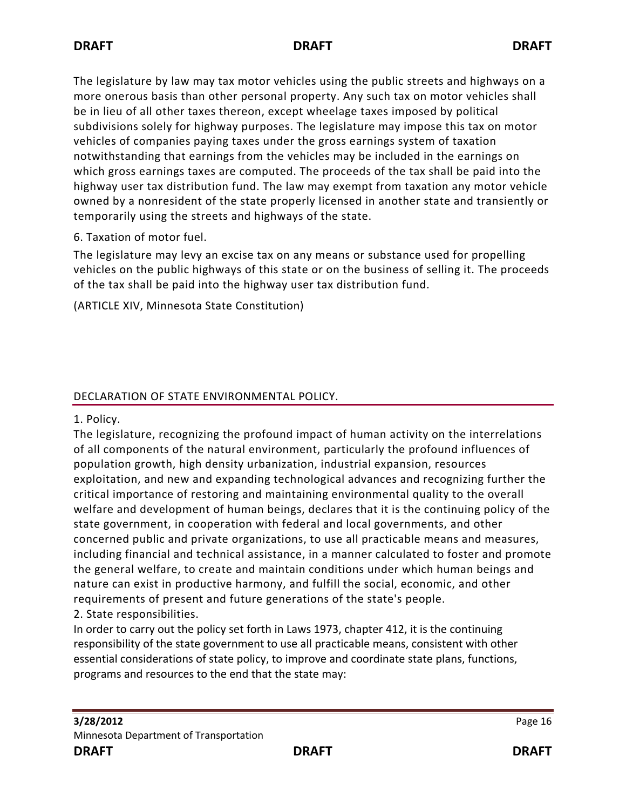The legislature by law may tax motor vehicles using the public streets and highways on a more onerous basis than other personal property. Any such tax on motor vehicles shall be in lieu of all other taxes thereon, except wheelage taxes imposed by political subdivisions solely for highway purposes. The legislature may impose this tax on motor vehicles of companies paying taxes under the gross earnings system of taxation notwithstanding that earnings from the vehicles may be included in the earnings on which gross earnings taxes are computed. The proceeds of the tax shall be paid into the highway user tax distribution fund. The law may exempt from taxation any motor vehicle owned by a nonresident of the state properly licensed in another state and transiently or temporarily using the streets and highways of the state.

## 6. Taxation of motor fuel.

The legislature may levy an excise tax on any means or substance used for propelling vehicles on the public highways of this state or on the business of selling it. The proceeds of the tax shall be paid into the highway user tax distribution fund.

(ARTICLE XIV, Minnesota State Constitution)

## DECLARATION OF STATE ENVIRONMENTAL POLICY.

1. Policy.

The legislature, recognizing the profound impact of human activity on the interrelations of all components of the natural environment, particularly the profound influences of population growth, high density urbanization, industrial expansion, resources exploitation, and new and expanding technological advances and recognizing further the critical importance of restoring and maintaining environmental quality to the overall welfare and development of human beings, declares that it is the continuing policy of the state government, in cooperation with federal and local governments, and other concerned public and private organizations, to use all practicable means and measures, including financial and technical assistance, in a manner calculated to foster and promote the general welfare, to create and maintain conditions under which human beings and nature can exist in productive harmony, and fulfill the social, economic, and other requirements of present and future generations of the state's people.

2. State responsibilities.

In order to carry out the policy set forth in Laws 1973, chapter 412, it is the continuing responsibility of the state government to use all practicable means, consistent with other essential considerations of state policy, to improve and coordinate state plans, functions, programs and resources to the end that the state may: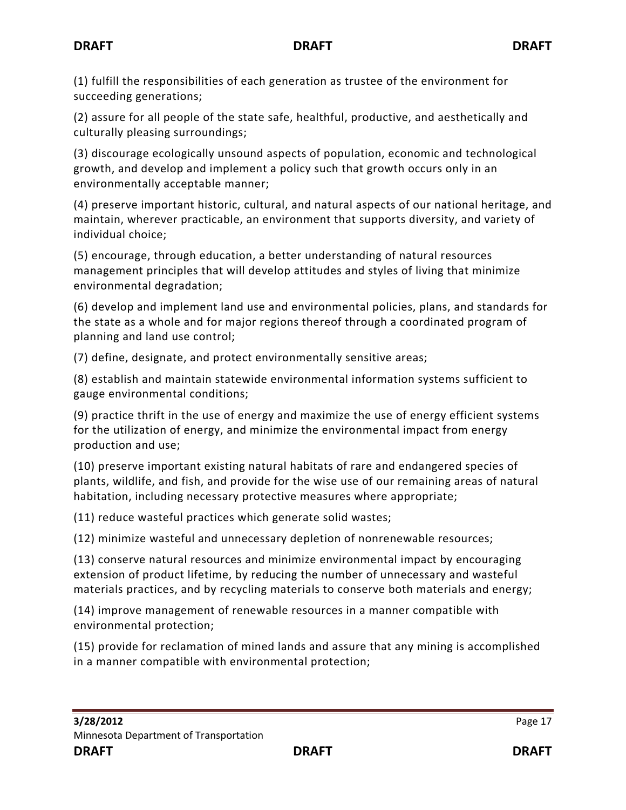(1) fulfill the responsibilities of each generation as trustee of the environment for succeeding generations;

(2) assure for all people of the state safe, healthful, productive, and aesthetically and culturally pleasing surroundings;

(3) discourage ecologically unsound aspects of population, economic and technological growth, and develop and implement a policy such that growth occurs only in an environmentally acceptable manner;

(4) preserve important historic, cultural, and natural aspects of our national heritage, and maintain, wherever practicable, an environment that supports diversity, and variety of individual choice;

(5) encourage, through education, a better understanding of natural resources management principles that will develop attitudes and styles of living that minimize environmental degradation;

(6) develop and implement land use and environmental policies, plans, and standards for the state as a whole and for major regions thereof through a coordinated program of planning and land use control;

(7) define, designate, and protect environmentally sensitive areas;

(8) establish and maintain statewide environmental information systems sufficient to gauge environmental conditions;

(9) practice thrift in the use of energy and maximize the use of energy efficient systems for the utilization of energy, and minimize the environmental impact from energy production and use;

(10) preserve important existing natural habitats of rare and endangered species of plants, wildlife, and fish, and provide for the wise use of our remaining areas of natural habitation, including necessary protective measures where appropriate;

(11) reduce wasteful practices which generate solid wastes;

(12) minimize wasteful and unnecessary depletion of nonrenewable resources;

(13) conserve natural resources and minimize environmental impact by encouraging extension of product lifetime, by reducing the number of unnecessary and wasteful materials practices, and by recycling materials to conserve both materials and energy;

(14) improve management of renewable resources in a manner compatible with environmental protection;

(15) provide for reclamation of mined lands and assure that any mining is accomplished in a manner compatible with environmental protection;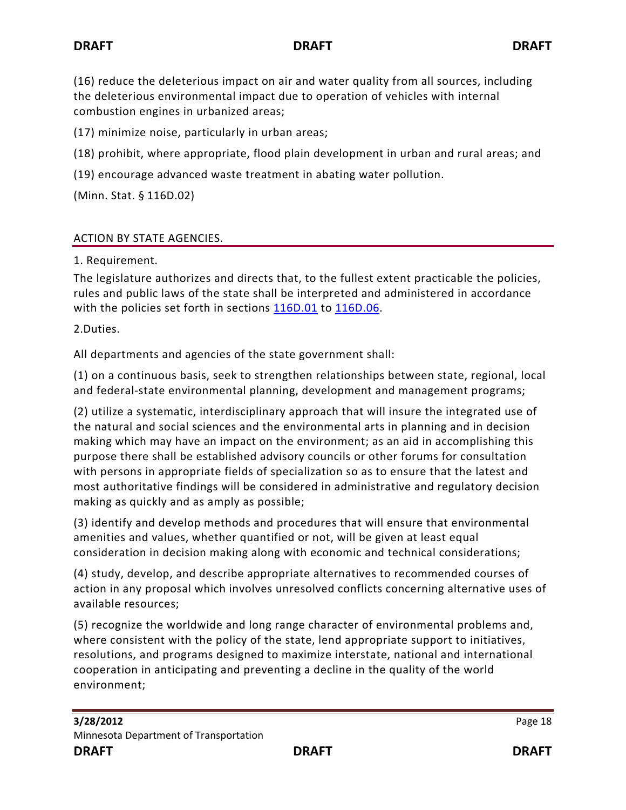(16) reduce the deleterious impact on air and water quality from all sources, including the deleterious environmental impact due to operation of vehicles with internal combustion engines in urbanized areas;

(17) minimize noise, particularly in urban areas;

(18) prohibit, where appropriate, flood plain development in urban and rural areas; and

(19) encourage advanced waste treatment in abating water pollution.

(Minn. Stat. § 116D.02)

## ACTION BY STATE AGENCIES.

1. Requirement.

The legislature authorizes and directs that, to the fullest extent practicable the policies, rules and public laws of the state shall be interpreted and administered in accordance with the policies set forth in sections  $116D.01$  to  $116D.06$ .

2.Duties.

All departments and agencies of the state government shall:

(1) on a continuous basis, seek to strengthen relationships between state, regional, local and federal-state environmental planning, development and management programs;

(2) utilize a systematic, interdisciplinary approach that will insure the integrated use of the natural and social sciences and the environmental arts in planning and in decision making which may have an impact on the environment; as an aid in accomplishing this purpose there shall be established advisory councils or other forums for consultation with persons in appropriate fields of specialization so as to ensure that the latest and most authoritative findings will be considered in administrative and regulatory decision making as quickly and as amply as possible;

(3) identify and develop methods and procedures that will ensure that environmental amenities and values, whether quantified or not, will be given at least equal consideration in decision making along with economic and technical considerations;

(4) study, develop, and describe appropriate alternatives to recommended courses of action in any proposal which involves unresolved conflicts concerning alternative uses of available resources;

(5) recognize the worldwide and long range character of environmental problems and, where consistent with the policy of the state, lend appropriate support to initiatives, resolutions, and programs designed to maximize interstate, national and international cooperation in anticipating and preventing a decline in the quality of the world environment;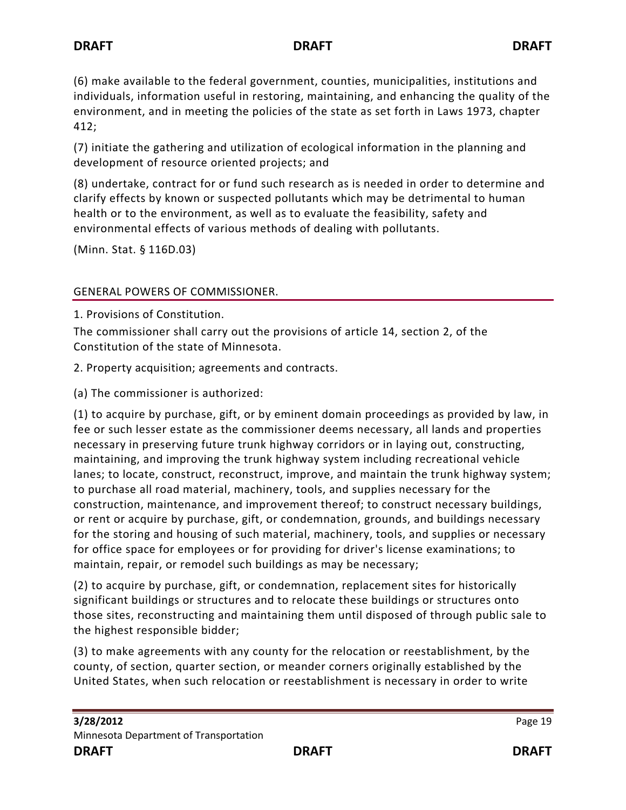(6) make available to the federal government, counties, municipalities, institutions and individuals, information useful in restoring, maintaining, and enhancing the quality of the environment, and in meeting the policies of the state as set forth in Laws 1973, chapter 412;

(7) initiate the gathering and utilization of ecological information in the planning and development of resource oriented projects; and

(8) undertake, contract for or fund such research as is needed in order to determine and clarify effects by known or suspected pollutants which may be detrimental to human health or to the environment, as well as to evaluate the feasibility, safety and environmental effects of various methods of dealing with pollutants.

(Minn. Stat. § 116D.03)

## GENERAL POWERS OF COMMISSIONER.

1. Provisions of Constitution.

The commissioner shall carry out the provisions of article 14, section 2, of the Constitution of the state of Minnesota.

2. Property acquisition; agreements and contracts.

(a) The commissioner is authorized:

(1) to acquire by purchase, gift, or by eminent domain proceedings as provided by law, in fee or such lesser estate as the commissioner deems necessary, all lands and properties necessary in preserving future trunk highway corridors or in laying out, constructing, maintaining, and improving the trunk highway system including recreational vehicle lanes; to locate, construct, reconstruct, improve, and maintain the trunk highway system; to purchase all road material, machinery, tools, and supplies necessary for the construction, maintenance, and improvement thereof; to construct necessary buildings, or rent or acquire by purchase, gift, or condemnation, grounds, and buildings necessary for the storing and housing of such material, machinery, tools, and supplies or necessary for office space for employees or for providing for driver's license examinations; to maintain, repair, or remodel such buildings as may be necessary;

(2) to acquire by purchase, gift, or condemnation, replacement sites for historically significant buildings or structures and to relocate these buildings or structures onto those sites, reconstructing and maintaining them until disposed of through public sale to the highest responsible bidder;

(3) to make agreements with any county for the relocation or reestablishment, by the county, of section, quarter section, or meander corners originally established by the United States, when such relocation or reestablishment is necessary in order to write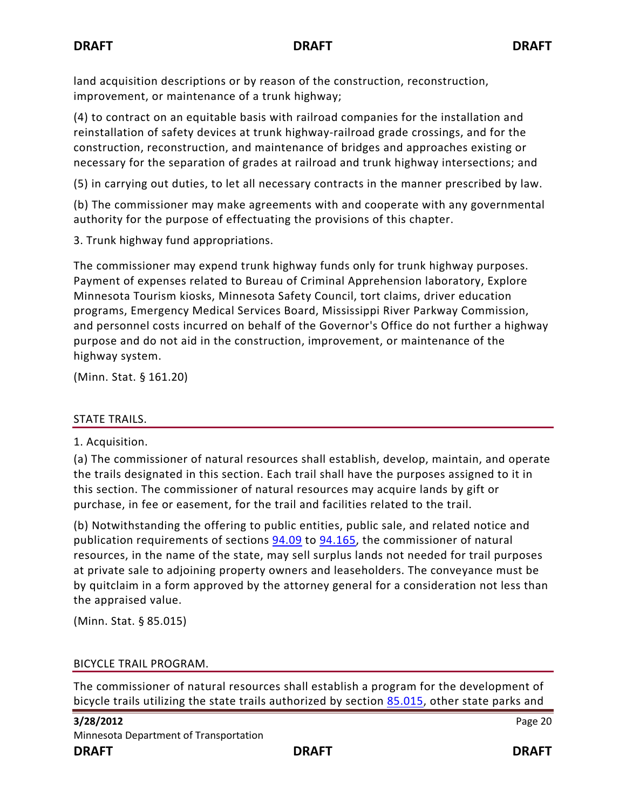land acquisition descriptions or by reason of the construction, reconstruction, improvement, or maintenance of a trunk highway;

(4) to contract on an equitable basis with railroad companies for the installation and reinstallation of safety devices at trunk highway-railroad grade crossings, and for the construction, reconstruction, and maintenance of bridges and approaches existing or necessary for the separation of grades at railroad and trunk highway intersections; and

(5) in carrying out duties, to let all necessary contracts in the manner prescribed by law.

(b) The commissioner may make agreements with and cooperate with any governmental authority for the purpose of effectuating the provisions of this chapter.

3. Trunk highway fund appropriations.

The commissioner may expend trunk highway funds only for trunk highway purposes. Payment of expenses related to Bureau of Criminal Apprehension laboratory, Explore Minnesota Tourism kiosks, Minnesota Safety Council, tort claims, driver education programs, Emergency Medical Services Board, Mississippi River Parkway Commission, and personnel costs incurred on behalf of the Governor's Office do not further a highway purpose and do not aid in the construction, improvement, or maintenance of the highway system.

(Minn. Stat. § 161.20)

## STATE TRAILS.

1. Acquisition.

(a) The commissioner of natural resources shall establish, develop, maintain, and operate the trails designated in this section. Each trail shall have the purposes assigned to it in this section. The commissioner of natural resources may acquire lands by gift or purchase, in fee or easement, for the trail and facilities related to the trail.

(b) Notwithstanding the offering to public entities, public sale, and related notice and publication requirements of sections [94.09](https://www.revisor.mn.gov/statutes?id=94.09#stat.94.09) to [94.165,](https://www.revisor.mn.gov/statutes?id=94.165#stat.94.165) the commissioner of natural resources, in the name of the state, may sell surplus lands not needed for trail purposes at private sale to adjoining property owners and leaseholders. The conveyance must be by quitclaim in a form approved by the attorney general for a consideration not less than the appraised value.

(Minn. Stat. § 85.015)

## BICYCLE TRAIL PROGRAM.

The commissioner of natural resources shall establish a program for the development of bicycle trails utilizing the state trails authorized by section [85.015,](https://www.revisor.mn.gov/statutes?id=85.015#stat.85.015) other state parks and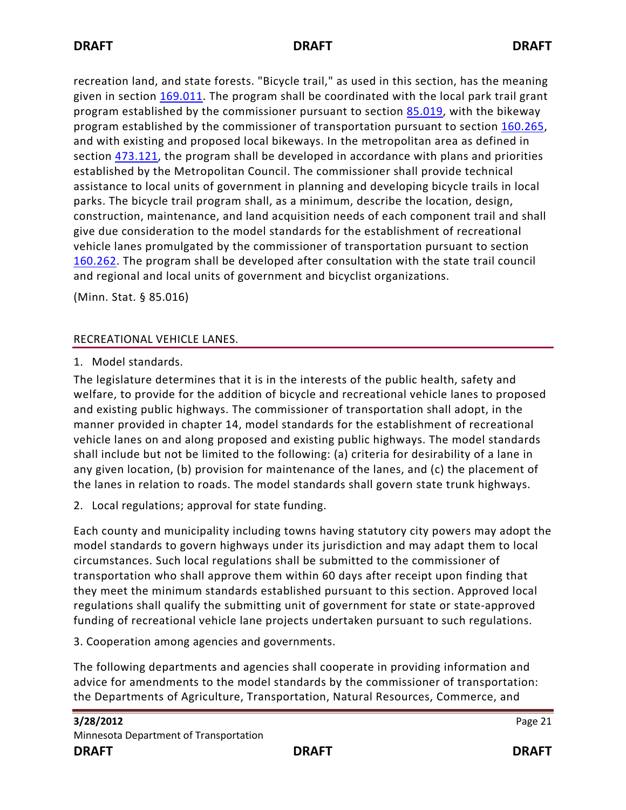recreation land, and state forests. "Bicycle trail," as used in this section, has the meaning given in section [169.011.](https://www.revisor.mn.gov/statutes?id=169.011#stat.169.011) The program shall be coordinated with the local park trail grant program established by the commissioner pursuant to section [85.019,](https://www.revisor.mn.gov/statutes?id=85.019#stat.85.019) with the bikeway program established by the commissioner of transportation pursuant to section [160.265,](https://www.revisor.mn.gov/statutes?id=160.265#stat.160.265) and with existing and proposed local bikeways. In the metropolitan area as defined in section [473.121,](https://www.revisor.mn.gov/statutes?id=473.121#stat.473.121) the program shall be developed in accordance with plans and priorities established by the Metropolitan Council. The commissioner shall provide technical assistance to local units of government in planning and developing bicycle trails in local parks. The bicycle trail program shall, as a minimum, describe the location, design, construction, maintenance, and land acquisition needs of each component trail and shall give due consideration to the model standards for the establishment of recreational vehicle lanes promulgated by the commissioner of transportation pursuant to section [160.262.](https://www.revisor.mn.gov/statutes?id=160.262#stat.160.262) The program shall be developed after consultation with the state trail council and regional and local units of government and bicyclist organizations.

(Minn. Stat. § 85.016)

## RECREATIONAL VEHICLE LANES.

1. Model standards.

The legislature determines that it is in the interests of the public health, safety and welfare, to provide for the addition of bicycle and recreational vehicle lanes to proposed and existing public highways. The commissioner of transportation shall adopt, in the manner provided in chapter 14, model standards for the establishment of recreational vehicle lanes on and along proposed and existing public highways. The model standards shall include but not be limited to the following: (a) criteria for desirability of a lane in any given location, (b) provision for maintenance of the lanes, and (c) the placement of the lanes in relation to roads. The model standards shall govern state trunk highways.

2. Local regulations; approval for state funding.

Each county and municipality including towns having statutory city powers may adopt the model standards to govern highways under its jurisdiction and may adapt them to local circumstances. Such local regulations shall be submitted to the commissioner of transportation who shall approve them within 60 days after receipt upon finding that they meet the minimum standards established pursuant to this section. Approved local regulations shall qualify the submitting unit of government for state or state-approved funding of recreational vehicle lane projects undertaken pursuant to such regulations.

3. Cooperation among agencies and governments.

The following departments and agencies shall cooperate in providing information and advice for amendments to the model standards by the commissioner of transportation: the Departments of Agriculture, Transportation, Natural Resources, Commerce, and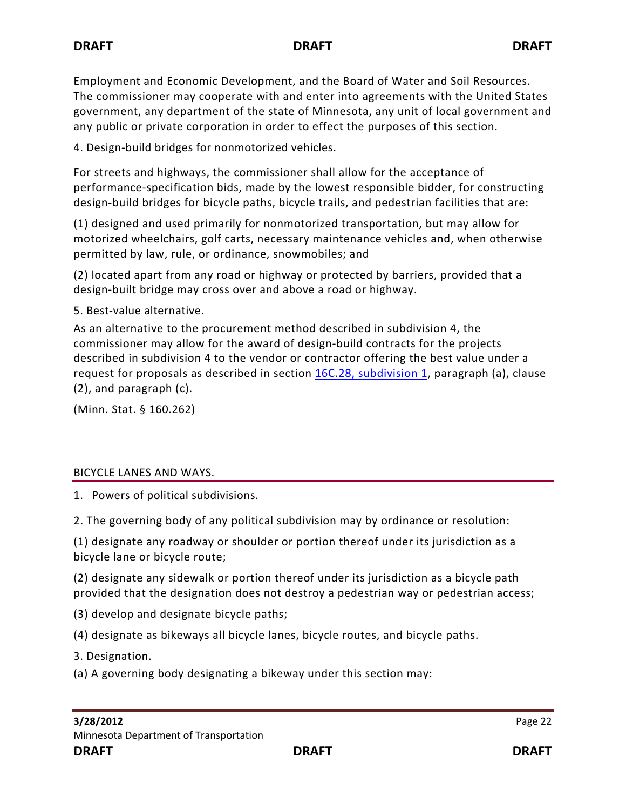Employment and Economic Development, and the Board of Water and Soil Resources. The commissioner may cooperate with and enter into agreements with the United States government, any department of the state of Minnesota, any unit of local government and any public or private corporation in order to effect the purposes of this section.

4. Design-build bridges for nonmotorized vehicles.

For streets and highways, the commissioner shall allow for the acceptance of performance-specification bids, made by the lowest responsible bidder, for constructing design-build bridges for bicycle paths, bicycle trails, and pedestrian facilities that are:

(1) designed and used primarily for nonmotorized transportation, but may allow for motorized wheelchairs, golf carts, necessary maintenance vehicles and, when otherwise permitted by law, rule, or ordinance, snowmobiles; and

(2) located apart from any road or highway or protected by barriers, provided that a design-built bridge may cross over and above a road or highway.

5. Best-value alternative.

As an alternative to the procurement method described in subdivision 4, the commissioner may allow for the award of design-build contracts for the projects described in subdivision 4 to the vendor or contractor offering the best value under a request for proposals as described in section [16C.28, subdivision 1,](https://www.revisor.mn.gov/statutes?id=16C.28#stat.16C.28.1) paragraph (a), clause (2), and paragraph (c).

(Minn. Stat. § 160.262)

## BICYCLE LANES AND WAYS.

1. Powers of political subdivisions.

2. The governing body of any political subdivision may by ordinance or resolution:

(1) designate any roadway or shoulder or portion thereof under its jurisdiction as a bicycle lane or bicycle route;

(2) designate any sidewalk or portion thereof under its jurisdiction as a bicycle path provided that the designation does not destroy a pedestrian way or pedestrian access;

(3) develop and designate bicycle paths;

(4) designate as bikeways all bicycle lanes, bicycle routes, and bicycle paths.

3. Designation.

(a) A governing body designating a bikeway under this section may: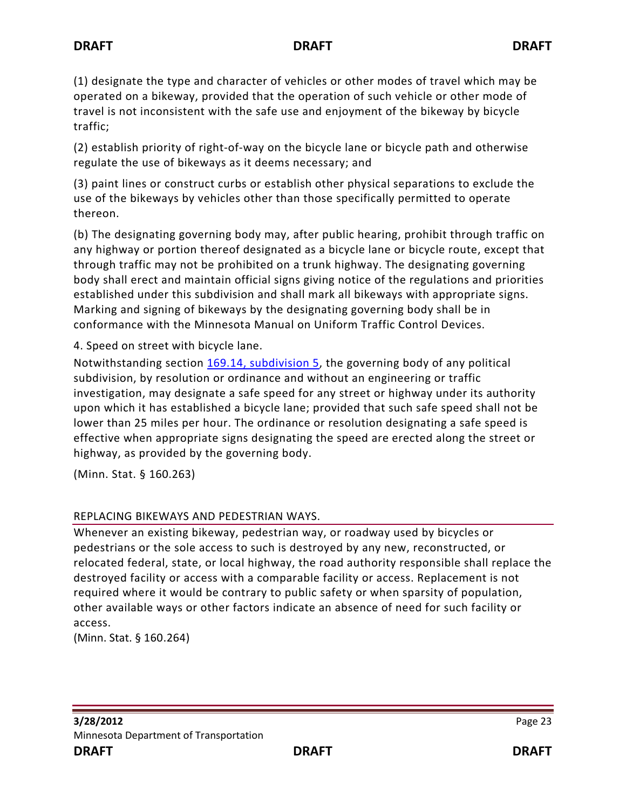(1) designate the type and character of vehicles or other modes of travel which may be operated on a bikeway, provided that the operation of such vehicle or other mode of travel is not inconsistent with the safe use and enjoyment of the bikeway by bicycle traffic;

(2) establish priority of right-of-way on the bicycle lane or bicycle path and otherwise regulate the use of bikeways as it deems necessary; and

(3) paint lines or construct curbs or establish other physical separations to exclude the use of the bikeways by vehicles other than those specifically permitted to operate thereon.

(b) The designating governing body may, after public hearing, prohibit through traffic on any highway or portion thereof designated as a bicycle lane or bicycle route, except that through traffic may not be prohibited on a trunk highway. The designating governing body shall erect and maintain official signs giving notice of the regulations and priorities established under this subdivision and shall mark all bikeways with appropriate signs. Marking and signing of bikeways by the designating governing body shall be in conformance with the Minnesota Manual on Uniform Traffic Control Devices.

4. Speed on street with bicycle lane.

Notwithstanding section [169.14, subdivision 5,](https://www.revisor.mn.gov/statutes?id=169.14#stat.169.14.5) the governing body of any political subdivision, by resolution or ordinance and without an engineering or traffic investigation, may designate a safe speed for any street or highway under its authority upon which it has established a bicycle lane; provided that such safe speed shall not be lower than 25 miles per hour. The ordinance or resolution designating a safe speed is effective when appropriate signs designating the speed are erected along the street or highway, as provided by the governing body.

(Minn. Stat. § 160.263)

## REPLACING BIKEWAYS AND PEDESTRIAN WAYS.

Whenever an existing bikeway, pedestrian way, or roadway used by bicycles or pedestrians or the sole access to such is destroyed by any new, reconstructed, or relocated federal, state, or local highway, the road authority responsible shall replace the destroyed facility or access with a comparable facility or access. Replacement is not required where it would be contrary to public safety or when sparsity of population, other available ways or other factors indicate an absence of need for such facility or access.

(Minn. Stat. § 160.264)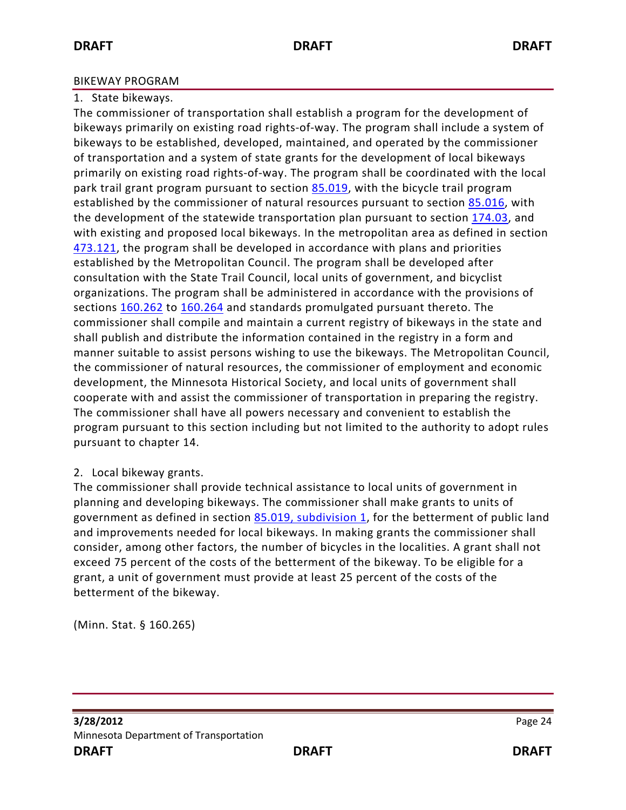#### BIKEWAY PROGRAM

#### 1. State bikeways.

The commissioner of transportation shall establish a program for the development of bikeways primarily on existing road rights-of-way. The program shall include a system of bikeways to be established, developed, maintained, and operated by the commissioner of transportation and a system of state grants for the development of local bikeways primarily on existing road rights-of-way. The program shall be coordinated with the local park trail grant program pursuant to section [85.019,](https://www.revisor.mn.gov/statutes?id=85.019#stat.85.019) with the bicycle trail program established by the commissioner of natural resources pursuant to section [85.016,](https://www.revisor.mn.gov/statutes?id=85.016#stat.85.016) with the development of the statewide transportation plan pursuant to section [174.03,](https://www.revisor.mn.gov/statutes?id=174.03#stat.174.03) and with existing and proposed local bikeways. In the metropolitan area as defined in section [473.121,](https://www.revisor.mn.gov/statutes?id=473.121#stat.473.121) the program shall be developed in accordance with plans and priorities established by the Metropolitan Council. The program shall be developed after consultation with the State Trail Council, local units of government, and bicyclist organizations. The program shall be administered in accordance with the provisions of sections [160.262](https://www.revisor.mn.gov/statutes?id=160.262#stat.160.262) to [160.264](https://www.revisor.mn.gov/statutes?id=160.264#stat.160.264) and standards promulgated pursuant thereto. The commissioner shall compile and maintain a current registry of bikeways in the state and shall publish and distribute the information contained in the registry in a form and manner suitable to assist persons wishing to use the bikeways. The Metropolitan Council, the commissioner of natural resources, the commissioner of employment and economic development, the Minnesota Historical Society, and local units of government shall cooperate with and assist the commissioner of transportation in preparing the registry. The commissioner shall have all powers necessary and convenient to establish the program pursuant to this section including but not limited to the authority to adopt rules pursuant to chapter 14.

## 2. Local bikeway grants.

The commissioner shall provide technical assistance to local units of government in planning and developing bikeways. The commissioner shall make grants to units of government as defined in section [85.019, subdivision 1,](https://www.revisor.mn.gov/statutes?id=85.019#stat.85.019.1) for the betterment of public land and improvements needed for local bikeways. In making grants the commissioner shall consider, among other factors, the number of bicycles in the localities. A grant shall not exceed 75 percent of the costs of the betterment of the bikeway. To be eligible for a grant, a unit of government must provide at least 25 percent of the costs of the betterment of the bikeway.

(Minn. Stat. § 160.265)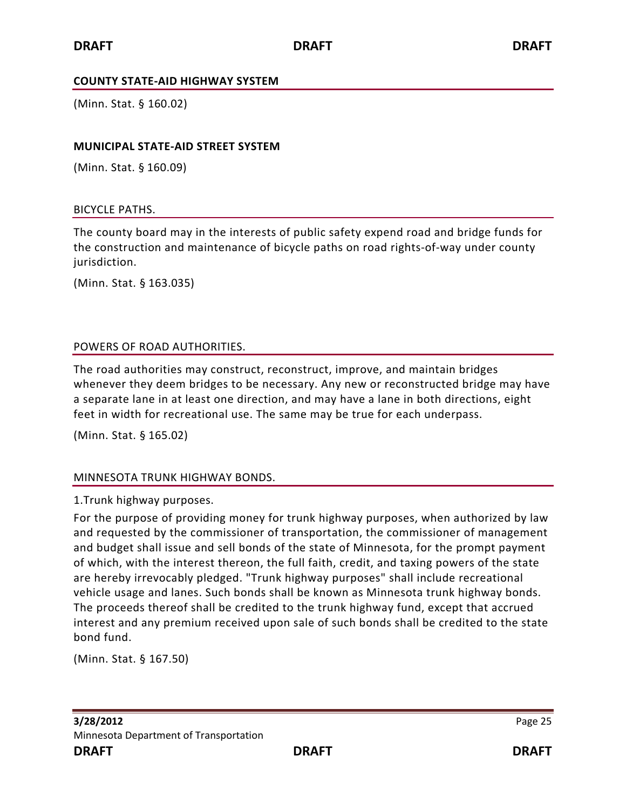#### **COUNTY STATE-AID HIGHWAY SYSTEM**

(Minn. Stat. § 160.02)

#### **MUNICIPAL STATE-AID STREET SYSTEM**

(Minn. Stat. § 160.09)

#### BICYCLE PATHS.

The county board may in the interests of public safety expend road and bridge funds for the construction and maintenance of bicycle paths on road rights-of-way under county jurisdiction.

(Minn. Stat. § 163.035)

#### POWERS OF ROAD AUTHORITIES.

The road authorities may construct, reconstruct, improve, and maintain bridges whenever they deem bridges to be necessary. Any new or reconstructed bridge may have a separate lane in at least one direction, and may have a lane in both directions, eight feet in width for recreational use. The same may be true for each underpass.

(Minn. Stat. § 165.02)

## MINNESOTA TRUNK HIGHWAY BONDS.

1.Trunk highway purposes.

For the purpose of providing money for trunk highway purposes, when authorized by law and requested by the commissioner of transportation, the commissioner of management and budget shall issue and sell bonds of the state of Minnesota, for the prompt payment of which, with the interest thereon, the full faith, credit, and taxing powers of the state are hereby irrevocably pledged. "Trunk highway purposes" shall include recreational vehicle usage and lanes. Such bonds shall be known as Minnesota trunk highway bonds. The proceeds thereof shall be credited to the trunk highway fund, except that accrued interest and any premium received upon sale of such bonds shall be credited to the state bond fund.

(Minn. Stat. § 167.50)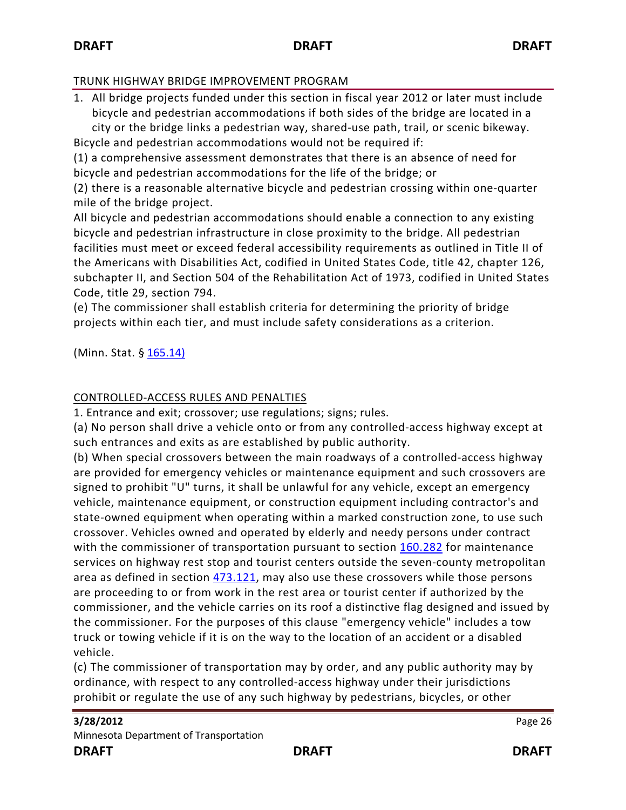## TRUNK HIGHWAY BRIDGE IMPROVEMENT PROGRAM

1. All bridge projects funded under this section in fiscal year 2012 or later must include bicycle and pedestrian accommodations if both sides of the bridge are located in a city or the bridge links a pedestrian way, shared-use path, trail, or scenic bikeway. Bicycle and pedestrian accommodations would not be required if:

(1) a comprehensive assessment demonstrates that there is an absence of need for bicycle and pedestrian accommodations for the life of the bridge; or

(2) there is a reasonable alternative bicycle and pedestrian crossing within one-quarter mile of the bridge project.

All bicycle and pedestrian accommodations should enable a connection to any existing bicycle and pedestrian infrastructure in close proximity to the bridge. All pedestrian facilities must meet or exceed federal accessibility requirements as outlined in Title II of the Americans with Disabilities Act, codified in United States Code, title 42, chapter 126, subchapter II, and Section 504 of the Rehabilitation Act of 1973, codified in United States Code, title 29, section 794.

(e) The commissioner shall establish criteria for determining the priority of bridge projects within each tier, and must include safety considerations as a criterion.

(Minn. Stat. § [165.14\)](https://www.revisor.mn.gov/statutes/?id=165.14)

## CONTROLLED-ACCESS RULES AND PENALTIES

1. Entrance and exit; crossover; use regulations; signs; rules.

(a) No person shall drive a vehicle onto or from any controlled-access highway except at such entrances and exits as are established by public authority.

(b) When special crossovers between the main roadways of a controlled-access highway are provided for emergency vehicles or maintenance equipment and such crossovers are signed to prohibit "U" turns, it shall be unlawful for any vehicle, except an emergency vehicle, maintenance equipment, or construction equipment including contractor's and state-owned equipment when operating within a marked construction zone, to use such crossover. Vehicles owned and operated by elderly and needy persons under contract with the commissioner of transportation pursuant to section [160.282](https://www.revisor.mn.gov/statutes?id=160.282#stat.160.282) for maintenance services on highway rest stop and tourist centers outside the seven-county metropolitan area as defined in section [473.121,](https://www.revisor.mn.gov/statutes?id=473.121#stat.473.121) may also use these crossovers while those persons are proceeding to or from work in the rest area or tourist center if authorized by the commissioner, and the vehicle carries on its roof a distinctive flag designed and issued by the commissioner. For the purposes of this clause "emergency vehicle" includes a tow truck or towing vehicle if it is on the way to the location of an accident or a disabled vehicle.

(c) The commissioner of transportation may by order, and any public authority may by ordinance, with respect to any controlled-access highway under their jurisdictions prohibit or regulate the use of any such highway by pedestrians, bicycles, or other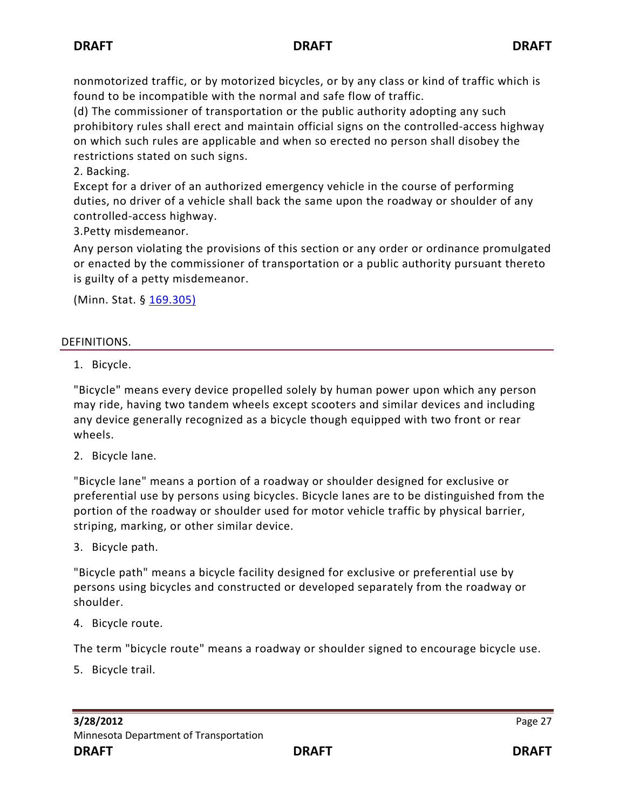nonmotorized traffic, or by motorized bicycles, or by any class or kind of traffic which is found to be incompatible with the normal and safe flow of traffic.

(d) The commissioner of transportation or the public authority adopting any such prohibitory rules shall erect and maintain official signs on the controlled-access highway on which such rules are applicable and when so erected no person shall disobey the restrictions stated on such signs.

2. Backing.

Except for a driver of an authorized emergency vehicle in the course of performing duties, no driver of a vehicle shall back the same upon the roadway or shoulder of any controlled-access highway.

3.Petty misdemeanor.

Any person violating the provisions of this section or any order or ordinance promulgated or enacted by the commissioner of transportation or a public authority pursuant thereto is guilty of a petty misdemeanor.

(Minn. Stat. § [169.305\)](https://www.revisor.mn.gov/statutes/?id=169.305)

## DEFINITIONS.

1. Bicycle.

"Bicycle" means every device propelled solely by human power upon which any person may ride, having two tandem wheels except scooters and similar devices and including any device generally recognized as a bicycle though equipped with two front or rear wheels.

2. Bicycle lane.

"Bicycle lane" means a portion of a roadway or shoulder designed for exclusive or preferential use by persons using bicycles. Bicycle lanes are to be distinguished from the portion of the roadway or shoulder used for motor vehicle traffic by physical barrier, striping, marking, or other similar device.

3. Bicycle path.

"Bicycle path" means a bicycle facility designed for exclusive or preferential use by persons using bicycles and constructed or developed separately from the roadway or shoulder.

4. Bicycle route.

The term "bicycle route" means a roadway or shoulder signed to encourage bicycle use.

5. Bicycle trail.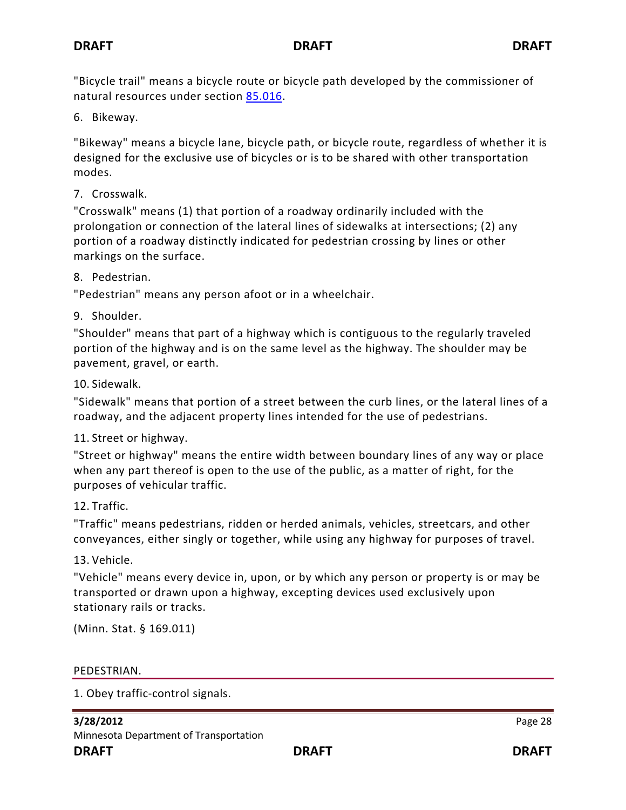"Bicycle trail" means a bicycle route or bicycle path developed by the commissioner of natural resources under section [85.016.](https://www.revisor.mn.gov/statutes?id=85.016#stat.85.016)

6. Bikeway.

"Bikeway" means a bicycle lane, bicycle path, or bicycle route, regardless of whether it is designed for the exclusive use of bicycles or is to be shared with other transportation modes.

7. Crosswalk.

"Crosswalk" means (1) that portion of a roadway ordinarily included with the prolongation or connection of the lateral lines of sidewalks at intersections; (2) any portion of a roadway distinctly indicated for pedestrian crossing by lines or other markings on the surface.

8. Pedestrian.

"Pedestrian" means any person afoot or in a wheelchair.

9. Shoulder.

"Shoulder" means that part of a highway which is contiguous to the regularly traveled portion of the highway and is on the same level as the highway. The shoulder may be pavement, gravel, or earth.

10. Sidewalk.

"Sidewalk" means that portion of a street between the curb lines, or the lateral lines of a roadway, and the adjacent property lines intended for the use of pedestrians.

11. Street or highway.

"Street or highway" means the entire width between boundary lines of any way or place when any part thereof is open to the use of the public, as a matter of right, for the purposes of vehicular traffic.

## 12. Traffic.

"Traffic" means pedestrians, ridden or herded animals, vehicles, streetcars, and other conveyances, either singly or together, while using any highway for purposes of travel.

13. Vehicle.

"Vehicle" means every device in, upon, or by which any person or property is or may be transported or drawn upon a highway, excepting devices used exclusively upon stationary rails or tracks.

(Minn. Stat. § 169.011)

PEDESTRIAN.

1. Obey traffic-control signals.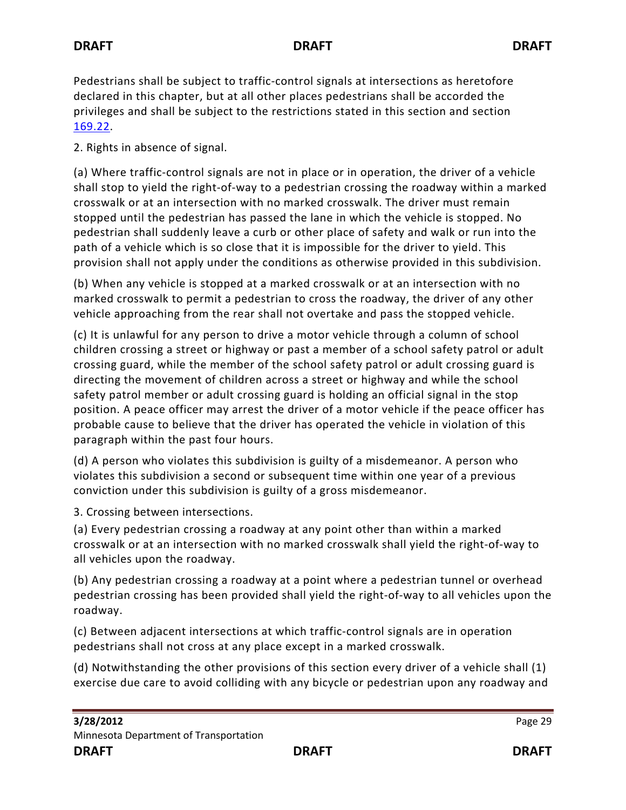Pedestrians shall be subject to traffic-control signals at intersections as heretofore declared in this chapter, but at all other places pedestrians shall be accorded the privileges and shall be subject to the restrictions stated in this section and section [169.22.](https://www.revisor.mn.gov/statutes?id=169.22#stat.169.22)

2. Rights in absence of signal.

(a) Where traffic-control signals are not in place or in operation, the driver of a vehicle shall stop to yield the right-of-way to a pedestrian crossing the roadway within a marked crosswalk or at an intersection with no marked crosswalk. The driver must remain stopped until the pedestrian has passed the lane in which the vehicle is stopped. No pedestrian shall suddenly leave a curb or other place of safety and walk or run into the path of a vehicle which is so close that it is impossible for the driver to yield. This provision shall not apply under the conditions as otherwise provided in this subdivision.

(b) When any vehicle is stopped at a marked crosswalk or at an intersection with no marked crosswalk to permit a pedestrian to cross the roadway, the driver of any other vehicle approaching from the rear shall not overtake and pass the stopped vehicle.

(c) It is unlawful for any person to drive a motor vehicle through a column of school children crossing a street or highway or past a member of a school safety patrol or adult crossing guard, while the member of the school safety patrol or adult crossing guard is directing the movement of children across a street or highway and while the school safety patrol member or adult crossing guard is holding an official signal in the stop position. A peace officer may arrest the driver of a motor vehicle if the peace officer has probable cause to believe that the driver has operated the vehicle in violation of this paragraph within the past four hours.

(d) A person who violates this subdivision is guilty of a misdemeanor. A person who violates this subdivision a second or subsequent time within one year of a previous conviction under this subdivision is guilty of a gross misdemeanor.

3. Crossing between intersections.

(a) Every pedestrian crossing a roadway at any point other than within a marked crosswalk or at an intersection with no marked crosswalk shall yield the right-of-way to all vehicles upon the roadway.

(b) Any pedestrian crossing a roadway at a point where a pedestrian tunnel or overhead pedestrian crossing has been provided shall yield the right-of-way to all vehicles upon the roadway.

(c) Between adjacent intersections at which traffic-control signals are in operation pedestrians shall not cross at any place except in a marked crosswalk.

(d) Notwithstanding the other provisions of this section every driver of a vehicle shall (1) exercise due care to avoid colliding with any bicycle or pedestrian upon any roadway and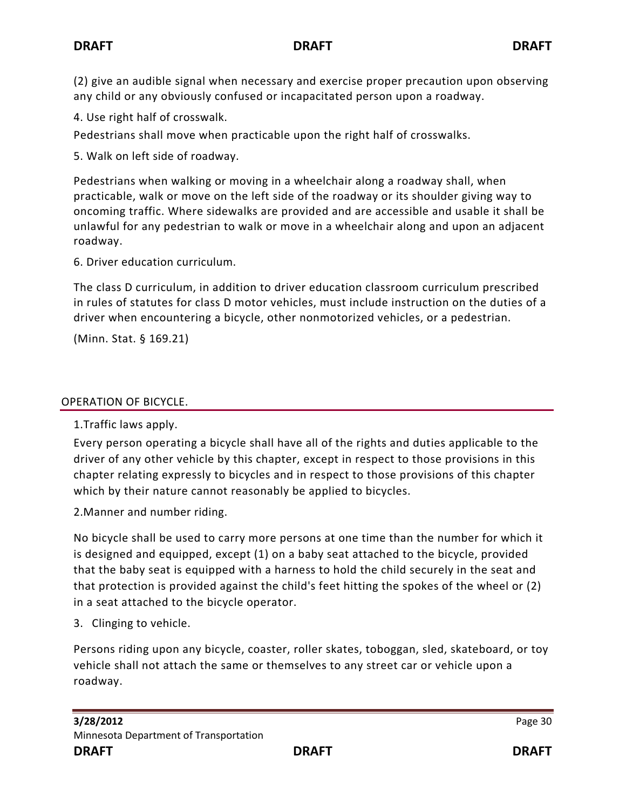(2) give an audible signal when necessary and exercise proper precaution upon observing any child or any obviously confused or incapacitated person upon a roadway.

4. Use right half of crosswalk.

Pedestrians shall move when practicable upon the right half of crosswalks.

5. Walk on left side of roadway.

Pedestrians when walking or moving in a wheelchair along a roadway shall, when practicable, walk or move on the left side of the roadway or its shoulder giving way to oncoming traffic. Where sidewalks are provided and are accessible and usable it shall be unlawful for any pedestrian to walk or move in a wheelchair along and upon an adjacent roadway.

6. Driver education curriculum.

The class D curriculum, in addition to driver education classroom curriculum prescribed in rules of statutes for class D motor vehicles, must include instruction on the duties of a driver when encountering a bicycle, other nonmotorized vehicles, or a pedestrian.

(Minn. Stat. § 169.21)

## OPERATION OF BICYCLE.

1.Traffic laws apply.

Every person operating a bicycle shall have all of the rights and duties applicable to the driver of any other vehicle by this chapter, except in respect to those provisions in this chapter relating expressly to bicycles and in respect to those provisions of this chapter which by their nature cannot reasonably be applied to bicycles.

2.Manner and number riding.

No bicycle shall be used to carry more persons at one time than the number for which it is designed and equipped, except (1) on a baby seat attached to the bicycle, provided that the baby seat is equipped with a harness to hold the child securely in the seat and that protection is provided against the child's feet hitting the spokes of the wheel or (2) in a seat attached to the bicycle operator.

3. Clinging to vehicle.

Persons riding upon any bicycle, coaster, roller skates, toboggan, sled, skateboard, or toy vehicle shall not attach the same or themselves to any street car or vehicle upon a roadway.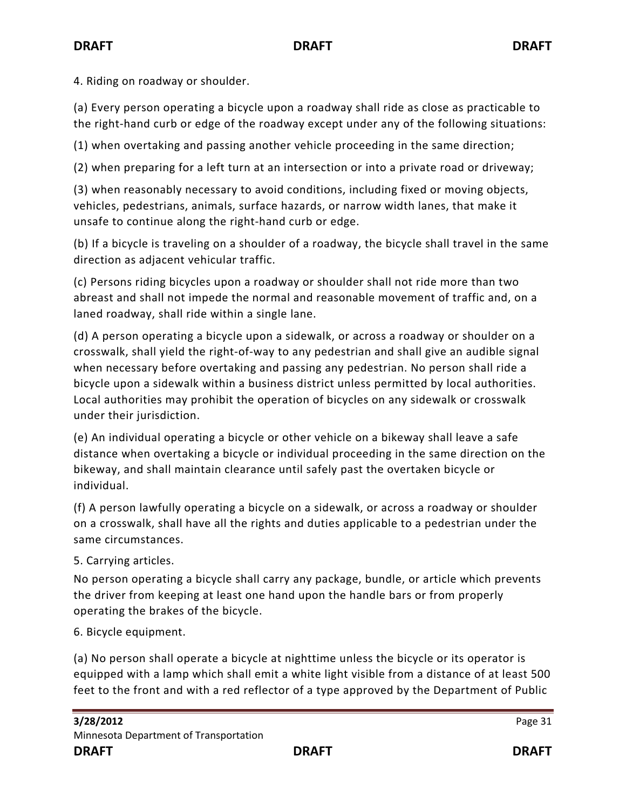4. Riding on roadway or shoulder.

(a) Every person operating a bicycle upon a roadway shall ride as close as practicable to the right-hand curb or edge of the roadway except under any of the following situations:

(1) when overtaking and passing another vehicle proceeding in the same direction;

(2) when preparing for a left turn at an intersection or into a private road or driveway;

(3) when reasonably necessary to avoid conditions, including fixed or moving objects, vehicles, pedestrians, animals, surface hazards, or narrow width lanes, that make it unsafe to continue along the right-hand curb or edge.

(b) If a bicycle is traveling on a shoulder of a roadway, the bicycle shall travel in the same direction as adjacent vehicular traffic.

(c) Persons riding bicycles upon a roadway or shoulder shall not ride more than two abreast and shall not impede the normal and reasonable movement of traffic and, on a laned roadway, shall ride within a single lane.

(d) A person operating a bicycle upon a sidewalk, or across a roadway or shoulder on a crosswalk, shall yield the right-of-way to any pedestrian and shall give an audible signal when necessary before overtaking and passing any pedestrian. No person shall ride a bicycle upon a sidewalk within a business district unless permitted by local authorities. Local authorities may prohibit the operation of bicycles on any sidewalk or crosswalk under their jurisdiction.

(e) An individual operating a bicycle or other vehicle on a bikeway shall leave a safe distance when overtaking a bicycle or individual proceeding in the same direction on the bikeway, and shall maintain clearance until safely past the overtaken bicycle or individual.

(f) A person lawfully operating a bicycle on a sidewalk, or across a roadway or shoulder on a crosswalk, shall have all the rights and duties applicable to a pedestrian under the same circumstances.

5. Carrying articles.

No person operating a bicycle shall carry any package, bundle, or article which prevents the driver from keeping at least one hand upon the handle bars or from properly operating the brakes of the bicycle.

6. Bicycle equipment.

(a) No person shall operate a bicycle at nighttime unless the bicycle or its operator is equipped with a lamp which shall emit a white light visible from a distance of at least 500 feet to the front and with a red reflector of a type approved by the Department of Public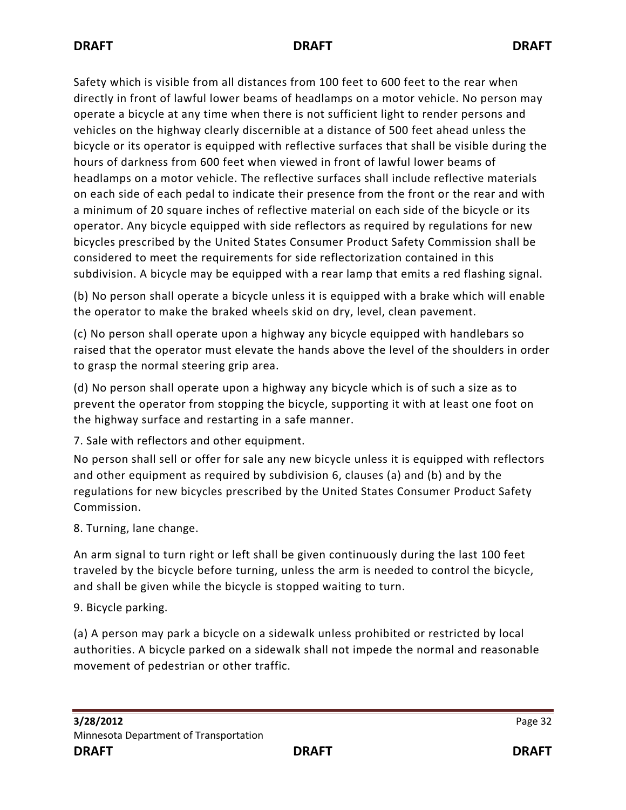Safety which is visible from all distances from 100 feet to 600 feet to the rear when directly in front of lawful lower beams of headlamps on a motor vehicle. No person may operate a bicycle at any time when there is not sufficient light to render persons and vehicles on the highway clearly discernible at a distance of 500 feet ahead unless the bicycle or its operator is equipped with reflective surfaces that shall be visible during the hours of darkness from 600 feet when viewed in front of lawful lower beams of headlamps on a motor vehicle. The reflective surfaces shall include reflective materials on each side of each pedal to indicate their presence from the front or the rear and with a minimum of 20 square inches of reflective material on each side of the bicycle or its operator. Any bicycle equipped with side reflectors as required by regulations for new bicycles prescribed by the United States Consumer Product Safety Commission shall be considered to meet the requirements for side reflectorization contained in this subdivision. A bicycle may be equipped with a rear lamp that emits a red flashing signal.

(b) No person shall operate a bicycle unless it is equipped with a brake which will enable the operator to make the braked wheels skid on dry, level, clean pavement.

(c) No person shall operate upon a highway any bicycle equipped with handlebars so raised that the operator must elevate the hands above the level of the shoulders in order to grasp the normal steering grip area.

(d) No person shall operate upon a highway any bicycle which is of such a size as to prevent the operator from stopping the bicycle, supporting it with at least one foot on the highway surface and restarting in a safe manner.

7. Sale with reflectors and other equipment.

No person shall sell or offer for sale any new bicycle unless it is equipped with reflectors and other equipment as required by subdivision 6, clauses (a) and (b) and by the regulations for new bicycles prescribed by the United States Consumer Product Safety Commission.

8. Turning, lane change.

An arm signal to turn right or left shall be given continuously during the last 100 feet traveled by the bicycle before turning, unless the arm is needed to control the bicycle, and shall be given while the bicycle is stopped waiting to turn.

9. Bicycle parking.

(a) A person may park a bicycle on a sidewalk unless prohibited or restricted by local authorities. A bicycle parked on a sidewalk shall not impede the normal and reasonable movement of pedestrian or other traffic.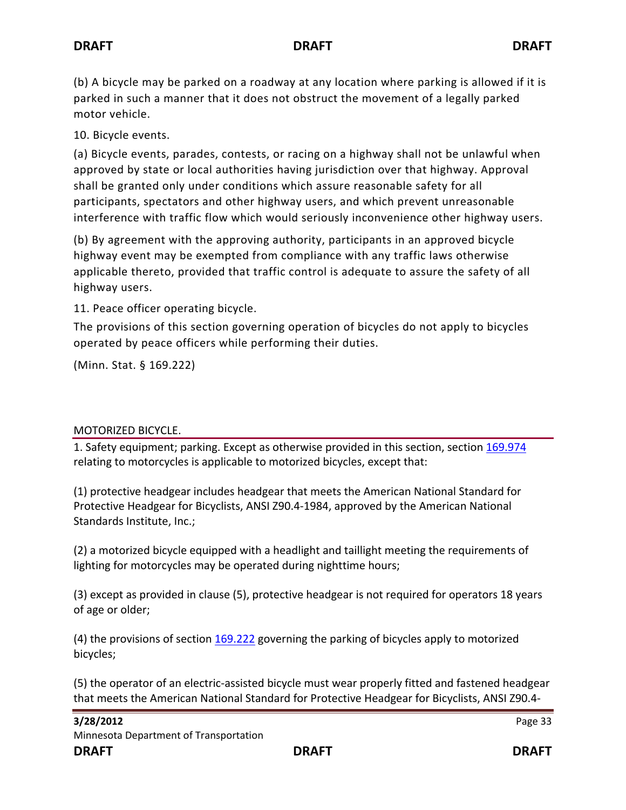(b) A bicycle may be parked on a roadway at any location where parking is allowed if it is parked in such a manner that it does not obstruct the movement of a legally parked motor vehicle.

10. Bicycle events.

(a) Bicycle events, parades, contests, or racing on a highway shall not be unlawful when approved by state or local authorities having jurisdiction over that highway. Approval shall be granted only under conditions which assure reasonable safety for all participants, spectators and other highway users, and which prevent unreasonable interference with traffic flow which would seriously inconvenience other highway users.

(b) By agreement with the approving authority, participants in an approved bicycle highway event may be exempted from compliance with any traffic laws otherwise applicable thereto, provided that traffic control is adequate to assure the safety of all highway users.

11. Peace officer operating bicycle.

The provisions of this section governing operation of bicycles do not apply to bicycles operated by peace officers while performing their duties.

(Minn. Stat. § 169.222)

## MOTORIZED BICYCLE.

1. Safety equipment; parking. Except as otherwise provided in this section, section [169.974](https://www.revisor.mn.gov/statutes?id=169.974#stat.169.974) relating to motorcycles is applicable to motorized bicycles, except that:

(1) protective headgear includes headgear that meets the American National Standard for Protective Headgear for Bicyclists, ANSI Z90.4-1984, approved by the American National Standards Institute, Inc.;

(2) a motorized bicycle equipped with a headlight and taillight meeting the requirements of lighting for motorcycles may be operated during nighttime hours;

(3) except as provided in clause (5), protective headgear is not required for operators 18 years of age or older;

(4) the provisions of section [169.222](https://www.revisor.mn.gov/statutes?id=169.222#stat.169.222) governing the parking of bicycles apply to motorized bicycles;

(5) the operator of an electric-assisted bicycle must wear properly fitted and fastened headgear that meets the American National Standard for Protective Headgear for Bicyclists, ANSI Z90.4-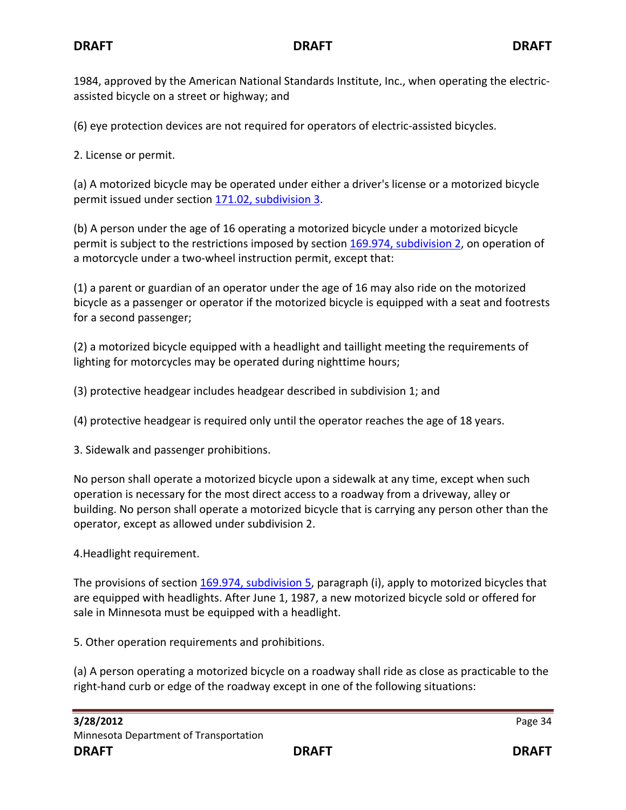1984, approved by the American National Standards Institute, Inc., when operating the electricassisted bicycle on a street or highway; and

(6) eye protection devices are not required for operators of electric-assisted bicycles.

2. License or permit.

(a) A motorized bicycle may be operated under either a driver's license or a motorized bicycle permit issued under section [171.02, subdivision 3.](https://www.revisor.mn.gov/statutes?id=171.02#stat.171.02.3)

(b) A person under the age of 16 operating a motorized bicycle under a motorized bicycle permit is subject to the restrictions imposed by section [169.974, subdivision 2,](https://www.revisor.mn.gov/statutes?id=169.974#stat.169.974.2) on operation of a motorcycle under a two-wheel instruction permit, except that:

(1) a parent or guardian of an operator under the age of 16 may also ride on the motorized bicycle as a passenger or operator if the motorized bicycle is equipped with a seat and footrests for a second passenger;

(2) a motorized bicycle equipped with a headlight and taillight meeting the requirements of lighting for motorcycles may be operated during nighttime hours;

(3) protective headgear includes headgear described in subdivision 1; and

(4) protective headgear is required only until the operator reaches the age of 18 years.

3. Sidewalk and passenger prohibitions.

No person shall operate a motorized bicycle upon a sidewalk at any time, except when such operation is necessary for the most direct access to a roadway from a driveway, alley or building. No person shall operate a motorized bicycle that is carrying any person other than the operator, except as allowed under subdivision 2.

4.Headlight requirement.

The provisions of section [169.974, subdivision 5,](https://www.revisor.mn.gov/statutes?id=169.974#stat.169.974.5) paragraph (i), apply to motorized bicycles that are equipped with headlights. After June 1, 1987, a new motorized bicycle sold or offered for sale in Minnesota must be equipped with a headlight.

5. Other operation requirements and prohibitions.

(a) A person operating a motorized bicycle on a roadway shall ride as close as practicable to the right-hand curb or edge of the roadway except in one of the following situations: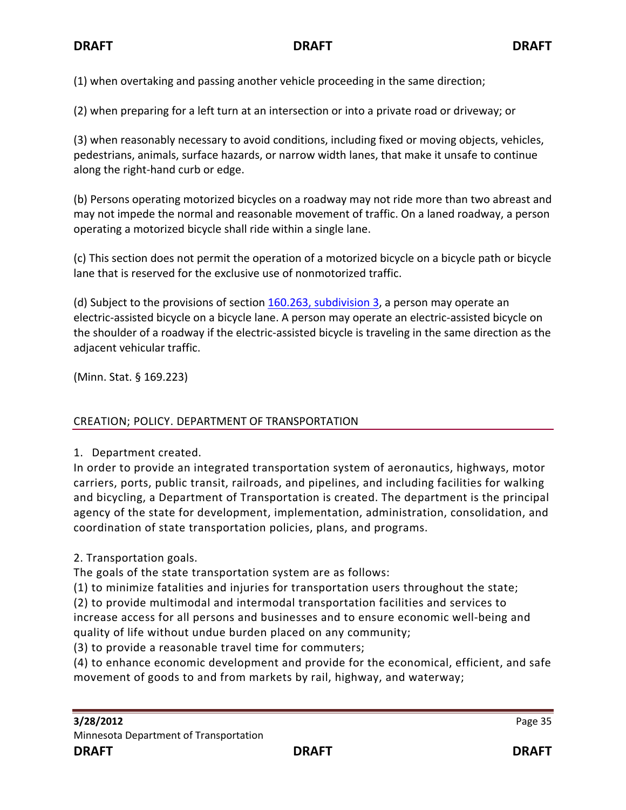(1) when overtaking and passing another vehicle proceeding in the same direction;

(2) when preparing for a left turn at an intersection or into a private road or driveway; or

(3) when reasonably necessary to avoid conditions, including fixed or moving objects, vehicles, pedestrians, animals, surface hazards, or narrow width lanes, that make it unsafe to continue along the right-hand curb or edge.

(b) Persons operating motorized bicycles on a roadway may not ride more than two abreast and may not impede the normal and reasonable movement of traffic. On a laned roadway, a person operating a motorized bicycle shall ride within a single lane.

(c) This section does not permit the operation of a motorized bicycle on a bicycle path or bicycle lane that is reserved for the exclusive use of nonmotorized traffic.

(d) Subject to the provisions of section  $160.263$ , subdivision 3, a person may operate an electric-assisted bicycle on a bicycle lane. A person may operate an electric-assisted bicycle on the shoulder of a roadway if the electric-assisted bicycle is traveling in the same direction as the adjacent vehicular traffic.

(Minn. Stat. § 169.223)

#### CREATION; POLICY. DEPARTMENT OF TRANSPORTATION

1. Department created.

In order to provide an integrated transportation system of aeronautics, highways, motor carriers, ports, public transit, railroads, and pipelines, and including facilities for walking and bicycling, a Department of Transportation is created. The department is the principal agency of the state for development, implementation, administration, consolidation, and coordination of state transportation policies, plans, and programs.

2. Transportation goals.

The goals of the state transportation system are as follows:

(1) to minimize fatalities and injuries for transportation users throughout the state;

(2) to provide multimodal and intermodal transportation facilities and services to increase access for all persons and businesses and to ensure economic well-being and quality of life without undue burden placed on any community;

(3) to provide a reasonable travel time for commuters;

(4) to enhance economic development and provide for the economical, efficient, and safe movement of goods to and from markets by rail, highway, and waterway;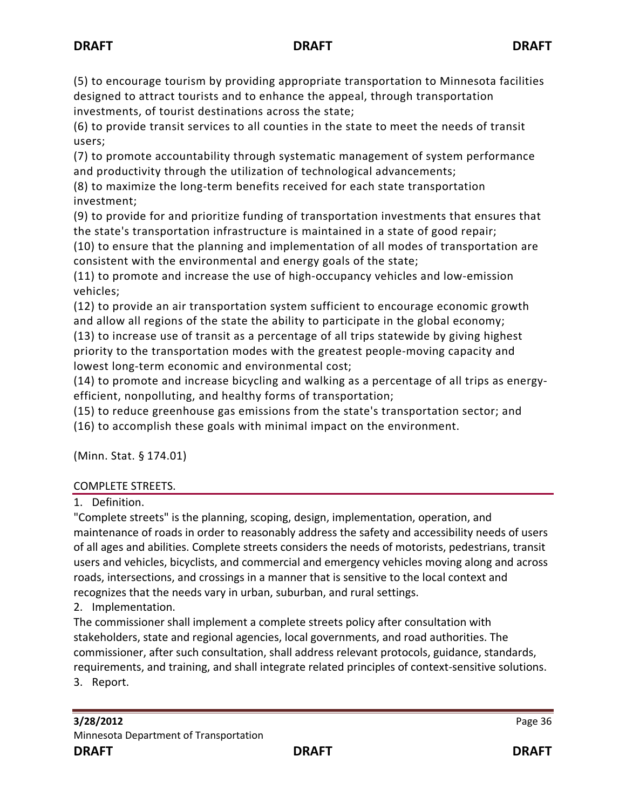(5) to encourage tourism by providing appropriate transportation to Minnesota facilities designed to attract tourists and to enhance the appeal, through transportation investments, of tourist destinations across the state;

(6) to provide transit services to all counties in the state to meet the needs of transit users;

(7) to promote accountability through systematic management of system performance and productivity through the utilization of technological advancements;

(8) to maximize the long-term benefits received for each state transportation investment;

(9) to provide for and prioritize funding of transportation investments that ensures that the state's transportation infrastructure is maintained in a state of good repair;

(10) to ensure that the planning and implementation of all modes of transportation are consistent with the environmental and energy goals of the state;

(11) to promote and increase the use of high-occupancy vehicles and low-emission vehicles;

(12) to provide an air transportation system sufficient to encourage economic growth and allow all regions of the state the ability to participate in the global economy;

(13) to increase use of transit as a percentage of all trips statewide by giving highest priority to the transportation modes with the greatest people-moving capacity and lowest long-term economic and environmental cost;

(14) to promote and increase bicycling and walking as a percentage of all trips as energyefficient, nonpolluting, and healthy forms of transportation;

(15) to reduce greenhouse gas emissions from the state's transportation sector; and

(16) to accomplish these goals with minimal impact on the environment.

(Minn. Stat. § 174.01)

## COMPLETE STREETS.

1. Definition.

"Complete streets" is the planning, scoping, design, implementation, operation, and maintenance of roads in order to reasonably address the safety and accessibility needs of users of all ages and abilities. Complete streets considers the needs of motorists, pedestrians, transit users and vehicles, bicyclists, and commercial and emergency vehicles moving along and across roads, intersections, and crossings in a manner that is sensitive to the local context and recognizes that the needs vary in urban, suburban, and rural settings.

2. Implementation.

The commissioner shall implement a complete streets policy after consultation with stakeholders, state and regional agencies, local governments, and road authorities. The commissioner, after such consultation, shall address relevant protocols, guidance, standards, requirements, and training, and shall integrate related principles of context-sensitive solutions. 3. Report.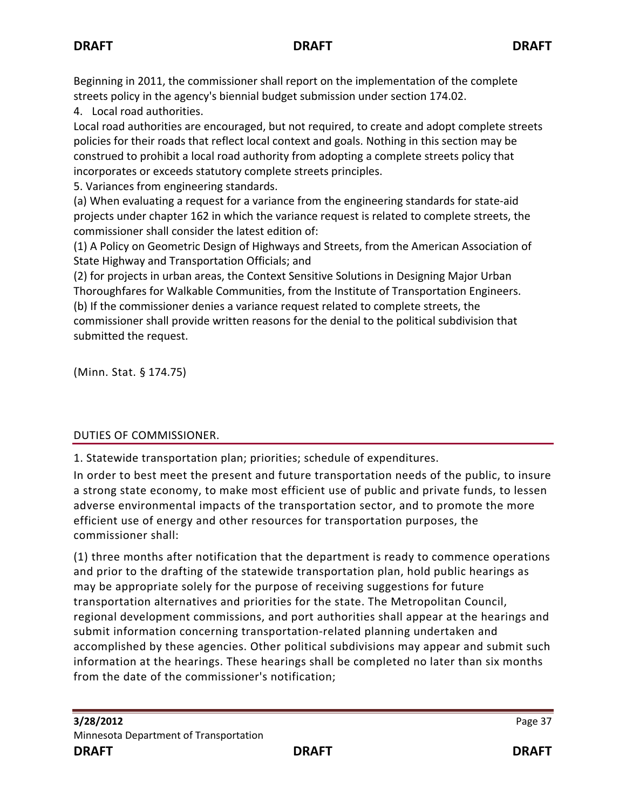Beginning in 2011, the commissioner shall report on the implementation of the complete streets policy in the agency's biennial budget submission under section [174.02.](https://www.revisor.mn.gov/statutes?id=174.02#stat.174.02)

4. Local road authorities.

Local road authorities are encouraged, but not required, to create and adopt complete streets policies for their roads that reflect local context and goals. Nothing in this section may be construed to prohibit a local road authority from adopting a complete streets policy that incorporates or exceeds statutory complete streets principles.

5. Variances from engineering standards.

(a) When evaluating a request for a variance from the engineering standards for state-aid projects under chapter 162 in which the variance request is related to complete streets, the commissioner shall consider the latest edition of:

(1) A Policy on Geometric Design of Highways and Streets, from the American Association of State Highway and Transportation Officials; and

(2) for projects in urban areas, the Context Sensitive Solutions in Designing Major Urban Thoroughfares for Walkable Communities, from the Institute of Transportation Engineers. (b) If the commissioner denies a variance request related to complete streets, the commissioner shall provide written reasons for the denial to the political subdivision that submitted the request.

(Minn. Stat. § 174.75)

# DUTIES OF COMMISSIONER.

1. Statewide transportation plan; priorities; schedule of expenditures.

In order to best meet the present and future transportation needs of the public, to insure a strong state economy, to make most efficient use of public and private funds, to lessen adverse environmental impacts of the transportation sector, and to promote the more efficient use of energy and other resources for transportation purposes, the commissioner shall:

(1) three months after notification that the department is ready to commence operations and prior to the drafting of the statewide transportation plan, hold public hearings as may be appropriate solely for the purpose of receiving suggestions for future transportation alternatives and priorities for the state. The Metropolitan Council, regional development commissions, and port authorities shall appear at the hearings and submit information concerning transportation-related planning undertaken and accomplished by these agencies. Other political subdivisions may appear and submit such information at the hearings. These hearings shall be completed no later than six months from the date of the commissioner's notification;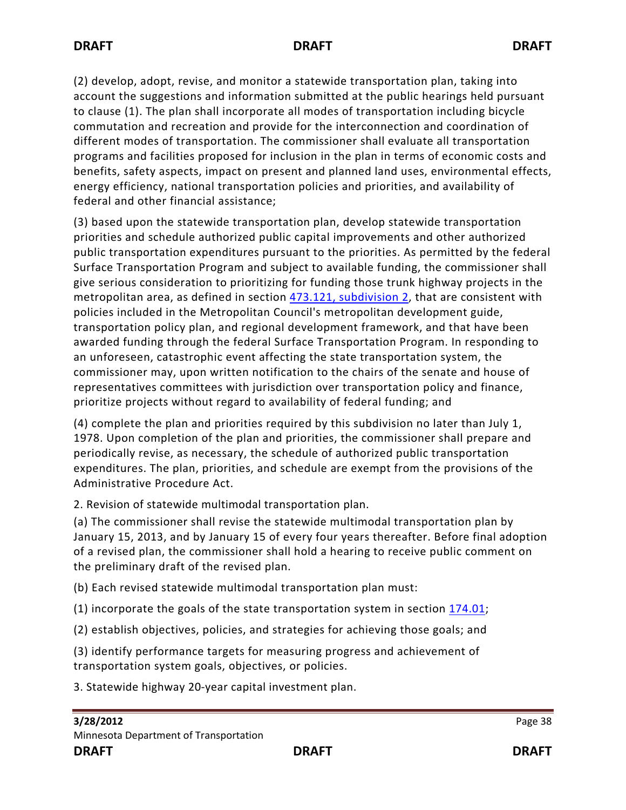(2) develop, adopt, revise, and monitor a statewide transportation plan, taking into account the suggestions and information submitted at the public hearings held pursuant to clause (1). The plan shall incorporate all modes of transportation including bicycle commutation and recreation and provide for the interconnection and coordination of different modes of transportation. The commissioner shall evaluate all transportation programs and facilities proposed for inclusion in the plan in terms of economic costs and benefits, safety aspects, impact on present and planned land uses, environmental effects, energy efficiency, national transportation policies and priorities, and availability of federal and other financial assistance;

(3) based upon the statewide transportation plan, develop statewide transportation priorities and schedule authorized public capital improvements and other authorized public transportation expenditures pursuant to the priorities. As permitted by the federal Surface Transportation Program and subject to available funding, the commissioner shall give serious consideration to prioritizing for funding those trunk highway projects in the metropolitan area, as defined in section [473.121, subdivision 2,](https://www.revisor.mn.gov/statutes?id=473.121#stat.473.121.2) that are consistent with policies included in the Metropolitan Council's metropolitan development guide, transportation policy plan, and regional development framework, and that have been awarded funding through the federal Surface Transportation Program. In responding to an unforeseen, catastrophic event affecting the state transportation system, the commissioner may, upon written notification to the chairs of the senate and house of representatives committees with jurisdiction over transportation policy and finance, prioritize projects without regard to availability of federal funding; and

(4) complete the plan and priorities required by this subdivision no later than July 1, 1978. Upon completion of the plan and priorities, the commissioner shall prepare and periodically revise, as necessary, the schedule of authorized public transportation expenditures. The plan, priorities, and schedule are exempt from the provisions of the Administrative Procedure Act.

2. Revision of statewide multimodal transportation plan.

(a) The commissioner shall revise the statewide multimodal transportation plan by January 15, 2013, and by January 15 of every four years thereafter. Before final adoption of a revised plan, the commissioner shall hold a hearing to receive public comment on the preliminary draft of the revised plan.

(b) Each revised statewide multimodal transportation plan must:

(1) incorporate the goals of the state transportation system in section [174.01;](https://www.revisor.mn.gov/statutes?id=174.01#stat.174.01)

(2) establish objectives, policies, and strategies for achieving those goals; and

(3) identify performance targets for measuring progress and achievement of transportation system goals, objectives, or policies.

3. Statewide highway 20-year capital investment plan.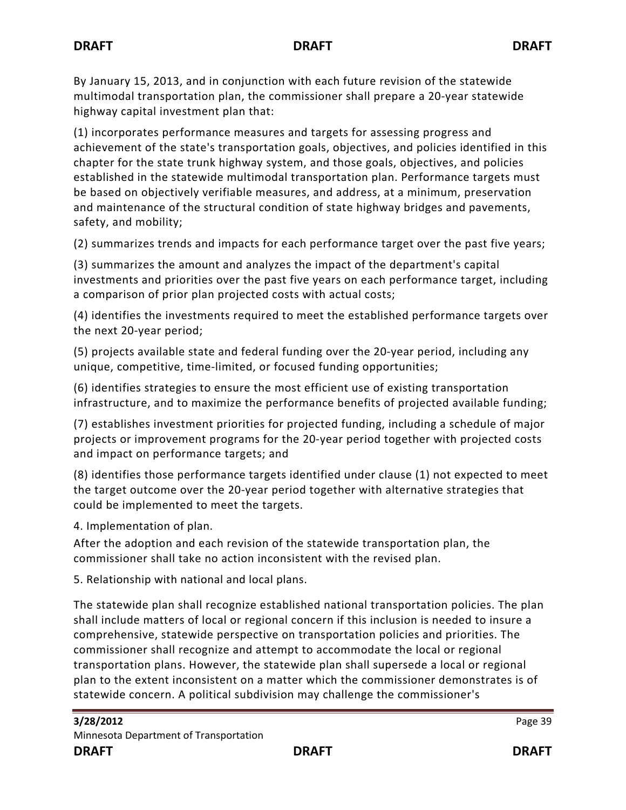By January 15, 2013, and in conjunction with each future revision of the statewide multimodal transportation plan, the commissioner shall prepare a 20-year statewide highway capital investment plan that:

(1) incorporates performance measures and targets for assessing progress and achievement of the state's transportation goals, objectives, and policies identified in this chapter for the state trunk highway system, and those goals, objectives, and policies established in the statewide multimodal transportation plan. Performance targets must be based on objectively verifiable measures, and address, at a minimum, preservation and maintenance of the structural condition of state highway bridges and pavements, safety, and mobility;

(2) summarizes trends and impacts for each performance target over the past five years;

(3) summarizes the amount and analyzes the impact of the department's capital investments and priorities over the past five years on each performance target, including a comparison of prior plan projected costs with actual costs;

(4) identifies the investments required to meet the established performance targets over the next 20-year period;

(5) projects available state and federal funding over the 20-year period, including any unique, competitive, time-limited, or focused funding opportunities;

(6) identifies strategies to ensure the most efficient use of existing transportation infrastructure, and to maximize the performance benefits of projected available funding;

(7) establishes investment priorities for projected funding, including a schedule of major projects or improvement programs for the 20-year period together with projected costs and impact on performance targets; and

(8) identifies those performance targets identified under clause (1) not expected to meet the target outcome over the 20-year period together with alternative strategies that could be implemented to meet the targets.

4. Implementation of plan.

After the adoption and each revision of the statewide transportation plan, the commissioner shall take no action inconsistent with the revised plan.

5. Relationship with national and local plans.

The statewide plan shall recognize established national transportation policies. The plan shall include matters of local or regional concern if this inclusion is needed to insure a comprehensive, statewide perspective on transportation policies and priorities. The commissioner shall recognize and attempt to accommodate the local or regional transportation plans. However, the statewide plan shall supersede a local or regional plan to the extent inconsistent on a matter which the commissioner demonstrates is of statewide concern. A political subdivision may challenge the commissioner's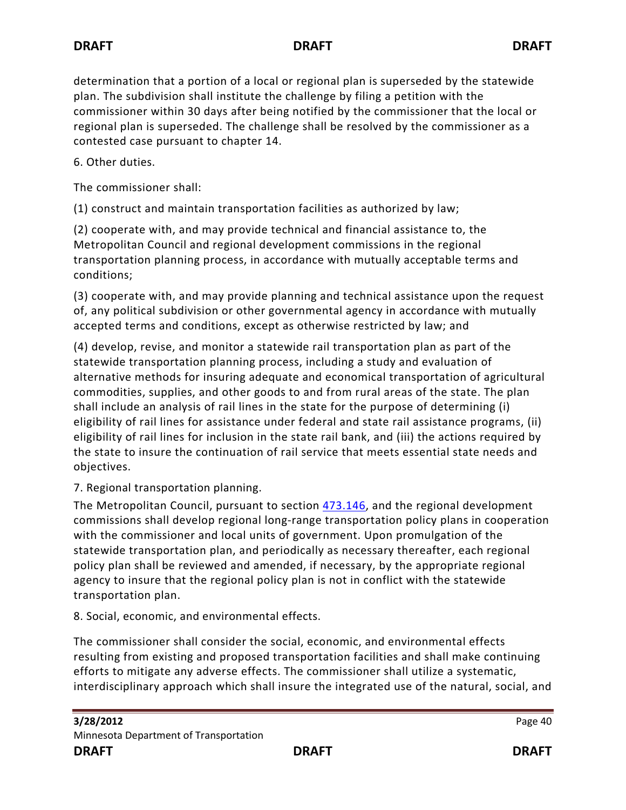determination that a portion of a local or regional plan is superseded by the statewide plan. The subdivision shall institute the challenge by filing a petition with the commissioner within 30 days after being notified by the commissioner that the local or regional plan is superseded. The challenge shall be resolved by the commissioner as a contested case pursuant to chapter 14.

6. Other duties.

The commissioner shall:

(1) construct and maintain transportation facilities as authorized by law;

(2) cooperate with, and may provide technical and financial assistance to, the Metropolitan Council and regional development commissions in the regional transportation planning process, in accordance with mutually acceptable terms and conditions;

(3) cooperate with, and may provide planning and technical assistance upon the request of, any political subdivision or other governmental agency in accordance with mutually accepted terms and conditions, except as otherwise restricted by law; and

(4) develop, revise, and monitor a statewide rail transportation plan as part of the statewide transportation planning process, including a study and evaluation of alternative methods for insuring adequate and economical transportation of agricultural commodities, supplies, and other goods to and from rural areas of the state. The plan shall include an analysis of rail lines in the state for the purpose of determining (i) eligibility of rail lines for assistance under federal and state rail assistance programs, (ii) eligibility of rail lines for inclusion in the state rail bank, and (iii) the actions required by the state to insure the continuation of rail service that meets essential state needs and objectives.

### 7. Regional transportation planning.

The Metropolitan Council, pursuant to section [473.146,](https://www.revisor.mn.gov/statutes?id=473.146#stat.473.146) and the regional development commissions shall develop regional long-range transportation policy plans in cooperation with the commissioner and local units of government. Upon promulgation of the statewide transportation plan, and periodically as necessary thereafter, each regional policy plan shall be reviewed and amended, if necessary, by the appropriate regional agency to insure that the regional policy plan is not in conflict with the statewide transportation plan.

8. Social, economic, and environmental effects.

The commissioner shall consider the social, economic, and environmental effects resulting from existing and proposed transportation facilities and shall make continuing efforts to mitigate any adverse effects. The commissioner shall utilize a systematic, interdisciplinary approach which shall insure the integrated use of the natural, social, and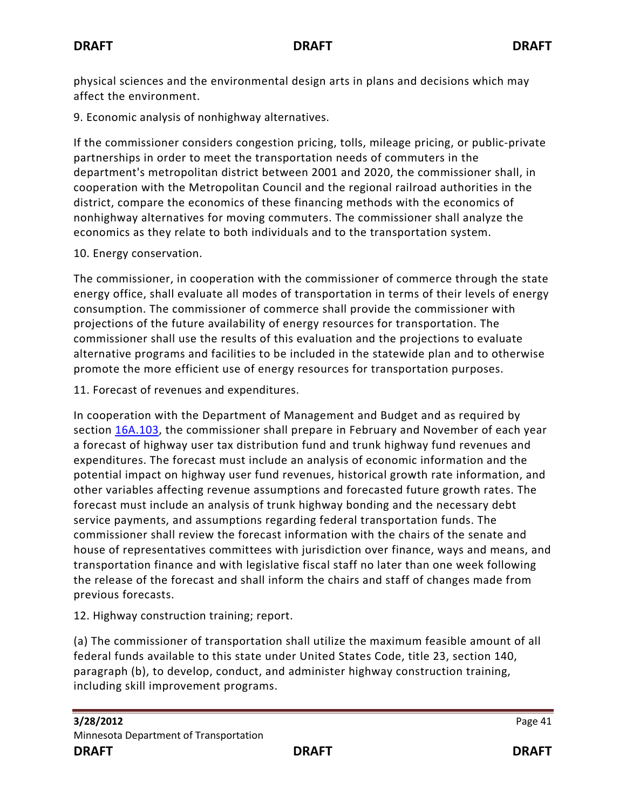physical sciences and the environmental design arts in plans and decisions which may affect the environment.

9. Economic analysis of nonhighway alternatives.

If the commissioner considers congestion pricing, tolls, mileage pricing, or public-private partnerships in order to meet the transportation needs of commuters in the department's metropolitan district between 2001 and 2020, the commissioner shall, in cooperation with the Metropolitan Council and the regional railroad authorities in the district, compare the economics of these financing methods with the economics of nonhighway alternatives for moving commuters. The commissioner shall analyze the economics as they relate to both individuals and to the transportation system.

## 10. Energy conservation.

The commissioner, in cooperation with the commissioner of commerce through the state energy office, shall evaluate all modes of transportation in terms of their levels of energy consumption. The commissioner of commerce shall provide the commissioner with projections of the future availability of energy resources for transportation. The commissioner shall use the results of this evaluation and the projections to evaluate alternative programs and facilities to be included in the statewide plan and to otherwise promote the more efficient use of energy resources for transportation purposes.

11. Forecast of revenues and expenditures.

In cooperation with the Department of Management and Budget and as required by section [16A.103,](https://www.revisor.mn.gov/statutes?id=16A.103#stat.16A.103) the commissioner shall prepare in February and November of each year a forecast of highway user tax distribution fund and trunk highway fund revenues and expenditures. The forecast must include an analysis of economic information and the potential impact on highway user fund revenues, historical growth rate information, and other variables affecting revenue assumptions and forecasted future growth rates. The forecast must include an analysis of trunk highway bonding and the necessary debt service payments, and assumptions regarding federal transportation funds. The commissioner shall review the forecast information with the chairs of the senate and house of representatives committees with jurisdiction over finance, ways and means, and transportation finance and with legislative fiscal staff no later than one week following the release of the forecast and shall inform the chairs and staff of changes made from previous forecasts.

12. Highway construction training; report.

(a) The commissioner of transportation shall utilize the maximum feasible amount of all federal funds available to this state under United States Code, title 23, section 140, paragraph (b), to develop, conduct, and administer highway construction training, including skill improvement programs.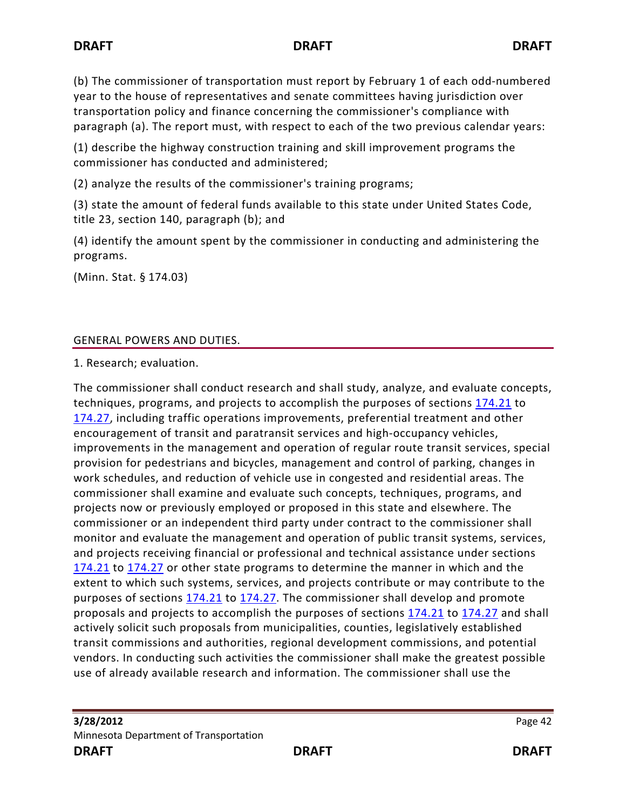(b) The commissioner of transportation must report by February 1 of each odd-numbered year to the house of representatives and senate committees having jurisdiction over transportation policy and finance concerning the commissioner's compliance with paragraph (a). The report must, with respect to each of the two previous calendar years:

(1) describe the highway construction training and skill improvement programs the commissioner has conducted and administered;

(2) analyze the results of the commissioner's training programs;

(3) state the amount of federal funds available to this state under United States Code, title 23, section 140, paragraph (b); and

(4) identify the amount spent by the commissioner in conducting and administering the programs.

(Minn. Stat. § 174.03)

## GENERAL POWERS AND DUTIES.

1. Research; evaluation.

The commissioner shall conduct research and shall study, analyze, and evaluate concepts, techniques, programs, and projects to accomplish the purposes of sections [174.21](https://www.revisor.mn.gov/statutes?id=174.21#stat.174.21) to [174.27,](https://www.revisor.mn.gov/statutes?id=174.27#stat.174.27) including traffic operations improvements, preferential treatment and other encouragement of transit and paratransit services and high-occupancy vehicles, improvements in the management and operation of regular route transit services, special provision for pedestrians and bicycles, management and control of parking, changes in work schedules, and reduction of vehicle use in congested and residential areas. The commissioner shall examine and evaluate such concepts, techniques, programs, and projects now or previously employed or proposed in this state and elsewhere. The commissioner or an independent third party under contract to the commissioner shall monitor and evaluate the management and operation of public transit systems, services, and projects receiving financial or professional and technical assistance under sections [174.21](https://www.revisor.mn.gov/statutes?id=174.21#stat.174.21) to [174.27](https://www.revisor.mn.gov/statutes?id=174.27#stat.174.27) or other state programs to determine the manner in which and the extent to which such systems, services, and projects contribute or may contribute to the purposes of sections [174.21](https://www.revisor.mn.gov/statutes?id=174.21#stat.174.21) to [174.27.](https://www.revisor.mn.gov/statutes?id=174.27#stat.174.27) The commissioner shall develop and promote proposals and projects to accomplish the purposes of sections [174.21](https://www.revisor.mn.gov/statutes?id=174.21#stat.174.21) to [174.27](https://www.revisor.mn.gov/statutes?id=174.27#stat.174.27) and shall actively solicit such proposals from municipalities, counties, legislatively established transit commissions and authorities, regional development commissions, and potential vendors. In conducting such activities the commissioner shall make the greatest possible use of already available research and information. The commissioner shall use the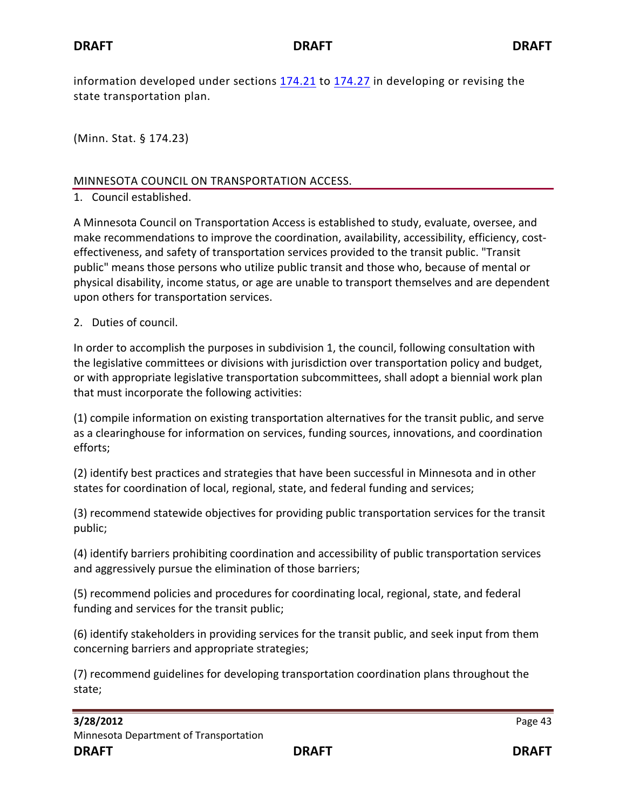information developed under sections [174.21](https://www.revisor.mn.gov/statutes?id=174.21#stat.174.21) to [174.27](https://www.revisor.mn.gov/statutes?id=174.27#stat.174.27) in developing or revising the state transportation plan.

(Minn. Stat. § 174.23)

#### MINNESOTA COUNCIL ON TRANSPORTATION ACCESS.

1. Council established.

A Minnesota Council on Transportation Access is established to study, evaluate, oversee, and make recommendations to improve the coordination, availability, accessibility, efficiency, costeffectiveness, and safety of transportation services provided to the transit public. "Transit public" means those persons who utilize public transit and those who, because of mental or physical disability, income status, or age are unable to transport themselves and are dependent upon others for transportation services.

#### 2. Duties of council.

In order to accomplish the purposes in subdivision 1, the council, following consultation with the legislative committees or divisions with jurisdiction over transportation policy and budget, or with appropriate legislative transportation subcommittees, shall adopt a biennial work plan that must incorporate the following activities:

(1) compile information on existing transportation alternatives for the transit public, and serve as a clearinghouse for information on services, funding sources, innovations, and coordination efforts;

(2) identify best practices and strategies that have been successful in Minnesota and in other states for coordination of local, regional, state, and federal funding and services;

(3) recommend statewide objectives for providing public transportation services for the transit public;

(4) identify barriers prohibiting coordination and accessibility of public transportation services and aggressively pursue the elimination of those barriers;

(5) recommend policies and procedures for coordinating local, regional, state, and federal funding and services for the transit public;

(6) identify stakeholders in providing services for the transit public, and seek input from them concerning barriers and appropriate strategies;

(7) recommend guidelines for developing transportation coordination plans throughout the state;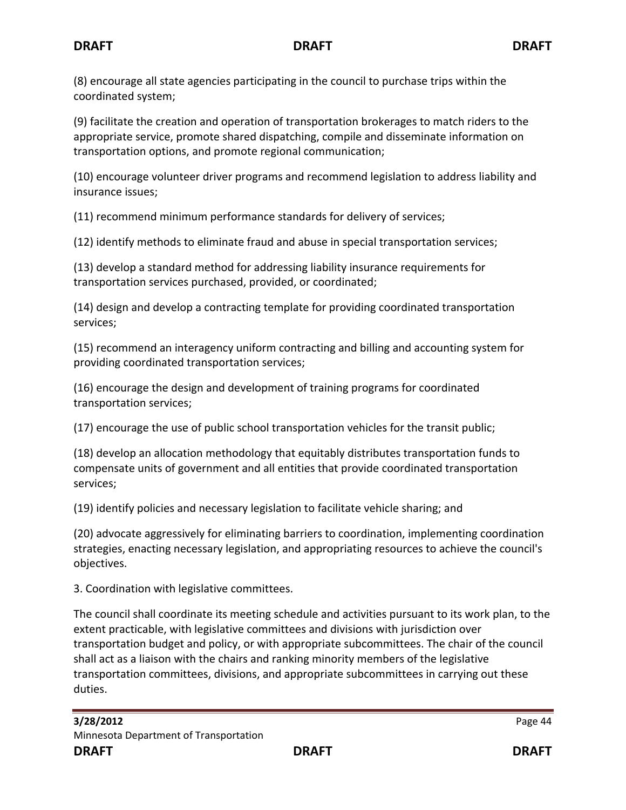(8) encourage all state agencies participating in the council to purchase trips within the coordinated system;

(9) facilitate the creation and operation of transportation brokerages to match riders to the appropriate service, promote shared dispatching, compile and disseminate information on transportation options, and promote regional communication;

(10) encourage volunteer driver programs and recommend legislation to address liability and insurance issues;

(11) recommend minimum performance standards for delivery of services;

(12) identify methods to eliminate fraud and abuse in special transportation services;

(13) develop a standard method for addressing liability insurance requirements for transportation services purchased, provided, or coordinated;

(14) design and develop a contracting template for providing coordinated transportation services;

(15) recommend an interagency uniform contracting and billing and accounting system for providing coordinated transportation services;

(16) encourage the design and development of training programs for coordinated transportation services;

(17) encourage the use of public school transportation vehicles for the transit public;

(18) develop an allocation methodology that equitably distributes transportation funds to compensate units of government and all entities that provide coordinated transportation services;

(19) identify policies and necessary legislation to facilitate vehicle sharing; and

(20) advocate aggressively for eliminating barriers to coordination, implementing coordination strategies, enacting necessary legislation, and appropriating resources to achieve the council's objectives.

3. Coordination with legislative committees.

The council shall coordinate its meeting schedule and activities pursuant to its work plan, to the extent practicable, with legislative committees and divisions with jurisdiction over transportation budget and policy, or with appropriate subcommittees. The chair of the council shall act as a liaison with the chairs and ranking minority members of the legislative transportation committees, divisions, and appropriate subcommittees in carrying out these duties.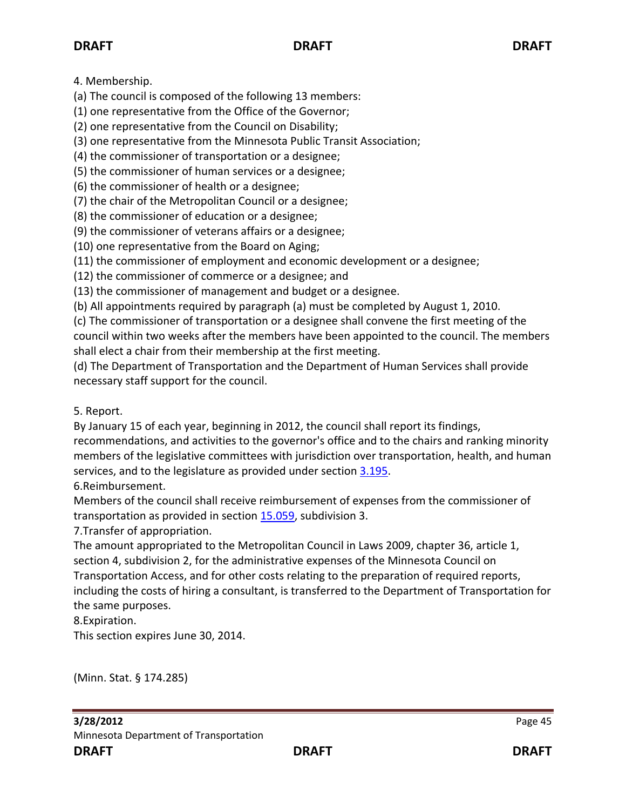4. Membership.

(a) The council is composed of the following 13 members:

(1) one representative from the Office of the Governor;

(2) one representative from the Council on Disability;

(3) one representative from the Minnesota Public Transit Association;

(4) the commissioner of transportation or a designee;

(5) the commissioner of human services or a designee;

(6) the commissioner of health or a designee;

(7) the chair of the Metropolitan Council or a designee;

(8) the commissioner of education or a designee;

(9) the commissioner of veterans affairs or a designee;

(10) one representative from the Board on Aging;

(11) the commissioner of employment and economic development or a designee;

(12) the commissioner of commerce or a designee; and

(13) the commissioner of management and budget or a designee.

(b) All appointments required by paragraph (a) must be completed by August 1, 2010.

(c) The commissioner of transportation or a designee shall convene the first meeting of the council within two weeks after the members have been appointed to the council. The members shall elect a chair from their membership at the first meeting.

(d) The Department of Transportation and the Department of Human Services shall provide necessary staff support for the council.

# 5. Report.

By January 15 of each year, beginning in 2012, the council shall report its findings,

recommendations, and activities to the governor's office and to the chairs and ranking minority members of the legislative committees with jurisdiction over transportation, health, and human services, and to the legislature as provided under section [3.195.](https://www.revisor.mn.gov/statutes?year=2011&id=3.195#stat.3.195)

6.Reimbursement.

Members of the council shall receive reimbursement of expenses from the commissioner of transportation as provided in sectio[n 15.059,](https://www.revisor.mn.gov/statutes?year=2011&id=15.059#stat.15.059) subdivision 3.

7.Transfer of appropriation.

The amount appropriated to the Metropolitan Council in Laws 2009, chapter 36, article 1, section 4, subdivision 2, for the administrative expenses of the Minnesota Council on Transportation Access, and for other costs relating to the preparation of required reports, including the costs of hiring a consultant, is transferred to the Department of Transportation for the same purposes.

8.Expiration.

This section expires June 30, 2014.

(Minn. Stat. § 174.285)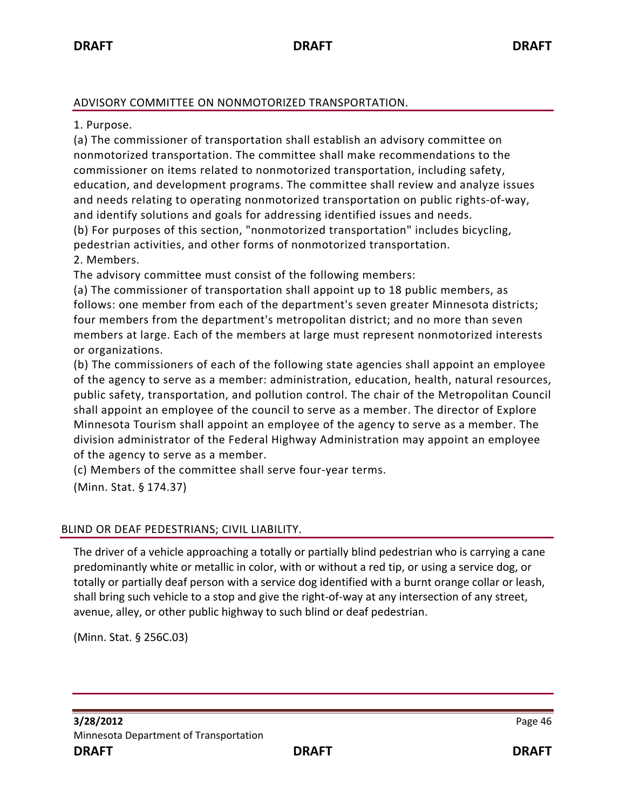#### ADVISORY COMMITTEE ON NONMOTORIZED TRANSPORTATION.

1. Purpose.

(a) The commissioner of transportation shall establish an advisory committee on nonmotorized transportation. The committee shall make recommendations to the commissioner on items related to nonmotorized transportation, including safety, education, and development programs. The committee shall review and analyze issues and needs relating to operating nonmotorized transportation on public rights-of-way, and identify solutions and goals for addressing identified issues and needs. (b) For purposes of this section, "nonmotorized transportation" includes bicycling, pedestrian activities, and other forms of nonmotorized transportation.

2. Members.

The advisory committee must consist of the following members:

(a) The commissioner of transportation shall appoint up to 18 public members, as follows: one member from each of the department's seven greater Minnesota districts; four members from the department's metropolitan district; and no more than seven members at large. Each of the members at large must represent nonmotorized interests or organizations.

(b) The commissioners of each of the following state agencies shall appoint an employee of the agency to serve as a member: administration, education, health, natural resources, public safety, transportation, and pollution control. The chair of the Metropolitan Council shall appoint an employee of the council to serve as a member. The director of Explore Minnesota Tourism shall appoint an employee of the agency to serve as a member. The division administrator of the Federal Highway Administration may appoint an employee of the agency to serve as a member.

(c) Members of the committee shall serve four-year terms.

(Minn. Stat. § 174.37)

### BLIND OR DEAF PEDESTRIANS; CIVIL LIABILITY.

The driver of a vehicle approaching a totally or partially blind pedestrian who is carrying a cane predominantly white or metallic in color, with or without a red tip, or using a service dog, or totally or partially deaf person with a service dog identified with a burnt orange collar or leash, shall bring such vehicle to a stop and give the right-of-way at any intersection of any street, avenue, alley, or other public highway to such blind or deaf pedestrian.

(Minn. Stat. § 256C.03)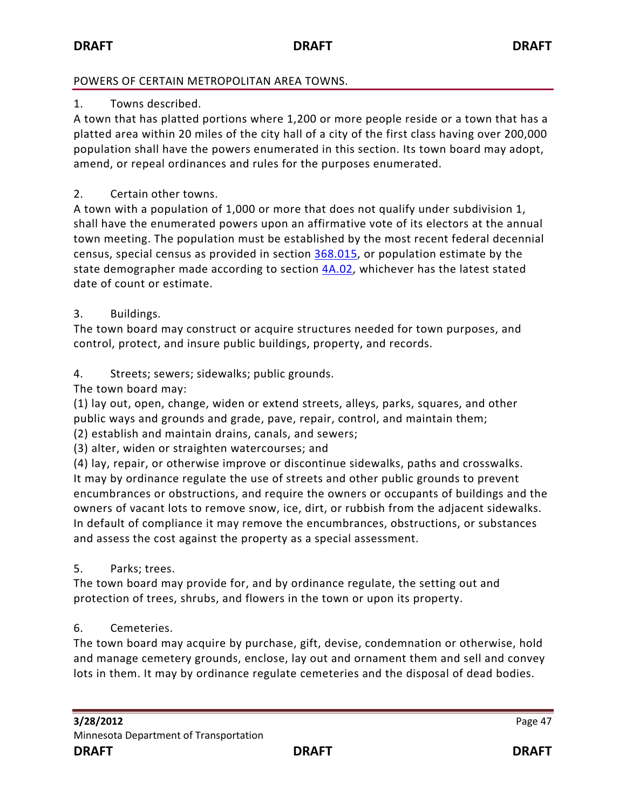### POWERS OF CERTAIN METROPOLITAN AREA TOWNS.

### 1. Towns described.

A town that has platted portions where 1,200 or more people reside or a town that has a platted area within 20 miles of the city hall of a city of the first class having over 200,000 population shall have the powers enumerated in this section. Its town board may adopt, amend, or repeal ordinances and rules for the purposes enumerated.

2. Certain other towns.

A town with a population of 1,000 or more that does not qualify under subdivision 1, shall have the enumerated powers upon an affirmative vote of its electors at the annual town meeting. The population must be established by the most recent federal decennial census, special census as provided in section [368.015,](https://www.revisor.mn.gov/statutes?year=2010&id=368.015#stat.368.015) or population estimate by the state demographer made according to section [4A.02,](https://www.revisor.mn.gov/statutes?year=2010&id=4A.02#stat.4A.02) whichever has the latest stated date of count or estimate.

## 3. Buildings.

The town board may construct or acquire structures needed for town purposes, and control, protect, and insure public buildings, property, and records.

## 4. Streets; sewers; sidewalks; public grounds.

The town board may:

(1) lay out, open, change, widen or extend streets, alleys, parks, squares, and other public ways and grounds and grade, pave, repair, control, and maintain them; (2) establish and maintain drains, canals, and sewers;

(3) alter, widen or straighten watercourses; and

(4) lay, repair, or otherwise improve or discontinue sidewalks, paths and crosswalks. It may by ordinance regulate the use of streets and other public grounds to prevent encumbrances or obstructions, and require the owners or occupants of buildings and the owners of vacant lots to remove snow, ice, dirt, or rubbish from the adjacent sidewalks. In default of compliance it may remove the encumbrances, obstructions, or substances and assess the cost against the property as a special assessment.

## 5. Parks; trees.

The town board may provide for, and by ordinance regulate, the setting out and protection of trees, shrubs, and flowers in the town or upon its property.

## 6. Cemeteries.

The town board may acquire by purchase, gift, devise, condemnation or otherwise, hold and manage cemetery grounds, enclose, lay out and ornament them and sell and convey lots in them. It may by ordinance regulate cemeteries and the disposal of dead bodies.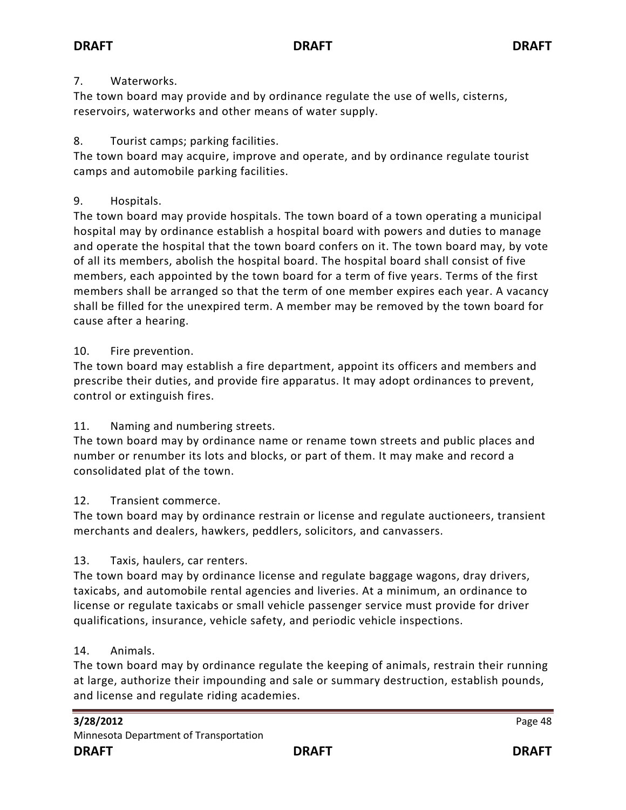### 7. Waterworks.

The town board may provide and by ordinance regulate the use of wells, cisterns, reservoirs, waterworks and other means of water supply.

## 8. Tourist camps; parking facilities.

The town board may acquire, improve and operate, and by ordinance regulate tourist camps and automobile parking facilities.

## 9. Hospitals.

The town board may provide hospitals. The town board of a town operating a municipal hospital may by ordinance establish a hospital board with powers and duties to manage and operate the hospital that the town board confers on it. The town board may, by vote of all its members, abolish the hospital board. The hospital board shall consist of five members, each appointed by the town board for a term of five years. Terms of the first members shall be arranged so that the term of one member expires each year. A vacancy shall be filled for the unexpired term. A member may be removed by the town board for cause after a hearing.

## 10. Fire prevention.

The town board may establish a fire department, appoint its officers and members and prescribe their duties, and provide fire apparatus. It may adopt ordinances to prevent, control or extinguish fires.

## 11. Naming and numbering streets.

The town board may by ordinance name or rename town streets and public places and number or renumber its lots and blocks, or part of them. It may make and record a consolidated plat of the town.

## 12. Transient commerce.

The town board may by ordinance restrain or license and regulate auctioneers, transient merchants and dealers, hawkers, peddlers, solicitors, and canvassers.

## 13. Taxis, haulers, car renters.

The town board may by ordinance license and regulate baggage wagons, dray drivers, taxicabs, and automobile rental agencies and liveries. At a minimum, an ordinance to license or regulate taxicabs or small vehicle passenger service must provide for driver qualifications, insurance, vehicle safety, and periodic vehicle inspections.

### 14. Animals.

The town board may by ordinance regulate the keeping of animals, restrain their running at large, authorize their impounding and sale or summary destruction, establish pounds, and license and regulate riding academies.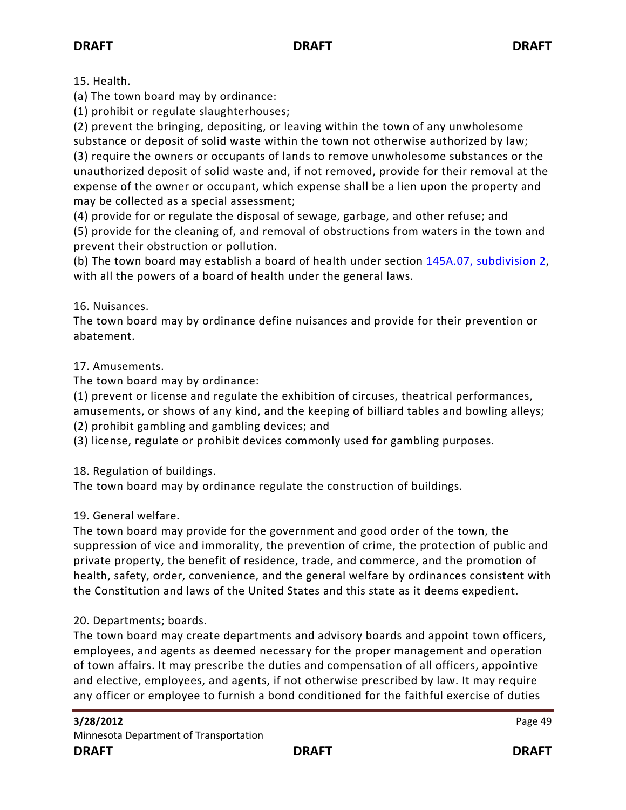15. Health.

(a) The town board may by ordinance:

(1) prohibit or regulate slaughterhouses;

(2) prevent the bringing, depositing, or leaving within the town of any unwholesome substance or deposit of solid waste within the town not otherwise authorized by law; (3) require the owners or occupants of lands to remove unwholesome substances or the unauthorized deposit of solid waste and, if not removed, provide for their removal at the

expense of the owner or occupant, which expense shall be a lien upon the property and may be collected as a special assessment;

(4) provide for or regulate the disposal of sewage, garbage, and other refuse; and

(5) provide for the cleaning of, and removal of obstructions from waters in the town and prevent their obstruction or pollution.

(b) The town board may establish a board of health under section [145A.07, subdivision 2,](https://www.revisor.mn.gov/statutes?year=2010&id=145A.07#stat.145A.07.2) with all the powers of a board of health under the general laws.

16. Nuisances.

The town board may by ordinance define nuisances and provide for their prevention or abatement.

## 17. Amusements.

The town board may by ordinance:

(1) prevent or license and regulate the exhibition of circuses, theatrical performances, amusements, or shows of any kind, and the keeping of billiard tables and bowling alleys;

(2) prohibit gambling and gambling devices; and

(3) license, regulate or prohibit devices commonly used for gambling purposes.

18. Regulation of buildings.

The town board may by ordinance regulate the construction of buildings.

### 19. General welfare.

The town board may provide for the government and good order of the town, the suppression of vice and immorality, the prevention of crime, the protection of public and private property, the benefit of residence, trade, and commerce, and the promotion of health, safety, order, convenience, and the general welfare by ordinances consistent with the Constitution and laws of the United States and this state as it deems expedient.

## 20. Departments; boards.

The town board may create departments and advisory boards and appoint town officers, employees, and agents as deemed necessary for the proper management and operation of town affairs. It may prescribe the duties and compensation of all officers, appointive and elective, employees, and agents, if not otherwise prescribed by law. It may require any officer or employee to furnish a bond conditioned for the faithful exercise of duties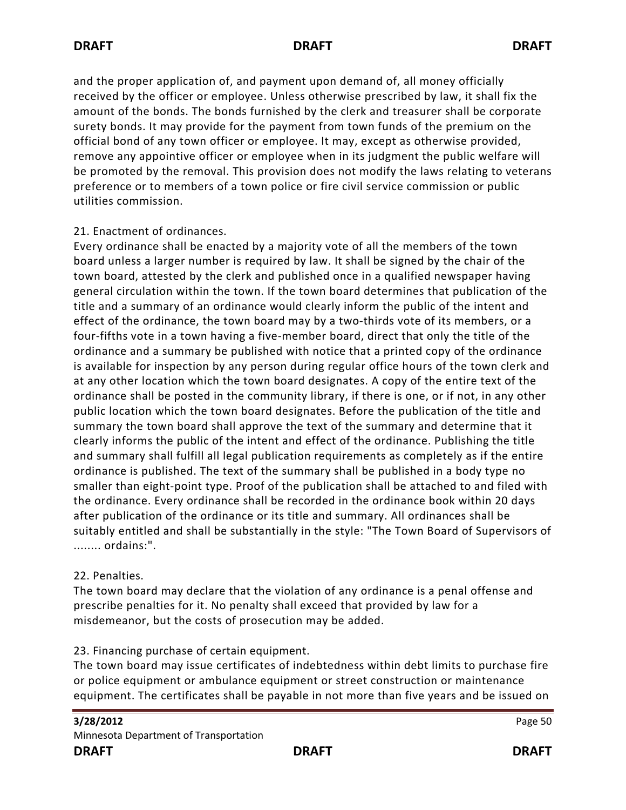and the proper application of, and payment upon demand of, all money officially received by the officer or employee. Unless otherwise prescribed by law, it shall fix the amount of the bonds. The bonds furnished by the clerk and treasurer shall be corporate surety bonds. It may provide for the payment from town funds of the premium on the official bond of any town officer or employee. It may, except as otherwise provided, remove any appointive officer or employee when in its judgment the public welfare will be promoted by the removal. This provision does not modify the laws relating to veterans preference or to members of a town police or fire civil service commission or public utilities commission.

## 21. Enactment of ordinances.

Every ordinance shall be enacted by a majority vote of all the members of the town board unless a larger number is required by law. It shall be signed by the chair of the town board, attested by the clerk and published once in a qualified newspaper having general circulation within the town. If the town board determines that publication of the title and a summary of an ordinance would clearly inform the public of the intent and effect of the ordinance, the town board may by a two-thirds vote of its members, or a four-fifths vote in a town having a five-member board, direct that only the title of the ordinance and a summary be published with notice that a printed copy of the ordinance is available for inspection by any person during regular office hours of the town clerk and at any other location which the town board designates. A copy of the entire text of the ordinance shall be posted in the community library, if there is one, or if not, in any other public location which the town board designates. Before the publication of the title and summary the town board shall approve the text of the summary and determine that it clearly informs the public of the intent and effect of the ordinance. Publishing the title and summary shall fulfill all legal publication requirements as completely as if the entire ordinance is published. The text of the summary shall be published in a body type no smaller than eight-point type. Proof of the publication shall be attached to and filed with the ordinance. Every ordinance shall be recorded in the ordinance book within 20 days after publication of the ordinance or its title and summary. All ordinances shall be suitably entitled and shall be substantially in the style: "The Town Board of Supervisors of ........ ordains:".

### 22. Penalties.

The town board may declare that the violation of any ordinance is a penal offense and prescribe penalties for it. No penalty shall exceed that provided by law for a misdemeanor, but the costs of prosecution may be added.

### 23. Financing purchase of certain equipment.

The town board may issue certificates of indebtedness within debt limits to purchase fire or police equipment or ambulance equipment or street construction or maintenance equipment. The certificates shall be payable in not more than five years and be issued on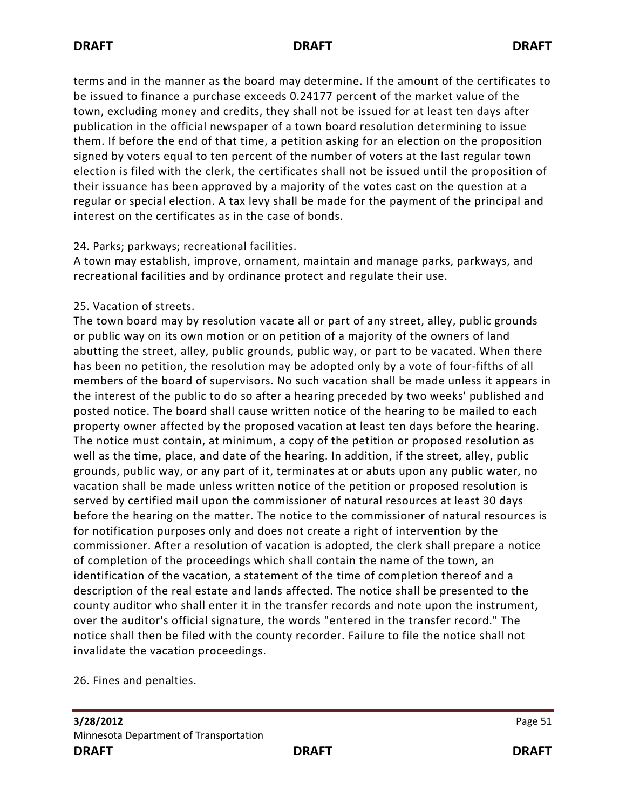terms and in the manner as the board may determine. If the amount of the certificates to be issued to finance a purchase exceeds 0.24177 percent of the market value of the town, excluding money and credits, they shall not be issued for at least ten days after publication in the official newspaper of a town board resolution determining to issue them. If before the end of that time, a petition asking for an election on the proposition signed by voters equal to ten percent of the number of voters at the last regular town election is filed with the clerk, the certificates shall not be issued until the proposition of their issuance has been approved by a majority of the votes cast on the question at a regular or special election. A tax levy shall be made for the payment of the principal and interest on the certificates as in the case of bonds.

### 24. Parks; parkways; recreational facilities.

A town may establish, improve, ornament, maintain and manage parks, parkways, and recreational facilities and by ordinance protect and regulate their use.

## 25. Vacation of streets.

The town board may by resolution vacate all or part of any street, alley, public grounds or public way on its own motion or on petition of a majority of the owners of land abutting the street, alley, public grounds, public way, or part to be vacated. When there has been no petition, the resolution may be adopted only by a vote of four-fifths of all members of the board of supervisors. No such vacation shall be made unless it appears in the interest of the public to do so after a hearing preceded by two weeks' published and posted notice. The board shall cause written notice of the hearing to be mailed to each property owner affected by the proposed vacation at least ten days before the hearing. The notice must contain, at minimum, a copy of the petition or proposed resolution as well as the time, place, and date of the hearing. In addition, if the street, alley, public grounds, public way, or any part of it, terminates at or abuts upon any public water, no vacation shall be made unless written notice of the petition or proposed resolution is served by certified mail upon the commissioner of natural resources at least 30 days before the hearing on the matter. The notice to the commissioner of natural resources is for notification purposes only and does not create a right of intervention by the commissioner. After a resolution of vacation is adopted, the clerk shall prepare a notice of completion of the proceedings which shall contain the name of the town, an identification of the vacation, a statement of the time of completion thereof and a description of the real estate and lands affected. The notice shall be presented to the county auditor who shall enter it in the transfer records and note upon the instrument, over the auditor's official signature, the words "entered in the transfer record." The notice shall then be filed with the county recorder. Failure to file the notice shall not invalidate the vacation proceedings.

26. Fines and penalties.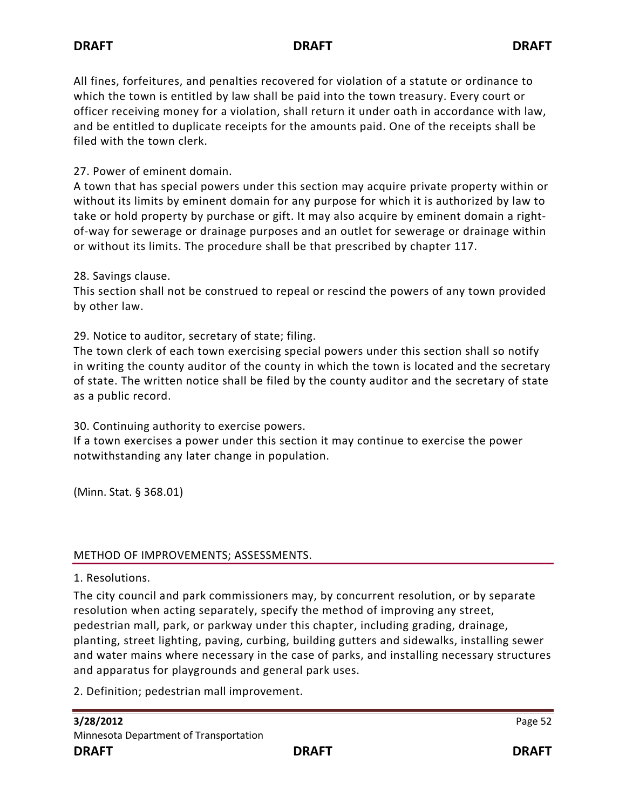All fines, forfeitures, and penalties recovered for violation of a statute or ordinance to which the town is entitled by law shall be paid into the town treasury. Every court or officer receiving money for a violation, shall return it under oath in accordance with law, and be entitled to duplicate receipts for the amounts paid. One of the receipts shall be filed with the town clerk.

## 27. Power of eminent domain.

A town that has special powers under this section may acquire private property within or without its limits by eminent domain for any purpose for which it is authorized by law to take or hold property by purchase or gift. It may also acquire by eminent domain a rightof-way for sewerage or drainage purposes and an outlet for sewerage or drainage within or without its limits. The procedure shall be that prescribed by chapter 117.

### 28. Savings clause.

This section shall not be construed to repeal or rescind the powers of any town provided by other law.

29. Notice to auditor, secretary of state; filing.

The town clerk of each town exercising special powers under this section shall so notify in writing the county auditor of the county in which the town is located and the secretary of state. The written notice shall be filed by the county auditor and the secretary of state as a public record.

30. Continuing authority to exercise powers.

If a town exercises a power under this section it may continue to exercise the power notwithstanding any later change in population.

(Minn. Stat. § 368.01)

### METHOD OF IMPROVEMENTS; ASSESSMENTS.

1. Resolutions.

The city council and park commissioners may, by concurrent resolution, or by separate resolution when acting separately, specify the method of improving any street, pedestrian mall, park, or parkway under this chapter, including grading, drainage, planting, street lighting, paving, curbing, building gutters and sidewalks, installing sewer and water mains where necessary in the case of parks, and installing necessary structures and apparatus for playgrounds and general park uses.

2. Definition; pedestrian mall improvement.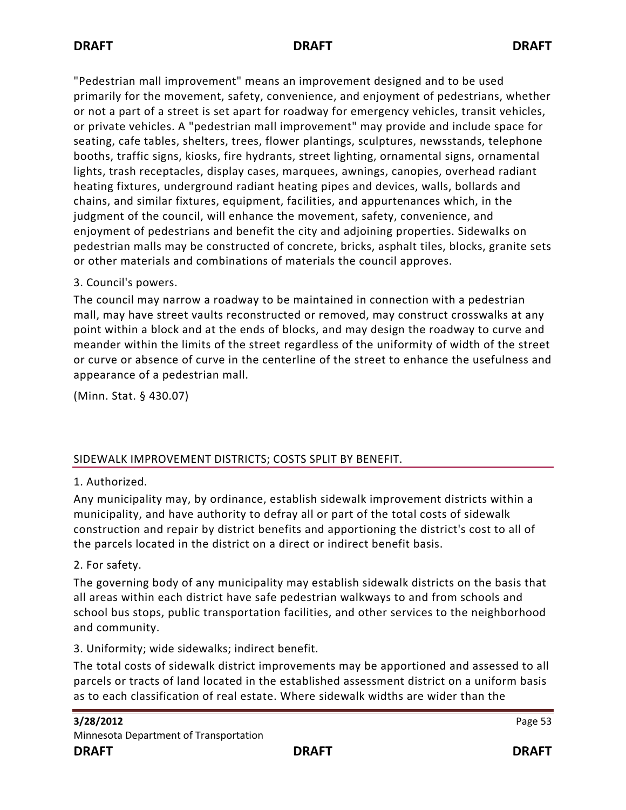"Pedestrian mall improvement" means an improvement designed and to be used primarily for the movement, safety, convenience, and enjoyment of pedestrians, whether or not a part of a street is set apart for roadway for emergency vehicles, transit vehicles, or private vehicles. A "pedestrian mall improvement" may provide and include space for seating, cafe tables, shelters, trees, flower plantings, sculptures, newsstands, telephone booths, traffic signs, kiosks, fire hydrants, street lighting, ornamental signs, ornamental lights, trash receptacles, display cases, marquees, awnings, canopies, overhead radiant heating fixtures, underground radiant heating pipes and devices, walls, bollards and chains, and similar fixtures, equipment, facilities, and appurtenances which, in the judgment of the council, will enhance the movement, safety, convenience, and enjoyment of pedestrians and benefit the city and adjoining properties. Sidewalks on pedestrian malls may be constructed of concrete, bricks, asphalt tiles, blocks, granite sets or other materials and combinations of materials the council approves.

3. Council's powers.

The council may narrow a roadway to be maintained in connection with a pedestrian mall, may have street vaults reconstructed or removed, may construct crosswalks at any point within a block and at the ends of blocks, and may design the roadway to curve and meander within the limits of the street regardless of the uniformity of width of the street or curve or absence of curve in the centerline of the street to enhance the usefulness and appearance of a pedestrian mall.

(Minn. Stat. § 430.07)

## SIDEWALK IMPROVEMENT DISTRICTS; COSTS SPLIT BY BENEFIT.

## 1. Authorized.

Any municipality may, by ordinance, establish sidewalk improvement districts within a municipality, and have authority to defray all or part of the total costs of sidewalk construction and repair by district benefits and apportioning the district's cost to all of the parcels located in the district on a direct or indirect benefit basis.

## 2. For safety.

The governing body of any municipality may establish sidewalk districts on the basis that all areas within each district have safe pedestrian walkways to and from schools and school bus stops, public transportation facilities, and other services to the neighborhood and community.

3. Uniformity; wide sidewalks; indirect benefit.

The total costs of sidewalk district improvements may be apportioned and assessed to all parcels or tracts of land located in the established assessment district on a uniform basis as to each classification of real estate. Where sidewalk widths are wider than the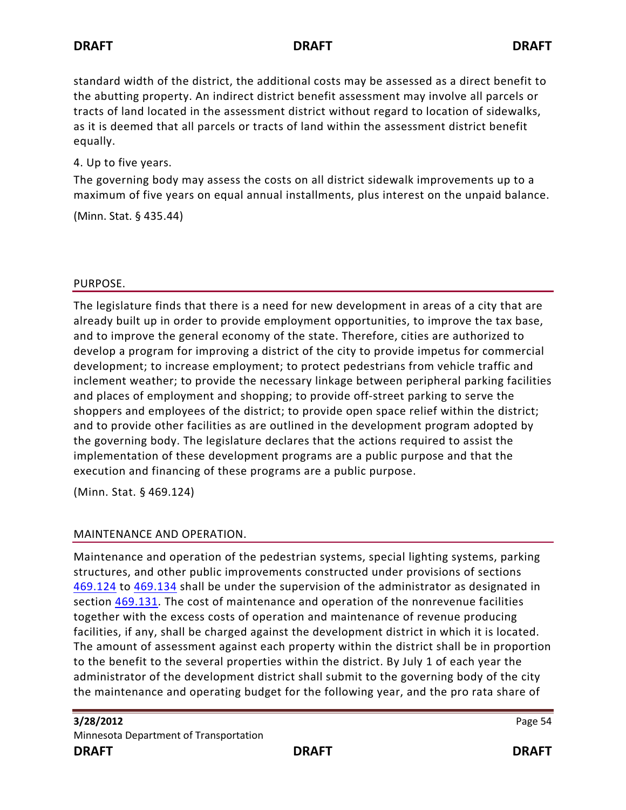standard width of the district, the additional costs may be assessed as a direct benefit to the abutting property. An indirect district benefit assessment may involve all parcels or tracts of land located in the assessment district without regard to location of sidewalks, as it is deemed that all parcels or tracts of land within the assessment district benefit equally.

4. Up to five years.

The governing body may assess the costs on all district sidewalk improvements up to a maximum of five years on equal annual installments, plus interest on the unpaid balance.

(Minn. Stat. § 435.44)

#### PURPOSE.

The legislature finds that there is a need for new development in areas of a city that are already built up in order to provide employment opportunities, to improve the tax base, and to improve the general economy of the state. Therefore, cities are authorized to develop a program for improving a district of the city to provide impetus for commercial development; to increase employment; to protect pedestrians from vehicle traffic and inclement weather; to provide the necessary linkage between peripheral parking facilities and places of employment and shopping; to provide off-street parking to serve the shoppers and employees of the district; to provide open space relief within the district; and to provide other facilities as are outlined in the development program adopted by the governing body. The legislature declares that the actions required to assist the implementation of these development programs are a public purpose and that the execution and financing of these programs are a public purpose.

(Minn. Stat. § 469.124)

### MAINTENANCE AND OPERATION.

Maintenance and operation of the pedestrian systems, special lighting systems, parking structures, and other public improvements constructed under provisions of sections [469.124](https://www.revisor.mn.gov/statutes?id=469.124#stat.469.124) to [469.134](https://www.revisor.mn.gov/statutes?id=469.134#stat.469.134) shall be under the supervision of the administrator as designated in section [469.131.](https://www.revisor.mn.gov/statutes?id=469.131#stat.469.131) The cost of maintenance and operation of the nonrevenue facilities together with the excess costs of operation and maintenance of revenue producing facilities, if any, shall be charged against the development district in which it is located. The amount of assessment against each property within the district shall be in proportion to the benefit to the several properties within the district. By July 1 of each year the administrator of the development district shall submit to the governing body of the city the maintenance and operating budget for the following year, and the pro rata share of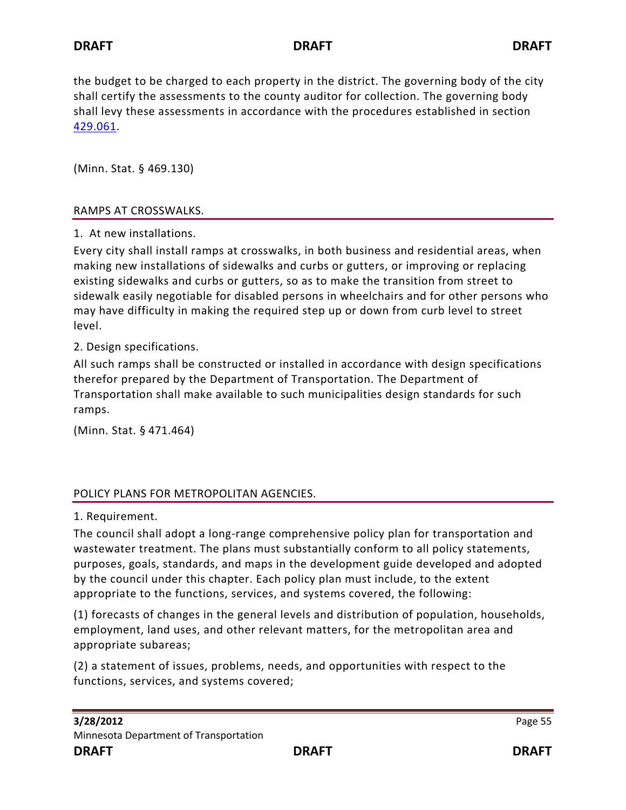the budget to be charged to each property in the district. The governing body of the city shall certify the assessments to the county auditor for collection. The governing body shall levy these assessments in accordance with the procedures established in section [429.061.](https://www.revisor.mn.gov/statutes?id=429.061#stat.429.061)

(Minn. Stat. § 469.130)

### RAMPS AT CROSSWALKS.

1. At new installations.

Every city shall install ramps at crosswalks, in both business and residential areas, when making new installations of sidewalks and curbs or gutters, or improving or replacing existing sidewalks and curbs or gutters, so as to make the transition from street to sidewalk easily negotiable for disabled persons in wheelchairs and for other persons who may have difficulty in making the required step up or down from curb level to street level.

2. Design specifications.

All such ramps shall be constructed or installed in accordance with design specifications therefor prepared by the Department of Transportation. The Department of Transportation shall make available to such municipalities design standards for such ramps.

(Minn. Stat. § 471.464)

### POLICY PLANS FOR METROPOLITAN AGENCIES.

1. Requirement.

The council shall adopt a long-range comprehensive policy plan for transportation and wastewater treatment. The plans must substantially conform to all policy statements, purposes, goals, standards, and maps in the development guide developed and adopted by the council under this chapter. Each policy plan must include, to the extent appropriate to the functions, services, and systems covered, the following:

(1) forecasts of changes in the general levels and distribution of population, households, employment, land uses, and other relevant matters, for the metropolitan area and appropriate subareas;

(2) a statement of issues, problems, needs, and opportunities with respect to the functions, services, and systems covered;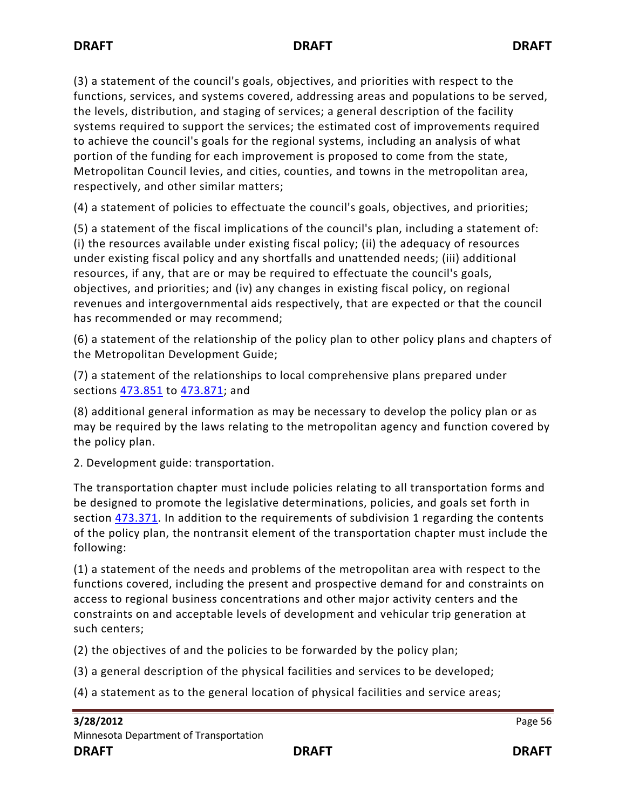(3) a statement of the council's goals, objectives, and priorities with respect to the functions, services, and systems covered, addressing areas and populations to be served, the levels, distribution, and staging of services; a general description of the facility systems required to support the services; the estimated cost of improvements required to achieve the council's goals for the regional systems, including an analysis of what portion of the funding for each improvement is proposed to come from the state, Metropolitan Council levies, and cities, counties, and towns in the metropolitan area, respectively, and other similar matters;

(4) a statement of policies to effectuate the council's goals, objectives, and priorities;

(5) a statement of the fiscal implications of the council's plan, including a statement of: (i) the resources available under existing fiscal policy; (ii) the adequacy of resources under existing fiscal policy and any shortfalls and unattended needs; (iii) additional resources, if any, that are or may be required to effectuate the council's goals, objectives, and priorities; and (iv) any changes in existing fiscal policy, on regional revenues and intergovernmental aids respectively, that are expected or that the council has recommended or may recommend;

(6) a statement of the relationship of the policy plan to other policy plans and chapters of the Metropolitan Development Guide;

(7) a statement of the relationships to local comprehensive plans prepared under sections [473.851](https://www.revisor.mn.gov/statutes?id=473.851#stat.473.851) to [473.871;](https://www.revisor.mn.gov/statutes?id=473.871#stat.473.871) and

(8) additional general information as may be necessary to develop the policy plan or as may be required by the laws relating to the metropolitan agency and function covered by the policy plan.

2. Development guide: transportation.

The transportation chapter must include policies relating to all transportation forms and be designed to promote the legislative determinations, policies, and goals set forth in section [473.371.](https://www.revisor.mn.gov/statutes?id=473.371#stat.473.371) In addition to the requirements of subdivision 1 regarding the contents of the policy plan, the nontransit element of the transportation chapter must include the following:

(1) a statement of the needs and problems of the metropolitan area with respect to the functions covered, including the present and prospective demand for and constraints on access to regional business concentrations and other major activity centers and the constraints on and acceptable levels of development and vehicular trip generation at such centers;

(2) the objectives of and the policies to be forwarded by the policy plan;

(3) a general description of the physical facilities and services to be developed;

(4) a statement as to the general location of physical facilities and service areas;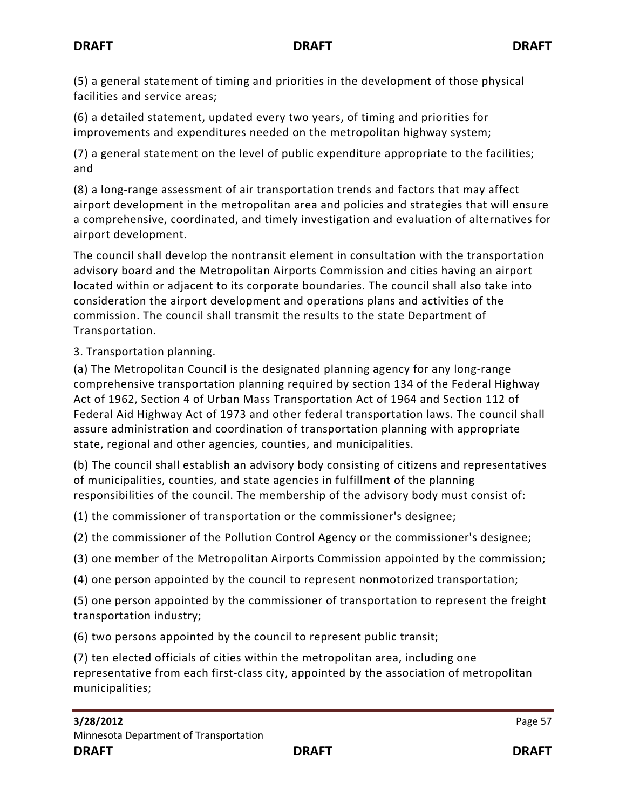(5) a general statement of timing and priorities in the development of those physical facilities and service areas;

(6) a detailed statement, updated every two years, of timing and priorities for improvements and expenditures needed on the metropolitan highway system;

(7) a general statement on the level of public expenditure appropriate to the facilities; and

(8) a long-range assessment of air transportation trends and factors that may affect airport development in the metropolitan area and policies and strategies that will ensure a comprehensive, coordinated, and timely investigation and evaluation of alternatives for airport development.

The council shall develop the nontransit element in consultation with the transportation advisory board and the Metropolitan Airports Commission and cities having an airport located within or adjacent to its corporate boundaries. The council shall also take into consideration the airport development and operations plans and activities of the commission. The council shall transmit the results to the state Department of Transportation.

3. Transportation planning.

(a) The Metropolitan Council is the designated planning agency for any long-range comprehensive transportation planning required by section 134 of the Federal Highway Act of 1962, Section 4 of Urban Mass Transportation Act of 1964 and Section 112 of Federal Aid Highway Act of 1973 and other federal transportation laws. The council shall assure administration and coordination of transportation planning with appropriate state, regional and other agencies, counties, and municipalities.

(b) The council shall establish an advisory body consisting of citizens and representatives of municipalities, counties, and state agencies in fulfillment of the planning responsibilities of the council. The membership of the advisory body must consist of:

(1) the commissioner of transportation or the commissioner's designee;

(2) the commissioner of the Pollution Control Agency or the commissioner's designee;

(3) one member of the Metropolitan Airports Commission appointed by the commission;

(4) one person appointed by the council to represent nonmotorized transportation;

(5) one person appointed by the commissioner of transportation to represent the freight transportation industry;

(6) two persons appointed by the council to represent public transit;

(7) ten elected officials of cities within the metropolitan area, including one representative from each first-class city, appointed by the association of metropolitan municipalities;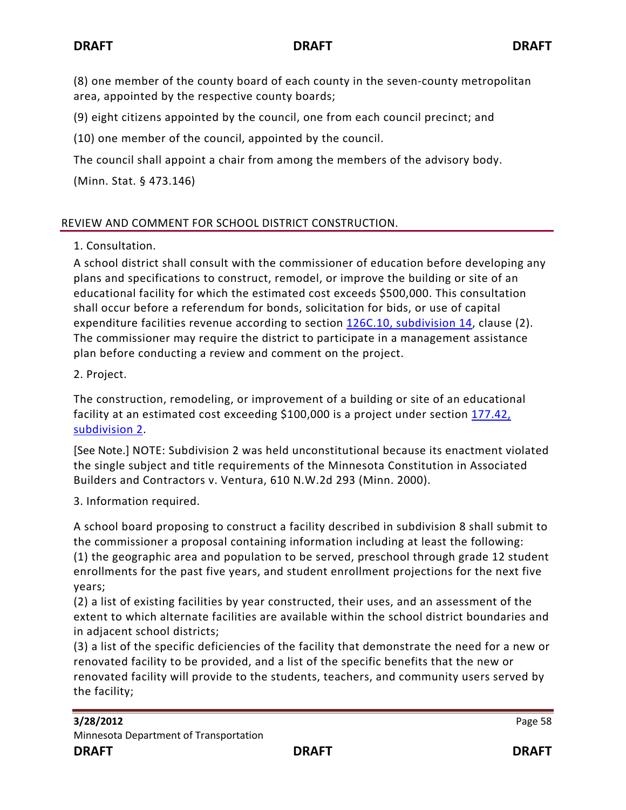(8) one member of the county board of each county in the seven-county metropolitan area, appointed by the respective county boards;

(9) eight citizens appointed by the council, one from each council precinct; and

(10) one member of the council, appointed by the council.

The council shall appoint a chair from among the members of the advisory body.

(Minn. Stat. § 473.146)

# REVIEW AND COMMENT FOR SCHOOL DISTRICT CONSTRUCTION.

1. Consultation.

A school district shall consult with the commissioner of education before developing any plans and specifications to construct, remodel, or improve the building or site of an educational facility for which the estimated cost exceeds \$500,000. This consultation shall occur before a referendum for bonds, solicitation for bids, or use of capital expenditure facilities revenue according to section [126C.10, subdivision 14,](https://www.revisor.mn.gov/statutes?id=126C.10#stat.126C.10.14) clause (2). The commissioner may require the district to participate in a management assistance plan before conducting a review and comment on the project.

2. Project.

The construction, remodeling, or improvement of a building or site of an educational facility at an estimated cost exceeding \$100,000 is a project under section [177.42,](https://www.revisor.mn.gov/statutes?id=177.42#stat.177.42.2)  [subdivision 2.](https://www.revisor.mn.gov/statutes?id=177.42#stat.177.42.2)

[See Note.] NOTE: Subdivision 2 was held unconstitutional because its enactment violated the single subject and title requirements of the Minnesota Constitution in Associated Builders and Contractors v. Ventura, 610 N.W.2d 293 (Minn. 2000).

3. Information required.

A school board proposing to construct a facility described in subdivision 8 shall submit to the commissioner a proposal containing information including at least the following: (1) the geographic area and population to be served, preschool through grade 12 student enrollments for the past five years, and student enrollment projections for the next five years;

(2) a list of existing facilities by year constructed, their uses, and an assessment of the extent to which alternate facilities are available within the school district boundaries and in adjacent school districts;

(3) a list of the specific deficiencies of the facility that demonstrate the need for a new or renovated facility to be provided, and a list of the specific benefits that the new or renovated facility will provide to the students, teachers, and community users served by the facility;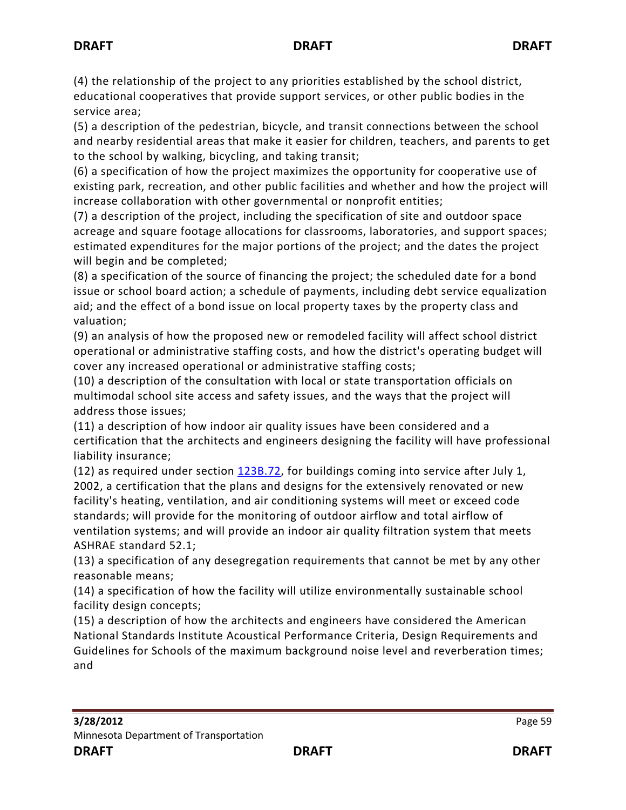(4) the relationship of the project to any priorities established by the school district, educational cooperatives that provide support services, or other public bodies in the service area;

(5) a description of the pedestrian, bicycle, and transit connections between the school and nearby residential areas that make it easier for children, teachers, and parents to get to the school by walking, bicycling, and taking transit;

(6) a specification of how the project maximizes the opportunity for cooperative use of existing park, recreation, and other public facilities and whether and how the project will increase collaboration with other governmental or nonprofit entities;

(7) a description of the project, including the specification of site and outdoor space acreage and square footage allocations for classrooms, laboratories, and support spaces; estimated expenditures for the major portions of the project; and the dates the project will begin and be completed;

(8) a specification of the source of financing the project; the scheduled date for a bond issue or school board action; a schedule of payments, including debt service equalization aid; and the effect of a bond issue on local property taxes by the property class and valuation;

(9) an analysis of how the proposed new or remodeled facility will affect school district operational or administrative staffing costs, and how the district's operating budget will cover any increased operational or administrative staffing costs;

(10) a description of the consultation with local or state transportation officials on multimodal school site access and safety issues, and the ways that the project will address those issues;

(11) a description of how indoor air quality issues have been considered and a certification that the architects and engineers designing the facility will have professional liability insurance;

(12) as required under section  $123B.72$ , for buildings coming into service after July 1, 2002, a certification that the plans and designs for the extensively renovated or new facility's heating, ventilation, and air conditioning systems will meet or exceed code standards; will provide for the monitoring of outdoor airflow and total airflow of ventilation systems; and will provide an indoor air quality filtration system that meets ASHRAE standard 52.1;

(13) a specification of any desegregation requirements that cannot be met by any other reasonable means;

(14) a specification of how the facility will utilize environmentally sustainable school facility design concepts;

(15) a description of how the architects and engineers have considered the American National Standards Institute Acoustical Performance Criteria, Design Requirements and Guidelines for Schools of the maximum background noise level and reverberation times; and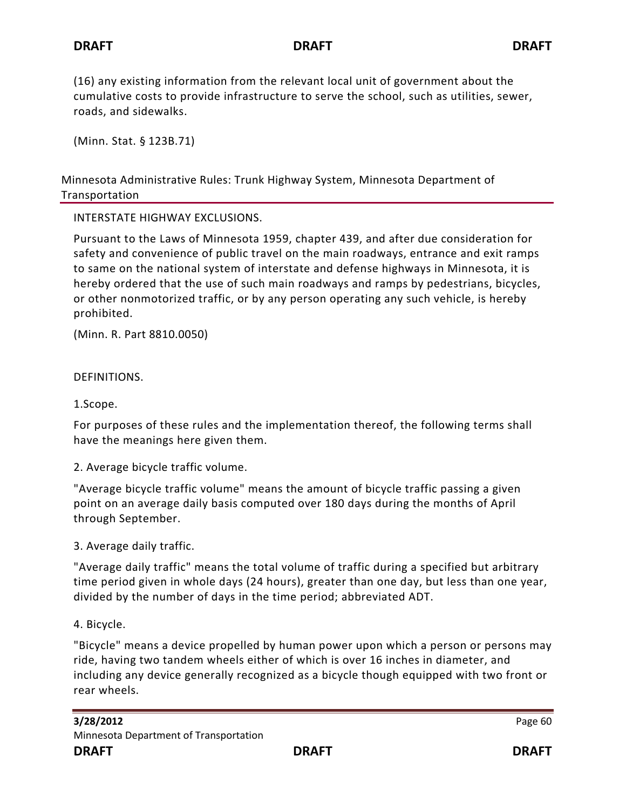(16) any existing information from the relevant local unit of government about the cumulative costs to provide infrastructure to serve the school, such as utilities, sewer, roads, and sidewalks.

(Minn. Stat. § 123B.71)

Minnesota Administrative Rules: Trunk Highway System, Minnesota Department of Transportation

### INTERSTATE HIGHWAY EXCLUSIONS.

Pursuant to the Laws of Minnesota 1959, chapter 439, and after due consideration for safety and convenience of public travel on the main roadways, entrance and exit ramps to same on the national system of interstate and defense highways in Minnesota, it is hereby ordered that the use of such main roadways and ramps by pedestrians, bicycles, or other nonmotorized traffic, or by any person operating any such vehicle, is hereby prohibited.

(Minn. R. Part 8810.0050)

DEFINITIONS.

1.Scope.

For purposes of these rules and the implementation thereof, the following terms shall have the meanings here given them.

2. Average bicycle traffic volume.

"Average bicycle traffic volume" means the amount of bicycle traffic passing a given point on an average daily basis computed over 180 days during the months of April through September.

3. Average daily traffic.

"Average daily traffic" means the total volume of traffic during a specified but arbitrary time period given in whole days (24 hours), greater than one day, but less than one year, divided by the number of days in the time period; abbreviated ADT.

4. Bicycle.

"Bicycle" means a device propelled by human power upon which a person or persons may ride, having two tandem wheels either of which is over 16 inches in diameter, and including any device generally recognized as a bicycle though equipped with two front or rear wheels.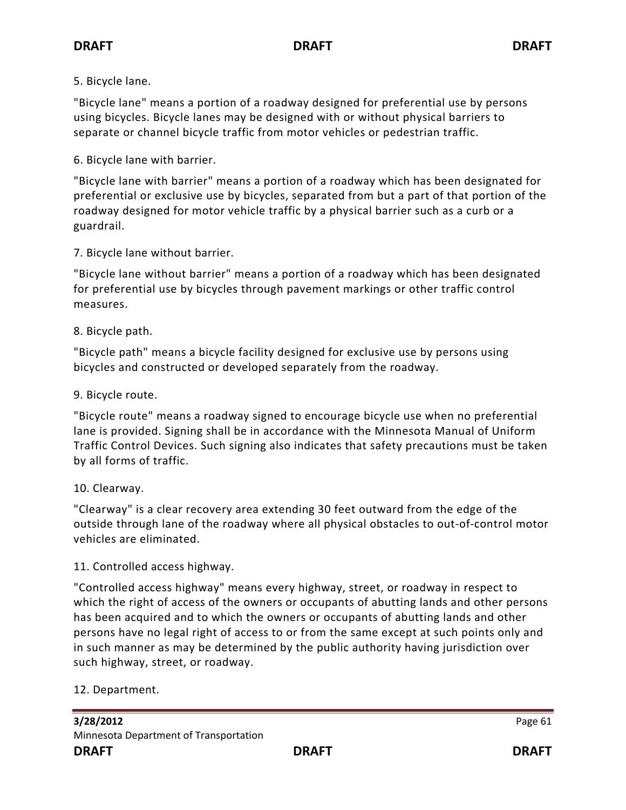## 5. Bicycle lane.

"Bicycle lane" means a portion of a roadway designed for preferential use by persons using bicycles. Bicycle lanes may be designed with or without physical barriers to separate or channel bicycle traffic from motor vehicles or pedestrian traffic.

6. Bicycle lane with barrier.

"Bicycle lane with barrier" means a portion of a roadway which has been designated for preferential or exclusive use by bicycles, separated from but a part of that portion of the roadway designed for motor vehicle traffic by a physical barrier such as a curb or a guardrail.

7. Bicycle lane without barrier.

"Bicycle lane without barrier" means a portion of a roadway which has been designated for preferential use by bicycles through pavement markings or other traffic control measures.

## 8. Bicycle path.

"Bicycle path" means a bicycle facility designed for exclusive use by persons using bicycles and constructed or developed separately from the roadway.

## 9. Bicycle route.

"Bicycle route" means a roadway signed to encourage bicycle use when no preferential lane is provided. Signing shall be in accordance with the Minnesota Manual of Uniform Traffic Control Devices. Such signing also indicates that safety precautions must be taken by all forms of traffic.

### 10. Clearway.

"Clearway" is a clear recovery area extending 30 feet outward from the edge of the outside through lane of the roadway where all physical obstacles to out-of-control motor vehicles are eliminated.

## 11. Controlled access highway.

"Controlled access highway" means every highway, street, or roadway in respect to which the right of access of the owners or occupants of abutting lands and other persons has been acquired and to which the owners or occupants of abutting lands and other persons have no legal right of access to or from the same except at such points only and in such manner as may be determined by the public authority having jurisdiction over such highway, street, or roadway.

## 12. Department.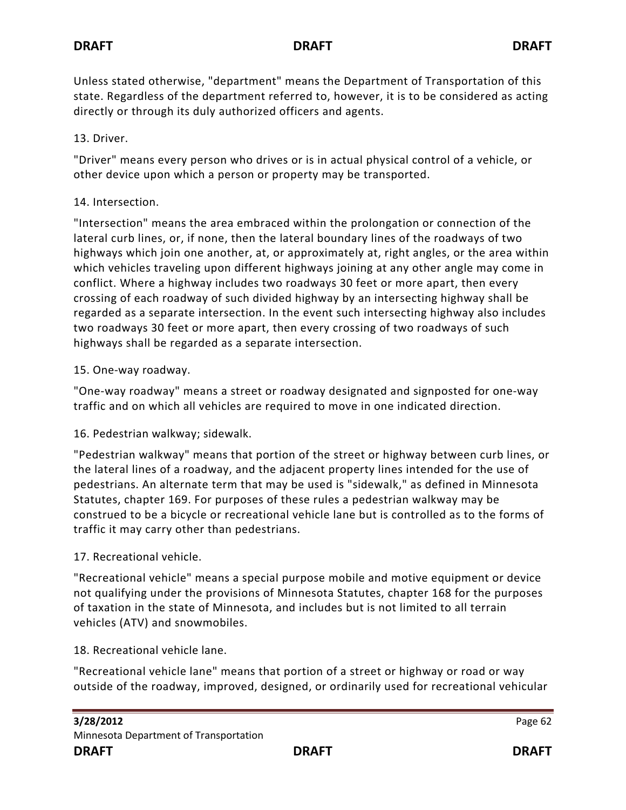Unless stated otherwise, "department" means the Department of Transportation of this state. Regardless of the department referred to, however, it is to be considered as acting directly or through its duly authorized officers and agents.

# 13. Driver.

"Driver" means every person who drives or is in actual physical control of a vehicle, or other device upon which a person or property may be transported.

# 14. Intersection.

"Intersection" means the area embraced within the prolongation or connection of the lateral curb lines, or, if none, then the lateral boundary lines of the roadways of two highways which join one another, at, or approximately at, right angles, or the area within which vehicles traveling upon different highways joining at any other angle may come in conflict. Where a highway includes two roadways 30 feet or more apart, then every crossing of each roadway of such divided highway by an intersecting highway shall be regarded as a separate intersection. In the event such intersecting highway also includes two roadways 30 feet or more apart, then every crossing of two roadways of such highways shall be regarded as a separate intersection.

# 15. One-way roadway.

"One-way roadway" means a street or roadway designated and signposted for one-way traffic and on which all vehicles are required to move in one indicated direction.

# 16. Pedestrian walkway; sidewalk.

"Pedestrian walkway" means that portion of the street or highway between curb lines, or the lateral lines of a roadway, and the adjacent property lines intended for the use of pedestrians. An alternate term that may be used is "sidewalk," as defined in Minnesota Statutes, chapter 169. For purposes of these rules a pedestrian walkway may be construed to be a bicycle or recreational vehicle lane but is controlled as to the forms of traffic it may carry other than pedestrians.

# 17. Recreational vehicle.

"Recreational vehicle" means a special purpose mobile and motive equipment or device not qualifying under the provisions of Minnesota Statutes, chapter 168 for the purposes of taxation in the state of Minnesota, and includes but is not limited to all terrain vehicles (ATV) and snowmobiles.

# 18. Recreational vehicle lane.

"Recreational vehicle lane" means that portion of a street or highway or road or way outside of the roadway, improved, designed, or ordinarily used for recreational vehicular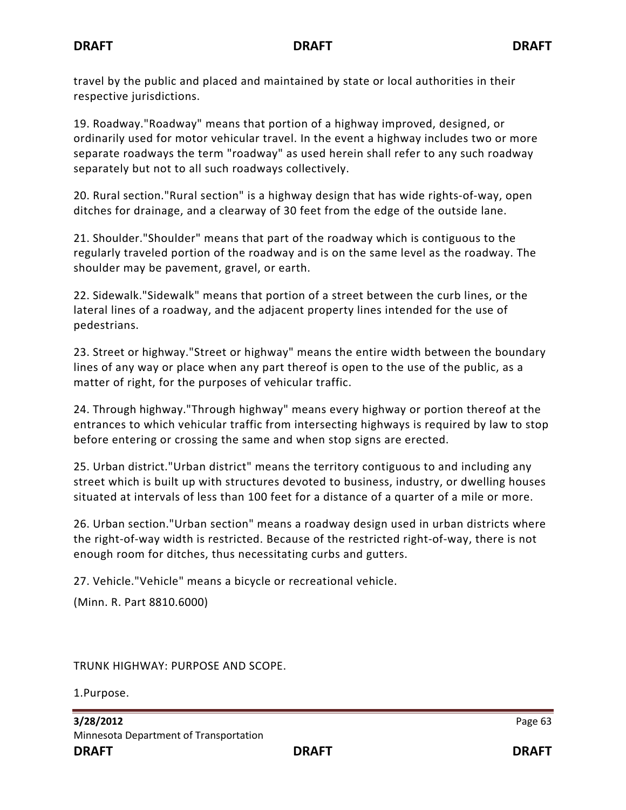travel by the public and placed and maintained by state or local authorities in their respective jurisdictions.

19. Roadway."Roadway" means that portion of a highway improved, designed, or ordinarily used for motor vehicular travel. In the event a highway includes two or more separate roadways the term "roadway" as used herein shall refer to any such roadway separately but not to all such roadways collectively.

20. Rural section."Rural section" is a highway design that has wide rights-of-way, open ditches for drainage, and a clearway of 30 feet from the edge of the outside lane.

21. Shoulder."Shoulder" means that part of the roadway which is contiguous to the regularly traveled portion of the roadway and is on the same level as the roadway. The shoulder may be pavement, gravel, or earth.

22. Sidewalk."Sidewalk" means that portion of a street between the curb lines, or the lateral lines of a roadway, and the adjacent property lines intended for the use of pedestrians.

23. Street or highway."Street or highway" means the entire width between the boundary lines of any way or place when any part thereof is open to the use of the public, as a matter of right, for the purposes of vehicular traffic.

24. Through highway."Through highway" means every highway or portion thereof at the entrances to which vehicular traffic from intersecting highways is required by law to stop before entering or crossing the same and when stop signs are erected.

25. Urban district."Urban district" means the territory contiguous to and including any street which is built up with structures devoted to business, industry, or dwelling houses situated at intervals of less than 100 feet for a distance of a quarter of a mile or more.

26. Urban section."Urban section" means a roadway design used in urban districts where the right-of-way width is restricted. Because of the restricted right-of-way, there is not enough room for ditches, thus necessitating curbs and gutters.

27. Vehicle."Vehicle" means a bicycle or recreational vehicle.

(Minn. R. Part 8810.6000)

TRUNK HIGHWAY: PURPOSE AND SCOPE.

1.Purpose.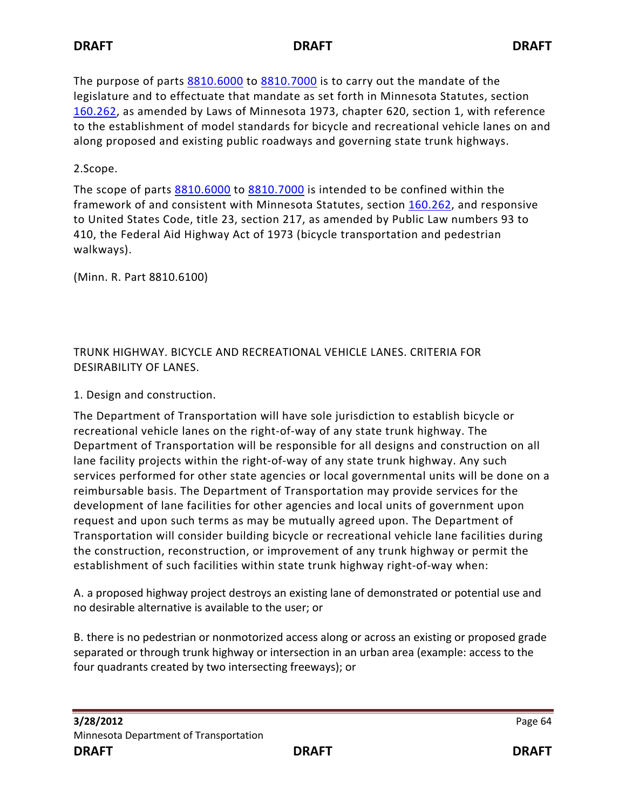The purpose of parts [8810.6000](https://www.revisor.mn.gov/rules?id=8810.6000) to [8810.7000](https://www.revisor.mn.gov/rules?id=8810.7000) is to carry out the mandate of the legislature and to effectuate that mandate as set forth in Minnesota Statutes, section [160.262,](https://www.revisor.mn.gov/statutes?id=160.262#stat.160.262) as amended by Laws of Minnesota 1973, chapter 620, section 1, with reference to the establishment of model standards for bicycle and recreational vehicle lanes on and along proposed and existing public roadways and governing state trunk highways.

2.Scope.

The scope of parts [8810.6000](https://www.revisor.mn.gov/rules?id=8810.6000) to [8810.7000](https://www.revisor.mn.gov/rules?id=8810.7000) is intended to be confined within the framework of and consistent with Minnesota Statutes, section [160.262,](https://www.revisor.mn.gov/statutes?id=160.262#stat.160.262) and responsive to United States Code, title 23, section 217, as amended by Public Law numbers 93 to 410, the Federal Aid Highway Act of 1973 (bicycle transportation and pedestrian walkways).

(Minn. R. Part 8810.6100)

TRUNK HIGHWAY. BICYCLE AND RECREATIONAL VEHICLE LANES. CRITERIA FOR DESIRABILITY OF LANES.

1. Design and construction.

The Department of Transportation will have sole jurisdiction to establish bicycle or recreational vehicle lanes on the right-of-way of any state trunk highway. The Department of Transportation will be responsible for all designs and construction on all lane facility projects within the right-of-way of any state trunk highway. Any such services performed for other state agencies or local governmental units will be done on a reimbursable basis. The Department of Transportation may provide services for the development of lane facilities for other agencies and local units of government upon request and upon such terms as may be mutually agreed upon. The Department of Transportation will consider building bicycle or recreational vehicle lane facilities during the construction, reconstruction, or improvement of any trunk highway or permit the establishment of such facilities within state trunk highway right-of-way when:

A. a proposed highway project destroys an existing lane of demonstrated or potential use and no desirable alternative is available to the user; or

B. there is no pedestrian or nonmotorized access along or across an existing or proposed grade separated or through trunk highway or intersection in an urban area (example: access to the four quadrants created by two intersecting freeways); or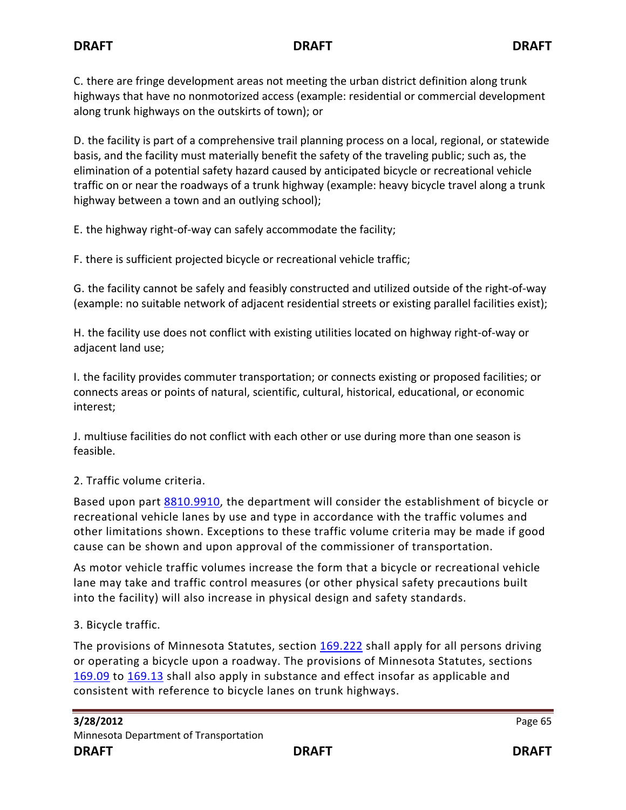C. there are fringe development areas not meeting the urban district definition along trunk highways that have no nonmotorized access (example: residential or commercial development along trunk highways on the outskirts of town); or

D. the facility is part of a comprehensive trail planning process on a local, regional, or statewide basis, and the facility must materially benefit the safety of the traveling public; such as, the elimination of a potential safety hazard caused by anticipated bicycle or recreational vehicle traffic on or near the roadways of a trunk highway (example: heavy bicycle travel along a trunk highway between a town and an outlying school);

E. the highway right-of-way can safely accommodate the facility;

F. there is sufficient projected bicycle or recreational vehicle traffic;

G. the facility cannot be safely and feasibly constructed and utilized outside of the right-of-way (example: no suitable network of adjacent residential streets or existing parallel facilities exist);

H. the facility use does not conflict with existing utilities located on highway right-of-way or adjacent land use;

I. the facility provides commuter transportation; or connects existing or proposed facilities; or connects areas or points of natural, scientific, cultural, historical, educational, or economic interest;

J. multiuse facilities do not conflict with each other or use during more than one season is feasible.

## 2. Traffic volume criteria.

Based upon part [8810.9910,](https://www.revisor.mn.gov/rules?id=8810.9910) the department will consider the establishment of bicycle or recreational vehicle lanes by use and type in accordance with the traffic volumes and other limitations shown. Exceptions to these traffic volume criteria may be made if good cause can be shown and upon approval of the commissioner of transportation.

As motor vehicle traffic volumes increase the form that a bicycle or recreational vehicle lane may take and traffic control measures (or other physical safety precautions built into the facility) will also increase in physical design and safety standards.

## 3. Bicycle traffic.

The provisions of Minnesota Statutes, section [169.222](https://www.revisor.mn.gov/statutes?id=169.222#stat.169.222) shall apply for all persons driving or operating a bicycle upon a roadway. The provisions of Minnesota Statutes, sections [169.09](https://www.revisor.mn.gov/statutes?id=169.09#stat.169.09) to [169.13](https://www.revisor.mn.gov/statutes?id=169.13#stat.169.13) shall also apply in substance and effect insofar as applicable and consistent with reference to bicycle lanes on trunk highways.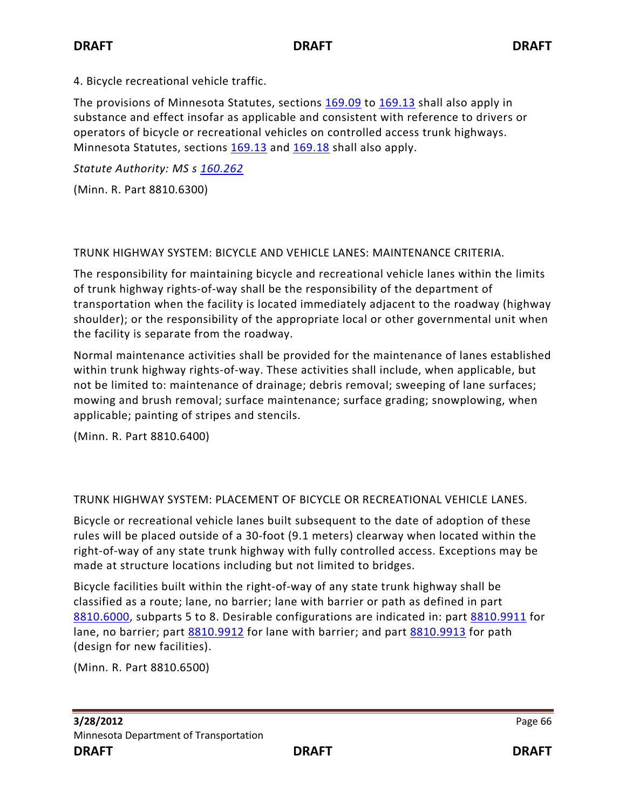4. Bicycle recreational vehicle traffic.

The provisions of Minnesota Statutes, sections [169.09](https://www.revisor.mn.gov/statutes?id=169.09#stat.169.09) to [169.13](https://www.revisor.mn.gov/statutes?id=169.13#stat.169.13) shall also apply in substance and effect insofar as applicable and consistent with reference to drivers or operators of bicycle or recreational vehicles on controlled access trunk highways. Minnesota Statutes, sections [169.13](https://www.revisor.mn.gov/statutes?id=169.13#stat.169.13) and [169.18](https://www.revisor.mn.gov/statutes?id=169.18#stat.169.18) shall also apply.

*Statute Authority: MS s [160.262](https://www.revisor.mn.gov/statutes?id=160.262#stat.160.262)*

(Minn. R. Part 8810.6300)

TRUNK HIGHWAY SYSTEM: BICYCLE AND VEHICLE LANES: MAINTENANCE CRITERIA.

The responsibility for maintaining bicycle and recreational vehicle lanes within the limits of trunk highway rights-of-way shall be the responsibility of the department of transportation when the facility is located immediately adjacent to the roadway (highway shoulder); or the responsibility of the appropriate local or other governmental unit when the facility is separate from the roadway.

Normal maintenance activities shall be provided for the maintenance of lanes established within trunk highway rights-of-way. These activities shall include, when applicable, but not be limited to: maintenance of drainage; debris removal; sweeping of lane surfaces; mowing and brush removal; surface maintenance; surface grading; snowplowing, when applicable; painting of stripes and stencils.

(Minn. R. Part 8810.6400)

TRUNK HIGHWAY SYSTEM: PLACEMENT OF BICYCLE OR RECREATIONAL VEHICLE LANES.

Bicycle or recreational vehicle lanes built subsequent to the date of adoption of these rules will be placed outside of a 30-foot (9.1 meters) clearway when located within the right-of-way of any state trunk highway with fully controlled access. Exceptions may be made at structure locations including but not limited to bridges.

Bicycle facilities built within the right-of-way of any state trunk highway shall be classified as a route; lane, no barrier; lane with barrier or path as defined in part [8810.6000,](https://www.revisor.mn.gov/rules?id=8810.6000) subparts 5 to 8. Desirable configurations are indicated in: part [8810.9911](https://www.revisor.mn.gov/rules?id=8810.9911) for lane, no barrier; part [8810.9912](https://www.revisor.mn.gov/rules?id=8810.9912) for lane with barrier; and part [8810.9913](https://www.revisor.mn.gov/rules?id=8810.9913) for path (design for new facilities).

(Minn. R. Part 8810.6500)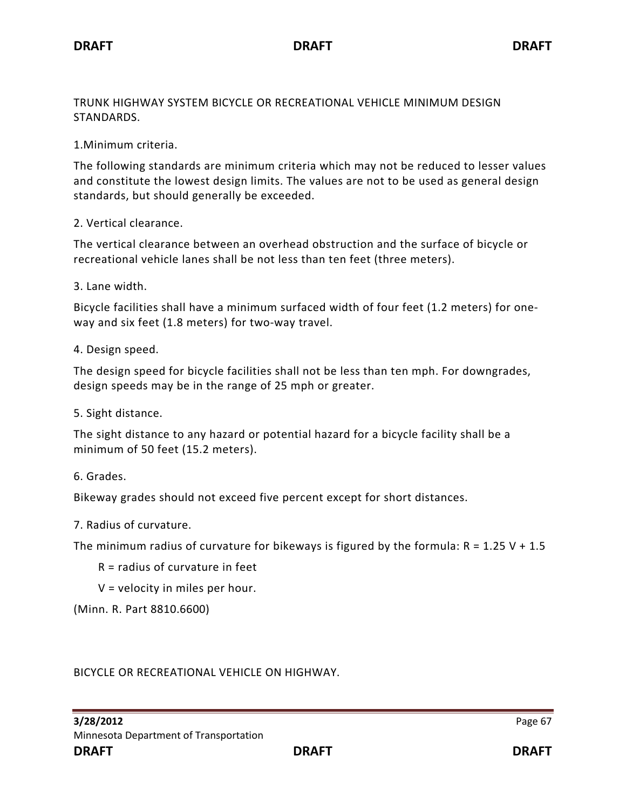TRUNK HIGHWAY SYSTEM BICYCLE OR RECREATIONAL VEHICLE MINIMUM DESIGN STANDARDS.

1.Minimum criteria.

The following standards are minimum criteria which may not be reduced to lesser values and constitute the lowest design limits. The values are not to be used as general design standards, but should generally be exceeded.

2. Vertical clearance.

The vertical clearance between an overhead obstruction and the surface of bicycle or recreational vehicle lanes shall be not less than ten feet (three meters).

3. Lane width.

Bicycle facilities shall have a minimum surfaced width of four feet (1.2 meters) for oneway and six feet (1.8 meters) for two-way travel.

4. Design speed.

The design speed for bicycle facilities shall not be less than ten mph. For downgrades, design speeds may be in the range of 25 mph or greater.

5. Sight distance.

The sight distance to any hazard or potential hazard for a bicycle facility shall be a minimum of 50 feet (15.2 meters).

6. Grades.

Bikeway grades should not exceed five percent except for short distances.

7. Radius of curvature.

The minimum radius of curvature for bikeways is figured by the formula:  $R = 1.25 V + 1.5$ 

- R = radius of curvature in feet
- V = velocity in miles per hour.

(Minn. R. Part 8810.6600)

BICYCLE OR RECREATIONAL VEHICLE ON HIGHWAY.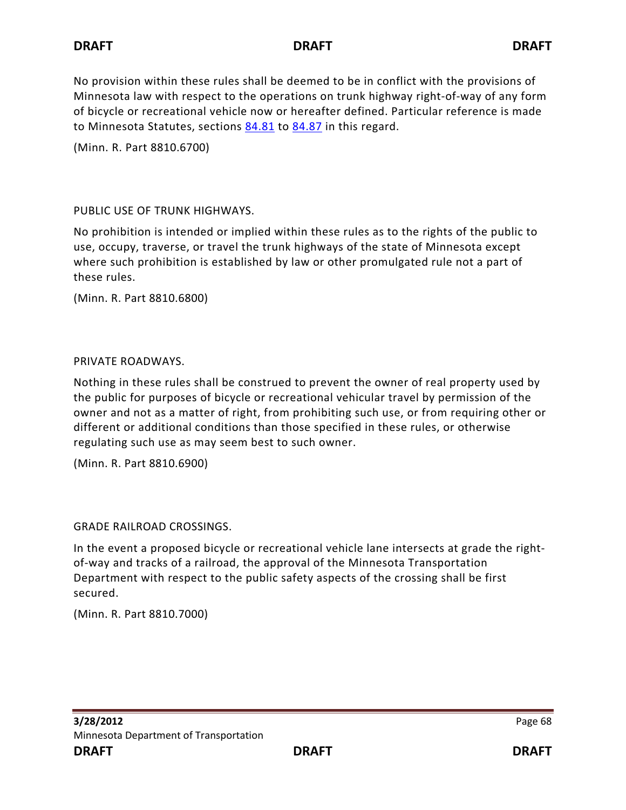No provision within these rules shall be deemed to be in conflict with the provisions of Minnesota law with respect to the operations on trunk highway right-of-way of any form of bicycle or recreational vehicle now or hereafter defined. Particular reference is made to Minnesota Statutes, sections [84.81](https://www.revisor.mn.gov/statutes?id=84.81#stat.84.81) to [84.87](https://www.revisor.mn.gov/statutes?id=84.87#stat.84.87) in this regard.

(Minn. R. Part 8810.6700)

## PUBLIC USE OF TRUNK HIGHWAYS.

No prohibition is intended or implied within these rules as to the rights of the public to use, occupy, traverse, or travel the trunk highways of the state of Minnesota except where such prohibition is established by law or other promulgated rule not a part of these rules.

(Minn. R. Part 8810.6800)

## PRIVATE ROADWAYS.

Nothing in these rules shall be construed to prevent the owner of real property used by the public for purposes of bicycle or recreational vehicular travel by permission of the owner and not as a matter of right, from prohibiting such use, or from requiring other or different or additional conditions than those specified in these rules, or otherwise regulating such use as may seem best to such owner.

(Minn. R. Part 8810.6900)

GRADE RAILROAD CROSSINGS.

In the event a proposed bicycle or recreational vehicle lane intersects at grade the rightof-way and tracks of a railroad, the approval of the Minnesota Transportation Department with respect to the public safety aspects of the crossing shall be first secured.

(Minn. R. Part 8810.7000)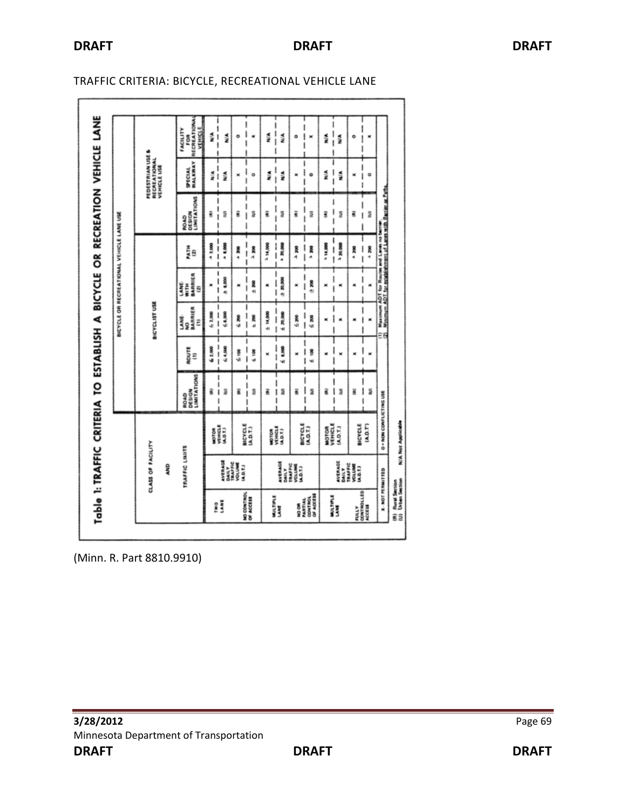|                                                                                                                         | PEDESTRIAN USE &<br>RECREATIONAL<br>VEHICLE USE | RECREATIONA<br>VEHICLE<br>FACILITY<br>ő<br><b>SPECIAL</b><br>WALKWAY | ١<br>M. J<br>١<br>۱<br>$\frac{1}{1}$<br>N/A | N.<br>N/A                   | ö<br>×                         | I<br>×<br>l<br>$\frac{1}{1}$<br>۰ | I<br>١<br>ž<br>I<br>ו<br>ו<br>ž | N/A<br>N/A                | ŧ<br>۰<br>۱<br>×                         | ×<br>۰                | ı<br>$\frac{1}{1}$<br>NIA<br>۱<br>ı<br>1<br>N/A | N/A<br>N/A                | ō<br>×                               | I<br>×<br>I<br>I<br>۰<br>I |
|-------------------------------------------------------------------------------------------------------------------------|-------------------------------------------------|----------------------------------------------------------------------|---------------------------------------------|-----------------------------|--------------------------------|-----------------------------------|---------------------------------|---------------------------|------------------------------------------|-----------------------|-------------------------------------------------|---------------------------|--------------------------------------|----------------------------|
| Table 1: TRAFFIC CRITERIA TO ESTABLISH A BICYCLE OR RECREATION VEHICLE LANE<br>BICYCLE OR RECREATIONAL VEHICLE LANE USE |                                                 | <b>LIMITATIONS</b><br>DESIGN<br>ROAD                                 | ı<br> <br> <br>Ē<br>I                       | ₿                           | ĝ                              | I<br>ã<br>I<br>I                  | I<br>ĝ<br>I                     | ۱<br>3                    | ŝ                                        | 3                     | ĝ                                               | ı<br>ł<br>3<br>Ī          | g                                    | I<br>į<br>I                |
|                                                                                                                         | BICYCLIST USE                                   | Mik<br>12                                                            | <br> <br> <br>43,000                        | * 6,000                     | R<br>A                         | I<br>8<br>4<br>ו<br>ו             | <b>DOO'N1 &lt;</b>              | $\mathbf{I}$<br>* 20,000  | 8g<br>4                                  | $\vdots$<br>* 200     | 314,000                                         | $\frac{1}{1}$<br>3 20,000 | oos +                                | I<br>* 200<br>I            |
|                                                                                                                         |                                                 | WITH<br>BARRIER<br>LANE.<br>8                                        | ı<br>$\mathbf{I}$                           | 3.8,000                     | ×                              | $\mathsf{I}$<br>88<br>4<br>Ī      |                                 | ı<br>≞ 20,000<br>ļ<br>I   | ×<br>I                                   | I<br>累生<br>I          | ×                                               | I<br>×<br>I               | ×                                    | ı                          |
|                                                                                                                         |                                                 | NO<br>BARRIER<br>Š<br>Ξ                                              | I<br>6.3,000                                | $\frac{1}{1}$<br>6.0000     | as 7                           | Ι<br>$\mathbf{I}$<br>is an        | $00011 +$                       | $\frac{1}{1}$<br>6.30,000 | $\frac{1}{2}$                            | ا<br>ا<br>≤ 200       | ×                                               | I<br>I<br>×<br>١          | ×                                    | ı<br>I<br>١                |
|                                                                                                                         |                                                 | ROUTE<br>Ξ                                                           | \$2,000                                     | $\frac{1}{1}$<br>44,000     | ≦ 100                          | ı<br>I<br>£ 108<br>ı              | ×                               | ļ<br>6.800<br>I           | ×                                        | ۱<br>I<br>ğ<br>١<br>w | ×                                               | l<br>×<br>I               | ×                                    | I<br>×                     |
|                                                                                                                         |                                                 | LIMITATIONS<br>ROAD<br>DESIGN                                        | £                                           | $\frac{1}{1}$<br>ä<br>I     | Ē                              | ı<br>ı<br>ã<br>ï<br>ı             | g                               | I<br>i<br>ã<br>I<br>ï     | Ē                                        | I<br>ã<br>ı           | ĝ                                               | I<br>١<br>ã<br>I<br>٠     | Ē                                    | I<br>Ξ<br>I                |
|                                                                                                                         |                                                 | TRAFFIC LINIITS                                                      | MOTOR<br>VEHICLE<br>A.D.T.)                 |                             | <b>BICYCLE</b><br>[AD.T.]      |                                   | VENICALE<br>SALDITA<br>MOTOR    |                           | BICYCLE<br>(A.D.T.)                      |                       | MOTOR<br>VEHICLE<br>(A.0.7.1)                   |                           | <b>BICYCLE</b><br>(A.D.T')           |                            |
|                                                                                                                         | CLASS OF FACILITY<br><b>AND</b>                 |                                                                      |                                             | AVERAGE<br>DAILY<br>TRAFFIC | <b>NOLUME</b><br><b>A.D.T.</b> |                                   | AVERAGE<br>DAILY                |                           | TRAFFIC<br><b>VOLUME</b><br>A.D.T.)      |                       | AVERAGE<br><b>DAILY</b>                         |                           | TRAFFIC<br>VOLUME<br>(A.D.T.)        |                            |
|                                                                                                                         |                                                 |                                                                      | Ê                                           | E                           | NO CONTROL<br>OF ACCESS        |                                   | MALTURLE<br>LANE                |                           | OF AGCE11<br>CONTROL<br>PARTIAL<br>NO OR |                       | MALTIPLE<br>Line                                |                           | <b>PULLY</b><br>CONTROLLED<br>ACCESS |                            |

### TRAFFIC CRITERIA: BICYCLE, RECREATIONAL VEHICLE LANE

(Minn. R. Part 8810.9910)

'n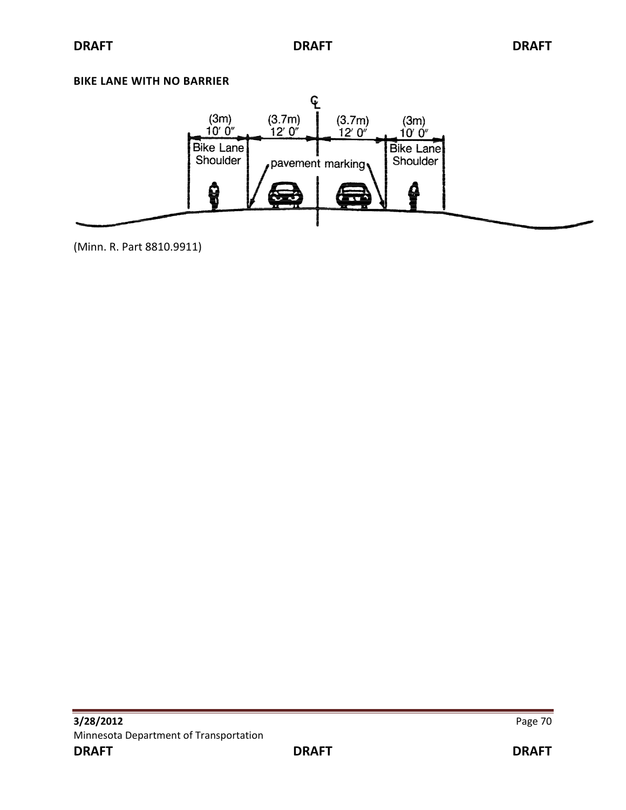#### **BIKE LANE WITH NO BARRIER**



(Minn. R. Part 8810.9911)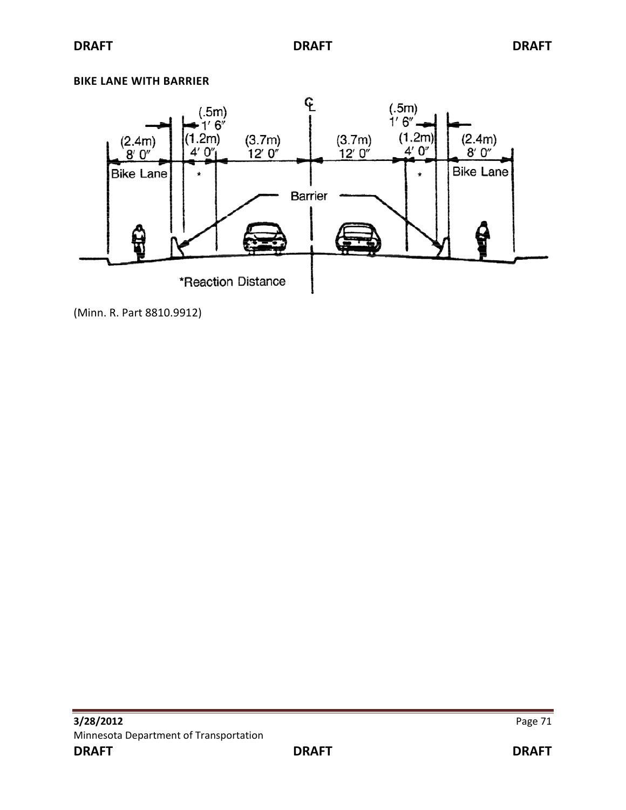### **BIKE LANE WITH BARRIER**



(Minn. R. Part 8810.9912)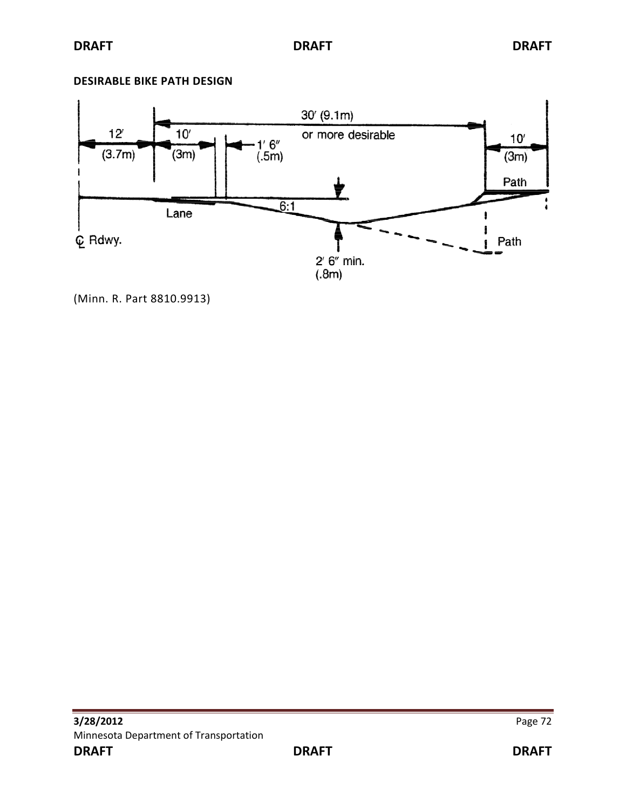### **DESIRABLE BIKE PATH DESIGN**



(Minn. R. Part 8810.9913)